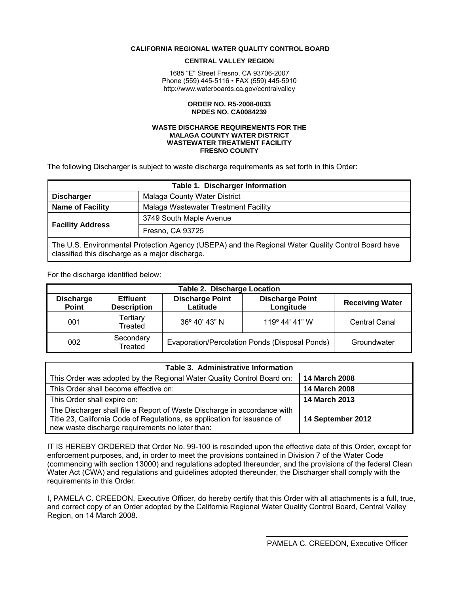#### <span id="page-0-0"></span> **CALIFORNIA REGIONAL WATER QUALITY CONTROL BOARD**

#### **CENTRAL VALLEY REGION**

1685 "E" Street Fresno, CA 93706-2007 Phone (559) 445-5116 • FAX (559) 445-5910 http://www.waterboards.ca.gov/centralvalley

#### **ORDER NO. R5-2008-0033 NPDES NO. CA0084239**

#### **WASTE DISCHARGE REQUIREMENTS FOR THE MALAGA COUNTY WATER DISTRICT WASTEWATER TREATMENT FACILITY FRESNO COUNTY**

The following Discharger is subject to waste discharge requirements as set forth in this Order:

| Table 1. Discharger Information                                                                                                                       |                                      |  |  |
|-------------------------------------------------------------------------------------------------------------------------------------------------------|--------------------------------------|--|--|
| Malaga County Water District<br><b>Discharger</b>                                                                                                     |                                      |  |  |
| <b>Name of Facility</b>                                                                                                                               | Malaga Wastewater Treatment Facility |  |  |
| <b>Facility Address</b>                                                                                                                               | 3749 South Maple Avenue              |  |  |
|                                                                                                                                                       | Fresno, CA 93725                     |  |  |
| The U.S. Environmental Protection Agency (USEPA) and the Regional Water Quality Control Board have<br>classified this discharge as a major discharge. |                                      |  |  |

For the discharge identified below:

| <b>Table 2. Discharge Location</b> |                                       |                                                |                                     |                        |  |
|------------------------------------|---------------------------------------|------------------------------------------------|-------------------------------------|------------------------|--|
| <b>Discharge</b><br><b>Point</b>   | <b>Effluent</b><br><b>Description</b> | <b>Discharge Point</b><br>Latitude             | <b>Discharge Point</b><br>Longitude | <b>Receiving Water</b> |  |
| 001                                | Tertiary<br>Treated                   | 36° 40' 43" N                                  | 119° 44' 41" W                      | <b>Central Canal</b>   |  |
| 002                                | Secondary<br>Treated                  | Evaporation/Percolation Ponds (Disposal Ponds) |                                     | Groundwater            |  |

| Table 3. Administrative Information                                                                                                                                                                     |                   |  |  |
|---------------------------------------------------------------------------------------------------------------------------------------------------------------------------------------------------------|-------------------|--|--|
| This Order was adopted by the Regional Water Quality Control Board on:                                                                                                                                  | 14 March 2008     |  |  |
| This Order shall become effective on:                                                                                                                                                                   | 14 March 2008     |  |  |
| This Order shall expire on:                                                                                                                                                                             | 14 March 2013     |  |  |
| The Discharger shall file a Report of Waste Discharge in accordance with<br>Title 23, California Code of Regulations, as application for issuance of<br>new waste discharge requirements no later than: | 14 September 2012 |  |  |

IT IS HEREBY ORDERED that Order No. 99-100 is rescinded upon the effective date of this Order, except for enforcement purposes, and, in order to meet the provisions contained in Division 7 of the Water Code (commencing with section 13000) and regulations adopted thereunder, and the provisions of the federal Clean Water Act (CWA) and regulations and guidelines adopted thereunder, the Discharger shall comply with the requirements in this Order.

I, PAMELA C. CREEDON, Executive Officer, do hereby certify that this Order with all attachments is a full, true, and correct copy of an Order adopted by the California Regional Water Quality Control Board, Central Valley Region, on 14 March 2008.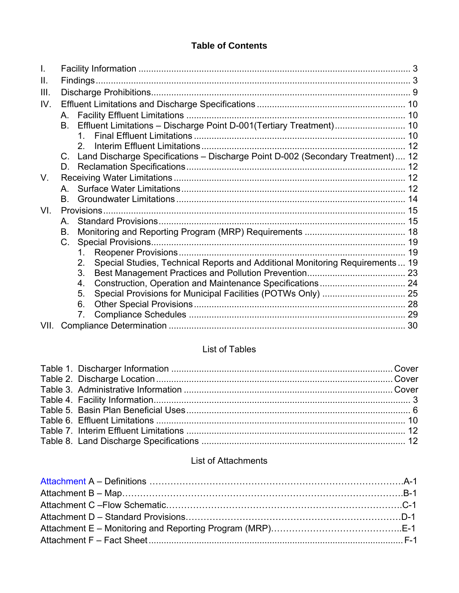# **Table of Contents**

| I.   |    |                                                                                    |  |
|------|----|------------------------------------------------------------------------------------|--|
| Ш.   |    |                                                                                    |  |
| III. |    |                                                                                    |  |
| IV.  |    |                                                                                    |  |
|      | A. |                                                                                    |  |
|      |    | B. Effluent Limitations - Discharge Point D-001(Tertiary Treatment) 10             |  |
|      |    |                                                                                    |  |
|      |    | 2                                                                                  |  |
|      |    | C. Land Discharge Specifications - Discharge Point D-002 (Secondary Treatment) 12  |  |
|      | D. |                                                                                    |  |
| V.   |    |                                                                                    |  |
|      |    |                                                                                    |  |
|      | В. |                                                                                    |  |
| VI.  |    |                                                                                    |  |
|      | A  |                                                                                    |  |
|      | В. |                                                                                    |  |
|      | C. |                                                                                    |  |
|      |    | 1.                                                                                 |  |
|      |    | Special Studies, Technical Reports and Additional Monitoring Requirements 19<br>2. |  |
|      |    | 3.                                                                                 |  |
|      |    | 4.                                                                                 |  |
|      |    | 5.                                                                                 |  |
|      |    | 6.                                                                                 |  |
|      |    | 7.                                                                                 |  |
| VII. |    |                                                                                    |  |

# List of Tables

# List of Attachments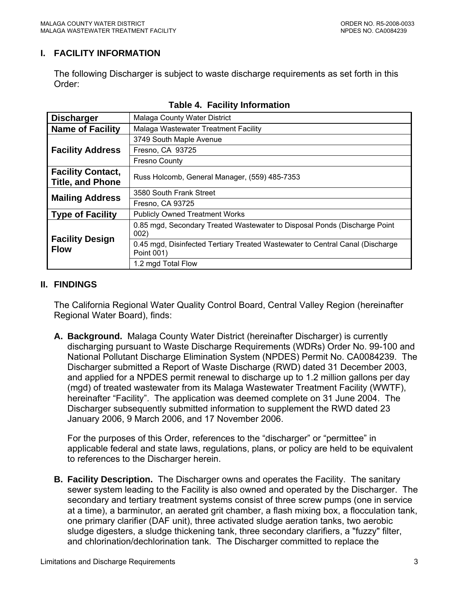## <span id="page-2-0"></span>**I. FACILITY INFORMATION**

The following Discharger is subject to waste discharge requirements as set forth in this Order:

| <b>Discharger</b>                                   | Malaga County Water District                                                                |
|-----------------------------------------------------|---------------------------------------------------------------------------------------------|
| <b>Name of Facility</b>                             | Malaga Wastewater Treatment Facility                                                        |
|                                                     | 3749 South Maple Avenue                                                                     |
| <b>Facility Address</b>                             | Fresno, CA 93725                                                                            |
|                                                     | <b>Fresno County</b>                                                                        |
| <b>Facility Contact,</b><br><b>Title, and Phone</b> | Russ Holcomb, General Manager, (559) 485-7353                                               |
| <b>Mailing Address</b>                              | 3580 South Frank Street                                                                     |
|                                                     | Fresno, CA 93725                                                                            |
| <b>Type of Facility</b>                             | <b>Publicly Owned Treatment Works</b>                                                       |
|                                                     | 0.85 mgd, Secondary Treated Wastewater to Disposal Ponds (Discharge Point<br>002)           |
| <b>Facility Design</b><br><b>Flow</b>               | 0.45 mgd, Disinfected Tertiary Treated Wastewater to Central Canal (Discharge<br>Point 001) |
|                                                     | 1.2 mgd Total Flow                                                                          |

## **Table 4. Facility Information**

#### **II. FINDINGS**

The California Regional Water Quality Control Board, Central Valley Region (hereinafter Regional Water Board), finds:

**A. Background.** Malaga County Water District (hereinafter Discharger) is currently discharging pursuant to Waste Discharge Requirements (WDRs) Order No. 99-100 and National Pollutant Discharge Elimination System (NPDES) Permit No. CA0084239. The Discharger submitted a Report of Waste Discharge (RWD) dated 31 December 2003, and applied for a NPDES permit renewal to discharge up to 1.2 million gallons per day (mgd) of treated wastewater from its Malaga Wastewater Treatment Facility (WWTF), hereinafter "Facility". The application was deemed complete on 31 June 2004. The Discharger subsequently submitted information to supplement the RWD dated 23 January 2006, 9 March 2006, and 17 November 2006.

For the purposes of this Order, references to the "discharger" or "permittee" in applicable federal and state laws, regulations, plans, or policy are held to be equivalent to references to the Discharger herein.

**B. Facility Description.** The Discharger owns and operates the Facility. The sanitary sewer system leading to the Facility is also owned and operated by the Discharger. The secondary and tertiary treatment systems consist of three screw pumps (one in service at a time), a barminutor, an aerated grit chamber, a flash mixing box, a flocculation tank, one primary clarifier (DAF unit), three activated sludge aeration tanks, two aerobic sludge digesters, a sludge thickening tank, three secondary clarifiers, a "fuzzy" filter, and chlorination/dechlorination tank. The Discharger committed to replace the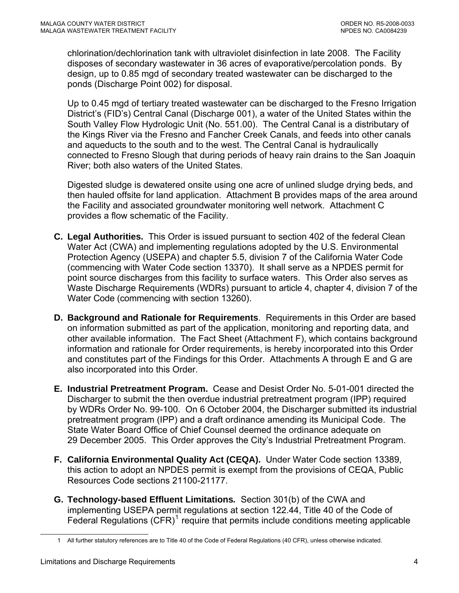chlorination/dechlorination tank with ultraviolet disinfection in late 2008. The Facility disposes of secondary wastewater in 36 acres of evaporative/percolation ponds. By design, up to 0.85 mgd of secondary treated wastewater can be discharged to the ponds (Discharge Point 002) for disposal.

Up to 0.45 mgd of tertiary treated wastewater can be discharged to the Fresno Irrigation District's (FID's) Central Canal (Discharge 001), a water of the United States within the South Valley Flow Hydrologic Unit (No. 551.00). The Central Canal is a distributary of the Kings River via the Fresno and Fancher Creek Canals, and feeds into other canals and aqueducts to the south and to the west. The Central Canal is hydraulically connected to Fresno Slough that during periods of heavy rain drains to the San Joaquin River; both also waters of the United States.

Digested sludge is dewatered onsite using one acre of unlined sludge drying beds, and then hauled offsite for land application. Attachment B provides maps of the area around the Facility and associated groundwater monitoring well network. Attachment C provides a flow schematic of the Facility.

- **C. Legal Authorities.** This Order is issued pursuant to section 402 of the federal Clean Water Act (CWA) and implementing regulations adopted by the U.S. Environmental Protection Agency (USEPA) and chapter 5.5, division 7 of the California Water Code (commencing with Water Code section 13370). It shall serve as a NPDES permit for point source discharges from this facility to surface waters. This Order also serves as Waste Discharge Requirements (WDRs) pursuant to article 4, chapter 4, division 7 of the Water Code (commencing with section 13260).
- **D. Background and Rationale for Requirements**. Requirements in this Order are based on information submitted as part of the application, monitoring and reporting data, and other available information. The Fact Sheet (Attachment F), which contains background information and rationale for Order requirements, is hereby incorporated into this Order and constitutes part of the Findings for this Order. Attachments A through E and G are also incorporated into this Order.
- **E. Industrial Pretreatment Program.** Cease and Desist Order No. 5-01-001 directed the Discharger to submit the then overdue industrial pretreatment program (IPP) required by WDRs Order No. 99-100. On 6 October 2004, the Discharger submitted its industrial pretreatment program (IPP) and a draft ordinance amending its Municipal Code. The State Water Board Office of Chief Counsel deemed the ordinance adequate on 29 December 2005. This Order approves the City's Industrial Pretreatment Program.
- **F. California Environmental Quality Act (CEQA).** Under Water Code section 13389, this action to adopt an NPDES permit is exempt from the provisions of CEQA, Public Resources Code sections 21100-21177.
- **G. Technology-based Effluent Limitations***.* Section 301(b) of the CWA and implementing USEPA permit regulations at section 122.44, Title 40 of the Code of Federal Regulations  $(CFR)^1$  $(CFR)^1$  require that permits include conditions meeting applicable

<span id="page-3-0"></span> $\overline{a}$ 

<sup>1</sup> All further statutory references are to Title 40 of the Code of Federal Regulations (40 CFR), unless otherwise indicated.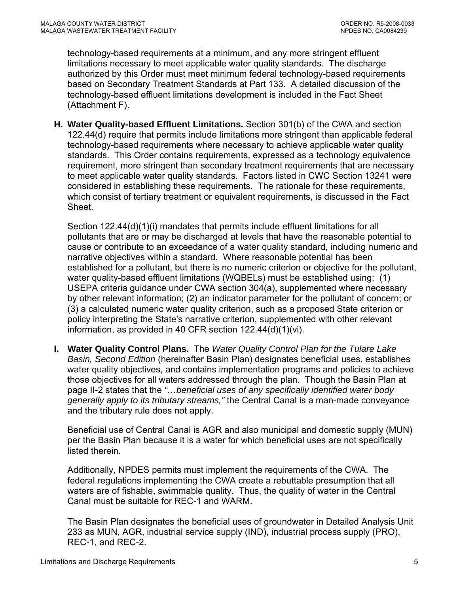technology-based requirements at a minimum, and any more stringent effluent limitations necessary to meet applicable water quality standards. The discharge authorized by this Order must meet minimum federal technology-based requirements based on Secondary Treatment Standards at Part 133. A detailed discussion of the technology-based effluent limitations development is included in the Fact Sheet (Attachment F).

**H. Water Quality-based Effluent Limitations.** Section 301(b) of the CWA and section 122.44(d) require that permits include limitations more stringent than applicable federal technology-based requirements where necessary to achieve applicable water quality standards. This Order contains requirements, expressed as a technology equivalence requirement, more stringent than secondary treatment requirements that are necessary to meet applicable water quality standards. Factors listed in CWC Section 13241 were considered in establishing these requirements. The rationale for these requirements, which consist of tertiary treatment or equivalent requirements, is discussed in the Fact Sheet.

Section 122.44(d)(1)(i) mandates that permits include effluent limitations for all pollutants that are or may be discharged at levels that have the reasonable potential to cause or contribute to an exceedance of a water quality standard, including numeric and narrative objectives within a standard. Where reasonable potential has been established for a pollutant, but there is no numeric criterion or objective for the pollutant, water quality-based effluent limitations (WQBELs) must be established using: (1) USEPA criteria guidance under CWA section 304(a), supplemented where necessary by other relevant information; (2) an indicator parameter for the pollutant of concern; or (3) a calculated numeric water quality criterion, such as a proposed State criterion or policy interpreting the State's narrative criterion, supplemented with other relevant information, as provided in 40 CFR section 122.44(d)(1)(vi).

**I. Water Quality Control Plans.** The *Water Quality Control Plan for the Tulare Lake Basin, Second Edition* (hereinafter Basin Plan) designates beneficial uses, establishes water quality objectives, and contains implementation programs and policies to achieve those objectives for all waters addressed through the plan. Though the Basin Plan at page II-2 states that the *"…beneficial uses of any specifically identified water body generally apply to its tributary streams,"* the Central Canal is a man-made conveyance and the tributary rule does not apply.

Beneficial use of Central Canal is AGR and also municipal and domestic supply (MUN) per the Basin Plan because it is a water for which beneficial uses are not specifically listed therein.

Additionally, NPDES permits must implement the requirements of the CWA. The federal regulations implementing the CWA create a rebuttable presumption that all waters are of fishable, swimmable quality. Thus, the quality of water in the Central Canal must be suitable for REC-1 and WARM.

The Basin Plan designates the beneficial uses of groundwater in Detailed Analysis Unit 233 as MUN, AGR, industrial service supply (IND), industrial process supply (PRO), REC-1, and REC-2.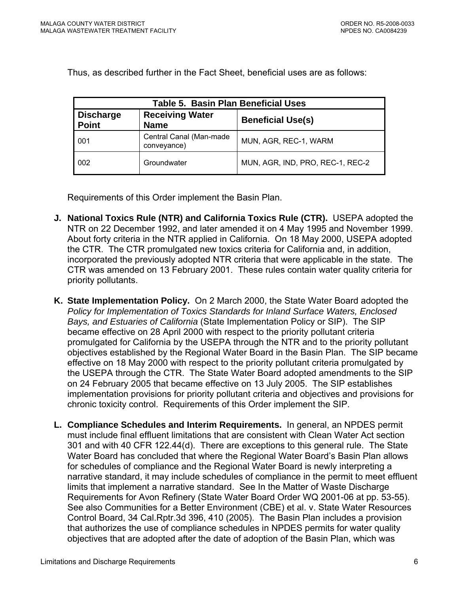<span id="page-5-0"></span>Thus, as described further in the Fact Sheet, beneficial uses are as follows:

| <b>Table 5. Basin Plan Beneficial Uses</b>                                                            |                                        |                                  |  |  |
|-------------------------------------------------------------------------------------------------------|----------------------------------------|----------------------------------|--|--|
| <b>Receiving Water</b><br><b>Discharge</b><br><b>Beneficial Use(s)</b><br><b>Point</b><br><b>Name</b> |                                        |                                  |  |  |
| 001                                                                                                   | Central Canal (Man-made<br>conveyance) | MUN, AGR, REC-1, WARM            |  |  |
| 002                                                                                                   | Groundwater                            | MUN, AGR, IND, PRO, REC-1, REC-2 |  |  |

Requirements of this Order implement the Basin Plan.

- **J. National Toxics Rule (NTR) and California Toxics Rule (CTR).** USEPA adopted the NTR on 22 December 1992, and later amended it on 4 May 1995 and November 1999. About forty criteria in the NTR applied in California. On 18 May 2000, USEPA adopted the CTR. The CTR promulgated new toxics criteria for California and, in addition, incorporated the previously adopted NTR criteria that were applicable in the state. The CTR was amended on 13 February 2001. These rules contain water quality criteria for priority pollutants.
- **K. State Implementation Policy.** On 2 March 2000, the State Water Board adopted the *Policy for Implementation of Toxics Standards for Inland Surface Waters, Enclosed Bays, and Estuaries of California* (State Implementation Policy or SIP). The SIP became effective on 28 April 2000 with respect to the priority pollutant criteria promulgated for California by the USEPA through the NTR and to the priority pollutant objectives established by the Regional Water Board in the Basin Plan. The SIP became effective on 18 May 2000 with respect to the priority pollutant criteria promulgated by the USEPA through the CTR. The State Water Board adopted amendments to the SIP on 24 February 2005 that became effective on 13 July 2005. The SIP establishes implementation provisions for priority pollutant criteria and objectives and provisions for chronic toxicity control. Requirements of this Order implement the SIP.
- **L. Compliance Schedules and Interim Requirements.** In general, an NPDES permit must include final effluent limitations that are consistent with Clean Water Act section 301 and with 40 CFR 122.44(d). There are exceptions to this general rule. The State Water Board has concluded that where the Regional Water Board's Basin Plan allows for schedules of compliance and the Regional Water Board is newly interpreting a narrative standard, it may include schedules of compliance in the permit to meet effluent limits that implement a narrative standard. See In the Matter of Waste Discharge Requirements for Avon Refinery (State Water Board Order WQ 2001-06 at pp. 53-55). See also Communities for a Better Environment (CBE) et al. v. State Water Resources Control Board, 34 Cal.Rptr.3d 396, 410 (2005). The Basin Plan includes a provision that authorizes the use of compliance schedules in NPDES permits for water quality objectives that are adopted after the date of adoption of the Basin Plan, which was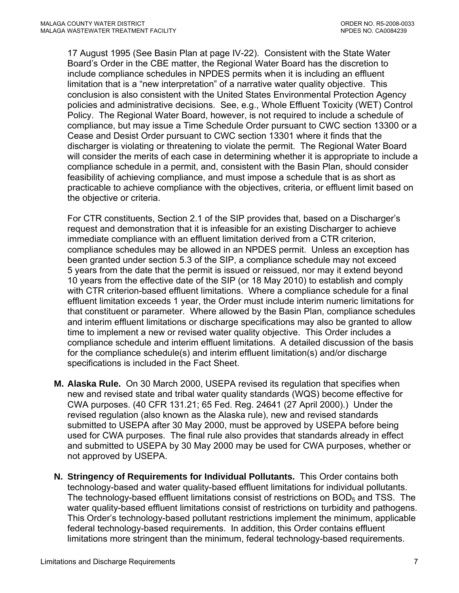17 August 1995 (See Basin Plan at page IV-22). Consistent with the State Water Board's Order in the CBE matter, the Regional Water Board has the discretion to include compliance schedules in NPDES permits when it is including an effluent limitation that is a "new interpretation" of a narrative water quality objective. This conclusion is also consistent with the United States Environmental Protection Agency policies and administrative decisions. See, e.g., Whole Effluent Toxicity (WET) Control Policy. The Regional Water Board, however, is not required to include a schedule of compliance, but may issue a Time Schedule Order pursuant to CWC section 13300 or a Cease and Desist Order pursuant to CWC section 13301 where it finds that the discharger is violating or threatening to violate the permit. The Regional Water Board will consider the merits of each case in determining whether it is appropriate to include a compliance schedule in a permit, and, consistent with the Basin Plan, should consider feasibility of achieving compliance, and must impose a schedule that is as short as practicable to achieve compliance with the objectives, criteria, or effluent limit based on the objective or criteria.

For CTR constituents, Section 2.1 of the SIP provides that, based on a Discharger's request and demonstration that it is infeasible for an existing Discharger to achieve immediate compliance with an effluent limitation derived from a CTR criterion, compliance schedules may be allowed in an NPDES permit. Unless an exception has been granted under section 5.3 of the SIP, a compliance schedule may not exceed 5 years from the date that the permit is issued or reissued, nor may it extend beyond 10 years from the effective date of the SIP (or 18 May 2010) to establish and comply with CTR criterion-based effluent limitations. Where a compliance schedule for a final effluent limitation exceeds 1 year, the Order must include interim numeric limitations for that constituent or parameter. Where allowed by the Basin Plan, compliance schedules and interim effluent limitations or discharge specifications may also be granted to allow time to implement a new or revised water quality objective. This Order includes a compliance schedule and interim effluent limitations. A detailed discussion of the basis for the compliance schedule(s) and interim effluent limitation(s) and/or discharge specifications is included in the Fact Sheet.

- **M. Alaska Rule.** On 30 March 2000, USEPA revised its regulation that specifies when new and revised state and tribal water quality standards (WQS) become effective for CWA purposes. (40 CFR 131.21; 65 Fed. Reg. 24641 (27 April 2000).) Under the revised regulation (also known as the Alaska rule), new and revised standards submitted to USEPA after 30 May 2000, must be approved by USEPA before being used for CWA purposes. The final rule also provides that standards already in effect and submitted to USEPA by 30 May 2000 may be used for CWA purposes, whether or not approved by USEPA.
- **N. Stringency of Requirements for Individual Pollutants.** This Order contains both technology-based and water quality-based effluent limitations for individual pollutants. The technology-based effluent limitations consist of restrictions on  $BOD<sub>5</sub>$  and TSS. The water quality-based effluent limitations consist of restrictions on turbidity and pathogens. This Order's technology-based pollutant restrictions implement the minimum, applicable federal technology-based requirements. In addition, this Order contains effluent limitations more stringent than the minimum, federal technology-based requirements.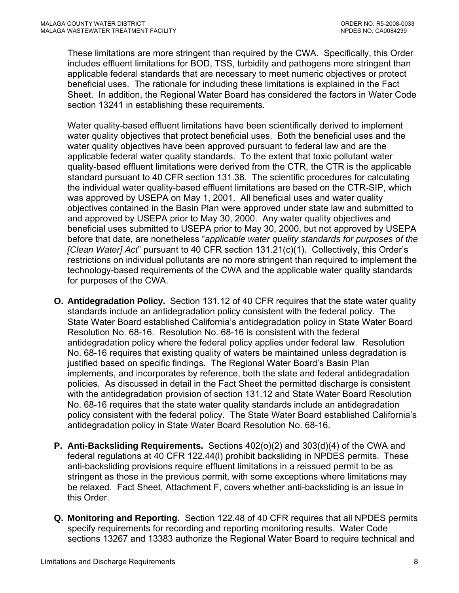These limitations are more stringent than required by the CWA. Specifically, this Order includes effluent limitations for BOD, TSS, turbidity and pathogens more stringent than applicable federal standards that are necessary to meet numeric objectives or protect beneficial uses. The rationale for including these limitations is explained in the Fact Sheet. In addition, the Regional Water Board has considered the factors in Water Code section 13241 in establishing these requirements.

Water quality-based effluent limitations have been scientifically derived to implement water quality objectives that protect beneficial uses. Both the beneficial uses and the water quality objectives have been approved pursuant to federal law and are the applicable federal water quality standards. To the extent that toxic pollutant water quality-based effluent limitations were derived from the CTR, the CTR is the applicable standard pursuant to 40 CFR section 131.38. The scientific procedures for calculating the individual water quality-based effluent limitations are based on the CTR-SIP, which was approved by USEPA on May 1, 2001. All beneficial uses and water quality objectives contained in the Basin Plan were approved under state law and submitted to and approved by USEPA prior to May 30, 2000. Any water quality objectives and beneficial uses submitted to USEPA prior to May 30, 2000, but not approved by USEPA before that date, are nonetheless "*applicable water quality standards for purposes of the [Clean Water] Act*" pursuant to 40 CFR section 131.21(c)(1). Collectively, this Order's restrictions on individual pollutants are no more stringent than required to implement the technology-based requirements of the CWA and the applicable water quality standards for purposes of the CWA.

- **O. Antidegradation Policy.** Section 131.12 of 40 CFR requires that the state water quality standards include an antidegradation policy consistent with the federal policy. The State Water Board established California's antidegradation policy in State Water Board Resolution No. 68-16. Resolution No. 68-16 is consistent with the federal antidegradation policy where the federal policy applies under federal law. Resolution No. 68-16 requires that existing quality of waters be maintained unless degradation is justified based on specific findings. The Regional Water Board's Basin Plan implements, and incorporates by reference, both the state and federal antidegradation policies. As discussed in detail in the Fact Sheet the permitted discharge is consistent with the antidegradation provision of section 131.12 and State Water Board Resolution No. 68-16 requires that the state water quality standards include an antidegradation policy consistent with the federal policy. The State Water Board established California's antidegradation policy in State Water Board Resolution No. 68-16.
- **P. Anti-Backsliding Requirements.** Sections 402(o)(2) and 303(d)(4) of the CWA and federal regulations at 40 CFR 122.44(l) prohibit backsliding in NPDES permits. These anti-backsliding provisions require effluent limitations in a reissued permit to be as stringent as those in the previous permit, with some exceptions where limitations may be relaxed. Fact Sheet, Attachment F, covers whether anti-backsliding is an issue in this Order.
- **Q. Monitoring and Reporting.** Section 122.48 of 40 CFR requires that all NPDES permits specify requirements for recording and reporting monitoring results. Water Code sections 13267 and 13383 authorize the Regional Water Board to require technical and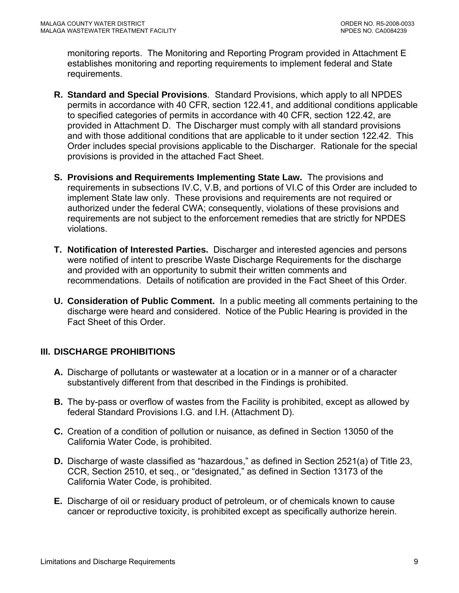<span id="page-8-0"></span>monitoring reports. The Monitoring and Reporting Program provided in Attachment E establishes monitoring and reporting requirements to implement federal and State requirements.

- **R. Standard and Special Provisions**. Standard Provisions, which apply to all NPDES permits in accordance with 40 CFR, section 122.41, and additional conditions applicable to specified categories of permits in accordance with 40 CFR, section 122.42, are provided in Attachment D. The Discharger must comply with all standard provisions and with those additional conditions that are applicable to it under section 122.42. This Order includes special provisions applicable to the Discharger. Rationale for the special provisions is provided in the attached Fact Sheet.
- **S. Provisions and Requirements Implementing State Law.** The provisions and requirements in subsections IV.C, V.B, and portions of VI.C of this Order are included to implement State law only. These provisions and requirements are not required or authorized under the federal CWA; consequently, violations of these provisions and requirements are not subject to the enforcement remedies that are strictly for NPDES violations.
- **T. Notification of Interested Parties.** Discharger and interested agencies and persons were notified of intent to prescribe Waste Discharge Requirements for the discharge and provided with an opportunity to submit their written comments and recommendations. Details of notification are provided in the Fact Sheet of this Order.
- **U. Consideration of Public Comment.** In a public meeting all comments pertaining to the discharge were heard and considered. Notice of the Public Hearing is provided in the Fact Sheet of this Order.

# **III. DISCHARGE PROHIBITIONS**

- **A.** Discharge of pollutants or wastewater at a location or in a manner or of a character substantively different from that described in the Findings is prohibited.
- **B.** The by-pass or overflow of wastes from the Facility is prohibited, except as allowed by federal Standard Provisions [I.G.](#page-38-0) and [I.H.](#page-39-0) (Attachment D).
- **C.** Creation of a condition of pollution or nuisance, as defined in Section 13050 of the California Water Code, is prohibited.
- **D.** Discharge of waste classified as "hazardous," as defined in Section 2521(a) of Title 23, CCR, Section 2510, et seq., or "designated," as defined in Section 13173 of the California Water Code, is prohibited.
- **E.** Discharge of oil or residuary product of petroleum, or of chemicals known to cause cancer or reproductive toxicity, is prohibited except as specifically authorize herein.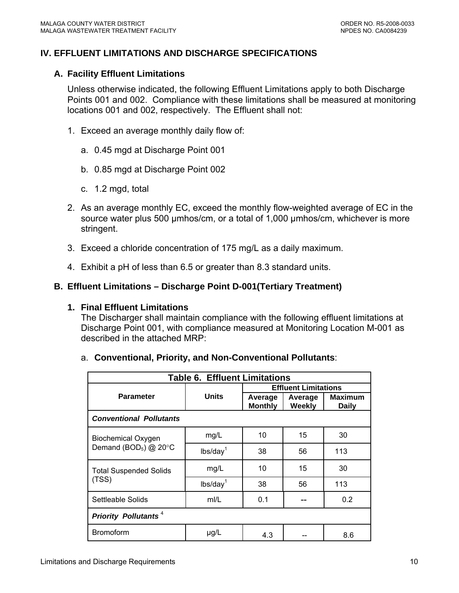## <span id="page-9-0"></span>**IV. EFFLUENT LIMITATIONS AND DISCHARGE SPECIFICATIONS**

#### **A. Facility Effluent Limitations**

Unless otherwise indicated, the following Effluent Limitations apply to both Discharge Points 001 and 002. Compliance with these limitations shall be measured at monitoring locations 001 and 002, respectively. The Effluent shall not:

- 1. Exceed an average monthly daily flow of:
	- a. 0.45 mgd at Discharge Point 001
	- b. 0.85 mgd at Discharge Point 002
	- c. 1.2 mgd, total
- 2. As an average monthly EC, exceed the monthly flow-weighted average of EC in the source water plus 500 µmhos/cm, or a total of 1,000 µmhos/cm, whichever is more stringent.
- 3. Exceed a chloride concentration of 175 mg/L as a daily maximum.
- 4. Exhibit a pH of less than 6.5 or greater than 8.3 standard units.

#### **B. Effluent Limitations – Discharge Point D-001(Tertiary Treatment)**

#### **1. Final Effluent Limitations**

The Discharger shall maintain compliance with the following effluent limitations at Discharge Point 001, with compliance measured at Monitoring Location M-001 as described in the attached MRP:

| <b>Table 6. Effluent Limitations</b>   |                      |                             |                   |                                |  |
|----------------------------------------|----------------------|-----------------------------|-------------------|--------------------------------|--|
|                                        | <b>Units</b>         | <b>Effluent Limitations</b> |                   |                                |  |
| <b>Parameter</b>                       |                      | Average<br><b>Monthly</b>   | Average<br>Weekly | <b>Maximum</b><br><b>Daily</b> |  |
| <b>Conventional Pollutants</b>         |                      |                             |                   |                                |  |
| <b>Biochemical Oxygen</b>              | mg/L                 | 10                          | 15                | 30                             |  |
| Demand (BOD <sub>5</sub> ) $@$ 20 $°C$ | lbs/day <sup>1</sup> | 38                          | 56                | 113                            |  |
| <b>Total Suspended Solids</b>          | mg/L                 | 10                          | 15                | 30                             |  |
| (TSS)                                  | lbs/day <sup>1</sup> | 38                          | 56                | 113                            |  |
| Settleable Solids                      | mI/L                 | 0.1                         |                   | 0.2                            |  |
| <b>Priority Pollutants<sup>4</sup></b> |                      |                             |                   |                                |  |
| <b>Bromoform</b>                       | $\mu$ g/L            | 4.3                         |                   | 8.6                            |  |

#### a. **Conventional, Priority, and Non-Conventional Pollutants**: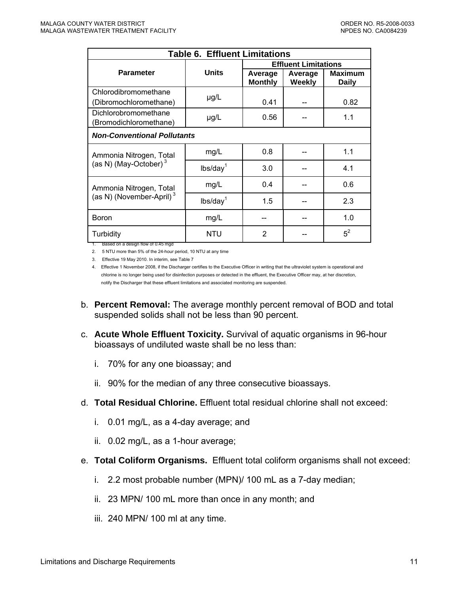| <b>Table 6. Effluent Limitations</b>                         |                      |                             |                          |                                |  |
|--------------------------------------------------------------|----------------------|-----------------------------|--------------------------|--------------------------------|--|
|                                                              | <b>Units</b>         | <b>Effluent Limitations</b> |                          |                                |  |
| <b>Parameter</b>                                             |                      | Average<br><b>Monthly</b>   | Average<br><b>Weekly</b> | <b>Maximum</b><br><b>Daily</b> |  |
| Chlorodibromomethane<br>(Dibromochloromethane)               | $\mu$ g/L            | 0.41                        |                          | 0.82                           |  |
| Dichlorobromomethane<br>(Bromodichloromethane)               | $\mu$ g/L            | 0.56                        |                          | 1.1                            |  |
| <b>Non-Conventional Pollutants</b>                           |                      |                             |                          |                                |  |
| Ammonia Nitrogen, Total<br>(as N) (May-October) <sup>3</sup> | mg/L                 | 0.8                         |                          | 1.1                            |  |
|                                                              | lbs/day <sup>1</sup> | 3.0                         |                          | 4.1                            |  |
| Ammonia Nitrogen, Total                                      | mg/L                 | 0.4                         |                          | 0.6                            |  |
| (as N) (November-April) <sup>3</sup>                         | lbs/day <sup>1</sup> | 1.5                         |                          | 2.3                            |  |
| <b>Boron</b>                                                 | mg/L                 |                             |                          | 1.0                            |  |
| Turbidity                                                    | <b>NTU</b>           | 2                           |                          | $5^2$                          |  |

1. Based on a design flow of 0.45 mgd

2. 5 NTU more than 5% of the 24-hour period, 10 NTU at any time

3. Effective 19 May 2010. In interim, see Table 7

4. Effective 1 November 2008, if the Discharger certifies to the Executive Officer in writing that the ultraviolet system is operational and chlorine is no longer being used for disinfection purposes or detected in the effluent, the Executive Officer may, at her discretion, notify the Discharger that these effluent limitations and associated monitoring are suspended.

- b. **Percent Removal:** The average monthly percent removal of BOD and total suspended solids shall not be less than 90 percent.
- c. **Acute Whole Effluent Toxicity.** Survival of aquatic organisms in 96-hour bioassays of undiluted waste shall be no less than:
	- i. 70% for any one bioassay; and
	- ii. 90% for the median of any three consecutive bioassays.
- d. **Total Residual Chlorine.** Effluent total residual chlorine shall not exceed:
	- i. 0.01 mg/L, as a 4-day average; and
	- ii. 0.02 mg/L, as a 1-hour average;
- e. **Total Coliform Organisms.** Effluent total coliform organisms shall not exceed:
	- i. 2.2 most probable number (MPN)/ 100 mL as a 7-day median;
	- ii. 23 MPN/ 100 mL more than once in any month; and
	- iii. 240 MPN/ 100 ml at any time.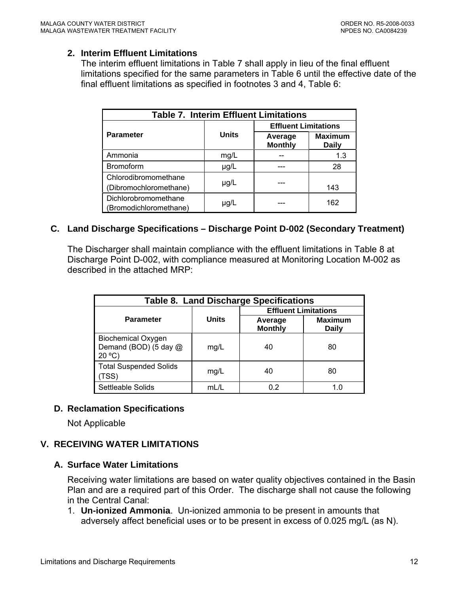#### <span id="page-11-0"></span>**2. Interim Effluent Limitations**

The interim effluent limitations in Table 7 shall apply in lieu of the final effluent limitations specified for the same parameters in Table 6 until the effective date of the final effluent limitations as specified in footnotes 3 and 4, Table 6:

| <b>Table 7. Interim Effluent Limitations</b>   |              |                             |                                |  |
|------------------------------------------------|--------------|-----------------------------|--------------------------------|--|
|                                                |              | <b>Effluent Limitations</b> |                                |  |
| <b>Parameter</b>                               | <b>Units</b> | Average<br><b>Monthly</b>   | <b>Maximum</b><br><b>Daily</b> |  |
| Ammonia                                        | mg/L         |                             | 1.3                            |  |
| Bromoform                                      | $\mu$ g/L    |                             | 28                             |  |
| Chlorodibromomethane<br>(Dibromochloromethane) | $\mu$ g/L    |                             | 143                            |  |
| Dichlorobromomethane<br>(Bromodichloromethane) | µg/L         |                             | 162                            |  |

## **C. Land Discharge Specifications – Discharge Point D-002 (Secondary Treatment)**

The Discharger shall maintain compliance with the effluent limitations in Table 8 at Discharge Point D-002, with compliance measured at Monitoring Location M-002 as described in the attached MRP:

| <b>Table 8. Land Discharge Specifications</b>               |              |                             |                         |  |  |
|-------------------------------------------------------------|--------------|-----------------------------|-------------------------|--|--|
|                                                             |              | <b>Effluent Limitations</b> |                         |  |  |
| <b>Parameter</b>                                            | <b>Units</b> | Average<br><b>Monthly</b>   | <b>Maximum</b><br>Daily |  |  |
| <b>Biochemical Oxygen</b><br>Demand (BOD) (5 day @<br>20 °C | mg/L         | 40                          | 80                      |  |  |
| <b>Total Suspended Solids</b><br>TSS)                       | mg/L         | 40                          | 80                      |  |  |
| Settleable Solids                                           | mL/L         | 0.2                         | 1.0                     |  |  |

#### **D. Reclamation Specifications**

Not Applicable

## **V. RECEIVING WATER LIMITATIONS**

#### **A. Surface Water Limitations**

Receiving water limitations are based on water quality objectives contained in the Basin Plan and are a required part of this Order. The discharge shall not cause the following in the Central Canal:

1. **Un-ionized Ammonia**. Un-ionized ammonia to be present in amounts that adversely affect beneficial uses or to be present in excess of 0.025 mg/L (as N).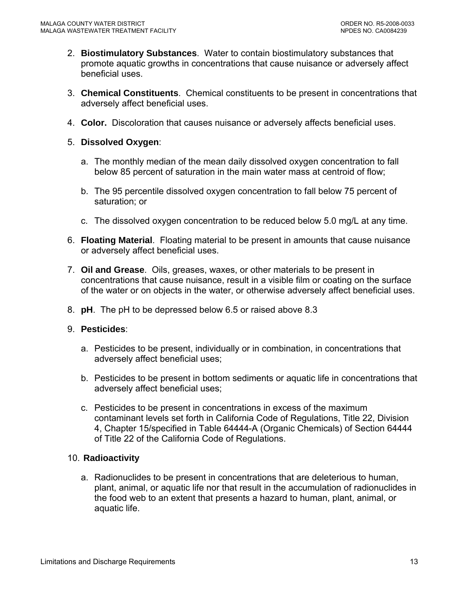- 2. **Biostimulatory Substances**. Water to contain biostimulatory substances that promote aquatic growths in concentrations that cause nuisance or adversely affect beneficial uses.
- 3. **Chemical Constituents**. Chemical constituents to be present in concentrations that adversely affect beneficial uses.
- 4. **Color.** Discoloration that causes nuisance or adversely affects beneficial uses.

#### 5. **Dissolved Oxygen**:

- a. The monthly median of the mean daily dissolved oxygen concentration to fall below 85 percent of saturation in the main water mass at centroid of flow;
- b. The 95 percentile dissolved oxygen concentration to fall below 75 percent of saturation; or
- c. The dissolved oxygen concentration to be reduced below 5.0 mg/L at any time.
- 6. **Floating Material**. Floating material to be present in amounts that cause nuisance or adversely affect beneficial uses.
- 7. **Oil and Grease**. Oils, greases, waxes, or other materials to be present in concentrations that cause nuisance, result in a visible film or coating on the surface of the water or on objects in the water, or otherwise adversely affect beneficial uses.
- 8. **pH**. The pH to be depressed below 6.5 or raised above 8.3
- 9. **Pesticides**:
	- a. Pesticides to be present, individually or in combination, in concentrations that adversely affect beneficial uses;
	- b. Pesticides to be present in bottom sediments or aquatic life in concentrations that adversely affect beneficial uses;
	- c. Pesticides to be present in concentrations in excess of the maximum contaminant levels set forth in California Code of Regulations, Title 22, Division 4, Chapter 15/specified in Table 64444-A (Organic Chemicals) of Section 64444 of Title 22 of the California Code of Regulations.

#### 10. **Radioactivity**

a. Radionuclides to be present in concentrations that are deleterious to human, plant, animal, or aquatic life nor that result in the accumulation of radionuclides in the food web to an extent that presents a hazard to human, plant, animal, or aquatic life.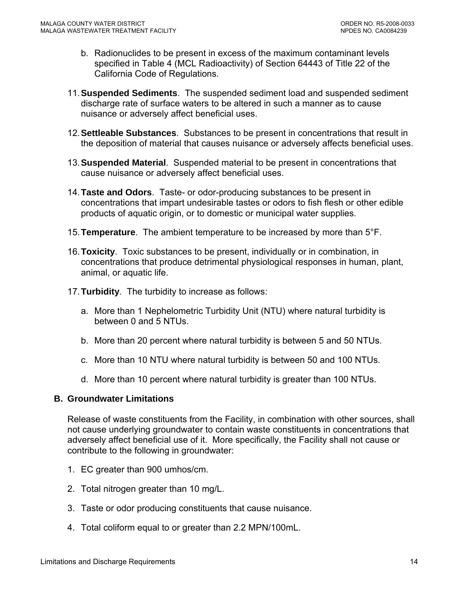- <span id="page-13-0"></span>b. Radionuclides to be present in excess of the maximum contaminant levels specified in Table 4 (MCL Radioactivity) of Section 64443 of Title 22 of the California Code of Regulations.
- 11. **Suspended Sediments**. The suspended sediment load and suspended sediment discharge rate of surface waters to be altered in such a manner as to cause nuisance or adversely affect beneficial uses.
- 12. **Settleable Substances**. Substances to be present in concentrations that result in the deposition of material that causes nuisance or adversely affects beneficial uses.
- 13. **Suspended Material**. Suspended material to be present in concentrations that cause nuisance or adversely affect beneficial uses.
- 14. **Taste and Odors**. Taste- or odor-producing substances to be present in concentrations that impart undesirable tastes or odors to fish flesh or other edible products of aquatic origin, or to domestic or municipal water supplies.
- 15. **Temperature**. The ambient temperature to be increased by more than 5°F.
- 16. **Toxicity**. Toxic substances to be present, individually or in combination, in concentrations that produce detrimental physiological responses in human, plant, animal, or aquatic life.
- 17. **Turbidity**. The turbidity to increase as follows:
	- a. More than 1 Nephelometric Turbidity Unit (NTU) where natural turbidity is between 0 and 5 NTUs.
	- b. More than 20 percent where natural turbidity is between 5 and 50 NTUs.
	- c. More than 10 NTU where natural turbidity is between 50 and 100 NTUs.
	- d. More than 10 percent where natural turbidity is greater than 100 NTUs.

## **B. Groundwater Limitations**

Release of waste constituents from the Facility, in combination with other sources, shall not cause underlying groundwater to contain waste constituents in concentrations that adversely affect beneficial use of it. More specifically, the Facility shall not cause or contribute to the following in groundwater:

- 1. EC greater than 900 umhos/cm.
- 2. Total nitrogen greater than 10 mg/L.
- 3. Taste or odor producing constituents that cause nuisance.
- 4. Total coliform equal to or greater than 2.2 MPN/100mL.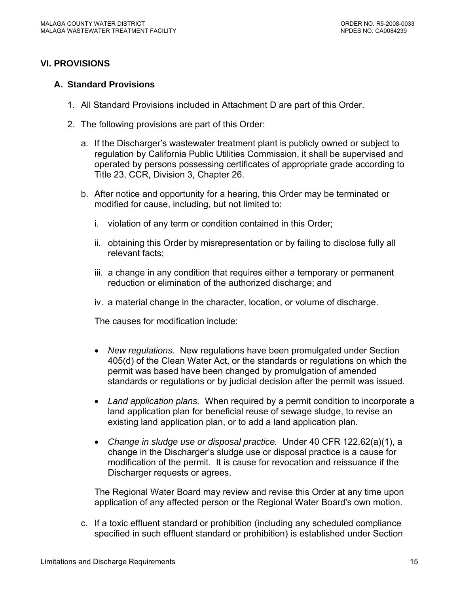## <span id="page-14-0"></span>**VI. PROVISIONS**

#### **A. Standard Provisions**

- 1. All Standard Provisions included in Attachment D are part of this Order.
- 2. The following provisions are part of this Order:
	- a. If the Discharger's wastewater treatment plant is publicly owned or subject to regulation by California Public Utilities Commission, it shall be supervised and operated by persons possessing certificates of appropriate grade according to Title 23, CCR, Division 3, Chapter 26.
	- b. After notice and opportunity for a hearing, this Order may be terminated or modified for cause, including, but not limited to:
		- i. violation of any term or condition contained in this Order;
		- ii. obtaining this Order by misrepresentation or by failing to disclose fully all relevant facts;
		- iii. a change in any condition that requires either a temporary or permanent reduction or elimination of the authorized discharge; and
		- iv. a material change in the character, location, or volume of discharge.

The causes for modification include:

- *New regulations.* New regulations have been promulgated under Section 405(d) of the Clean Water Act, or the standards or regulations on which the permit was based have been changed by promulgation of amended standards or regulations or by judicial decision after the permit was issued.
- *Land application plans.* When required by a permit condition to incorporate a land application plan for beneficial reuse of sewage sludge, to revise an existing land application plan, or to add a land application plan.
- *Change in sludge use or disposal practice.* Under 40 CFR 122.62(a)(1), a change in the Discharger's sludge use or disposal practice is a cause for modification of the permit. It is cause for revocation and reissuance if the Discharger requests or agrees.

The Regional Water Board may review and revise this Order at any time upon application of any affected person or the Regional Water Board's own motion.

c. If a toxic effluent standard or prohibition (including any scheduled compliance specified in such effluent standard or prohibition) is established under Section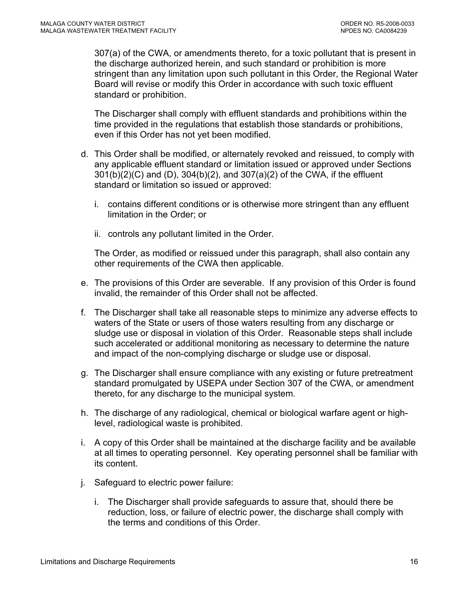307(a) of the CWA, or amendments thereto, for a toxic pollutant that is present in the discharge authorized herein, and such standard or prohibition is more stringent than any limitation upon such pollutant in this Order, the Regional Water Board will revise or modify this Order in accordance with such toxic effluent standard or prohibition.

The Discharger shall comply with effluent standards and prohibitions within the time provided in the regulations that establish those standards or prohibitions, even if this Order has not yet been modified.

- d. This Order shall be modified, or alternately revoked and reissued, to comply with any applicable effluent standard or limitation issued or approved under Sections 301(b)(2)(C) and (D), 304(b)(2), and 307(a)(2) of the CWA, if the effluent standard or limitation so issued or approved:
	- i. contains different conditions or is otherwise more stringent than any effluent limitation in the Order; or
	- ii. controls any pollutant limited in the Order.

The Order, as modified or reissued under this paragraph, shall also contain any other requirements of the CWA then applicable.

- e. The provisions of this Order are severable. If any provision of this Order is found invalid, the remainder of this Order shall not be affected.
- f. The Discharger shall take all reasonable steps to minimize any adverse effects to waters of the State or users of those waters resulting from any discharge or sludge use or disposal in violation of this Order. Reasonable steps shall include such accelerated or additional monitoring as necessary to determine the nature and impact of the non-complying discharge or sludge use or disposal.
- g. The Discharger shall ensure compliance with any existing or future pretreatment standard promulgated by USEPA under Section 307 of the CWA, or amendment thereto, for any discharge to the municipal system.
- h. The discharge of any radiological, chemical or biological warfare agent or highlevel, radiological waste is prohibited.
- i. A copy of this Order shall be maintained at the discharge facility and be available at all times to operating personnel. Key operating personnel shall be familiar with its content.
- j. Safeguard to electric power failure:
	- i. The Discharger shall provide safeguards to assure that, should there be reduction, loss, or failure of electric power, the discharge shall comply with the terms and conditions of this Order.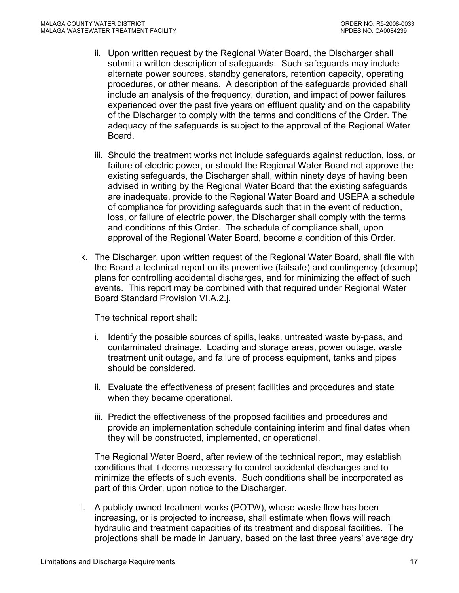- ii. Upon written request by the Regional Water Board, the Discharger shall submit a written description of safeguards. Such safeguards may include alternate power sources, standby generators, retention capacity, operating procedures, or other means. A description of the safeguards provided shall include an analysis of the frequency, duration, and impact of power failures experienced over the past five years on effluent quality and on the capability of the Discharger to comply with the terms and conditions of the Order. The adequacy of the safeguards is subject to the approval of the Regional Water Board.
- iii. Should the treatment works not include safeguards against reduction, loss, or failure of electric power, or should the Regional Water Board not approve the existing safeguards, the Discharger shall, within ninety days of having been advised in writing by the Regional Water Board that the existing safeguards are inadequate, provide to the Regional Water Board and USEPA a schedule of compliance for providing safeguards such that in the event of reduction, loss, or failure of electric power, the Discharger shall comply with the terms and conditions of this Order. The schedule of compliance shall, upon approval of the Regional Water Board, become a condition of this Order.
- k. The Discharger, upon written request of the Regional Water Board, shall file with the Board a technical report on its preventive (failsafe) and contingency (cleanup) plans for controlling accidental discharges, and for minimizing the effect of such events. This report may be combined with that required under Regional Water Board Standard Provision VI.A.2.j.

The technical report shall:

- i. Identify the possible sources of spills, leaks, untreated waste by-pass, and contaminated drainage. Loading and storage areas, power outage, waste treatment unit outage, and failure of process equipment, tanks and pipes should be considered.
- ii. Evaluate the effectiveness of present facilities and procedures and state when they became operational.
- iii. Predict the effectiveness of the proposed facilities and procedures and provide an implementation schedule containing interim and final dates when they will be constructed, implemented, or operational.

The Regional Water Board, after review of the technical report, may establish conditions that it deems necessary to control accidental discharges and to minimize the effects of such events. Such conditions shall be incorporated as part of this Order, upon notice to the Discharger.

l. A publicly owned treatment works (POTW), whose waste flow has been increasing, or is projected to increase, shall estimate when flows will reach hydraulic and treatment capacities of its treatment and disposal facilities. The projections shall be made in January, based on the last three years' average dry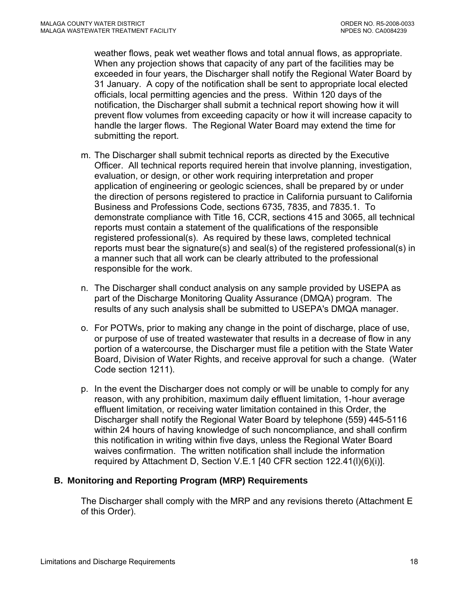<span id="page-17-0"></span>weather flows, peak wet weather flows and total annual flows, as appropriate. When any projection shows that capacity of any part of the facilities may be exceeded in four years, the Discharger shall notify the Regional Water Board by 31 January. A copy of the notification shall be sent to appropriate local elected officials, local permitting agencies and the press. Within 120 days of the notification, the Discharger shall submit a technical report showing how it will prevent flow volumes from exceeding capacity or how it will increase capacity to handle the larger flows. The Regional Water Board may extend the time for submitting the report.

- m. The Discharger shall submit technical reports as directed by the Executive Officer. All technical reports required herein that involve planning, investigation, evaluation, or design, or other work requiring interpretation and proper application of engineering or geologic sciences, shall be prepared by or under the direction of persons registered to practice in California pursuant to California Business and Professions Code, sections 6735, 7835, and 7835.1. To demonstrate compliance with Title 16, CCR, sections 415 and 3065, all technical reports must contain a statement of the qualifications of the responsible registered professional(s). As required by these laws, completed technical reports must bear the signature(s) and seal(s) of the registered professional(s) in a manner such that all work can be clearly attributed to the professional responsible for the work.
- n. The Discharger shall conduct analysis on any sample provided by USEPA as part of the Discharge Monitoring Quality Assurance (DMQA) program. The results of any such analysis shall be submitted to USEPA's DMQA manager.
- o. For POTWs, prior to making any change in the point of discharge, place of use, or purpose of use of treated wastewater that results in a decrease of flow in any portion of a watercourse, the Discharger must file a petition with the State Water Board, Division of Water Rights, and receive approval for such a change. (Water Code section 1211).
- p. In the event the Discharger does not comply or will be unable to comply for any reason, with any prohibition, maximum daily effluent limitation, 1-hour average effluent limitation, or receiving water limitation contained in this Order, the Discharger shall notify the Regional Water Board by telephone (559) 445-5116 within 24 hours of having knowledge of such noncompliance, and shall confirm this notification in writing within five days, unless the Regional Water Board waives confirmation. The written notification shall include the information required by [Attachment D, Section V.E.1](#page-0-0) [40 CFR section 122.41(l)(6)(i)].

## **B. Monitoring and Reporting Program (MRP) Requirements**

The Discharger shall comply with the MRP and any revisions thereto (Attachment E of this Order).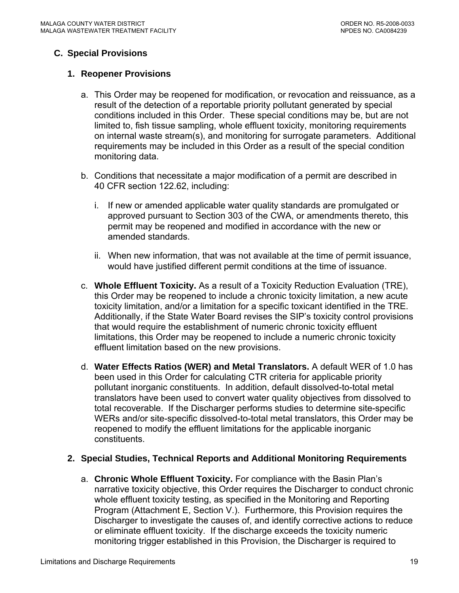## <span id="page-18-0"></span>**C. Special Provisions**

## **1. Reopener Provisions**

- a. This Order may be reopened for modification, or revocation and reissuance, as a result of the detection of a reportable priority pollutant generated by special conditions included in this Order. These special conditions may be, but are not limited to, fish tissue sampling, whole effluent toxicity, monitoring requirements on internal waste stream(s), and monitoring for surrogate parameters. Additional requirements may be included in this Order as a result of the special condition monitoring data.
- b. Conditions that necessitate a major modification of a permit are described in 40 CFR section 122.62, including:
	- i. If new or amended applicable water quality standards are promulgated or approved pursuant to Section 303 of the CWA, or amendments thereto, this permit may be reopened and modified in accordance with the new or amended standards.
	- ii. When new information, that was not available at the time of permit issuance, would have justified different permit conditions at the time of issuance.
- c. **Whole Effluent Toxicity.** As a result of a Toxicity Reduction Evaluation (TRE), this Order may be reopened to include a chronic toxicity limitation, a new acute toxicity limitation, and/or a limitation for a specific toxicant identified in the TRE. Additionally, if the State Water Board revises the SIP's toxicity control provisions that would require the establishment of numeric chronic toxicity effluent limitations, this Order may be reopened to include a numeric chronic toxicity effluent limitation based on the new provisions.
- d. **Water Effects Ratios (WER) and Metal Translators.** A default WER of 1.0 has been used in this Order for calculating CTR criteria for applicable priority pollutant inorganic constituents.In addition, default dissolved-to-total metal translators have been used to convert water quality objectives from dissolved to total recoverable. If the Discharger performs studies to determine site-specific WERs and/or site-specific dissolved-to-total metal translators, this Order may be reopened to modify the effluent limitations for the applicable inorganic constituents.

## **2. Special Studies, Technical Reports and Additional Monitoring Requirements**

a. **Chronic Whole Effluent Toxicity.** For compliance with the Basin Plan's narrative toxicity objective, this Order requires the Discharger to conduct chronic whole effluent toxicity testing, as specified in the Monitoring and Reporting Program (Attachment E, Section V.). Furthermore, this Provision requires the Discharger to investigate the causes of, and identify corrective actions to reduce or eliminate effluent toxicity. If the discharge exceeds the toxicity numeric monitoring trigger established in this Provision, the Discharger is required to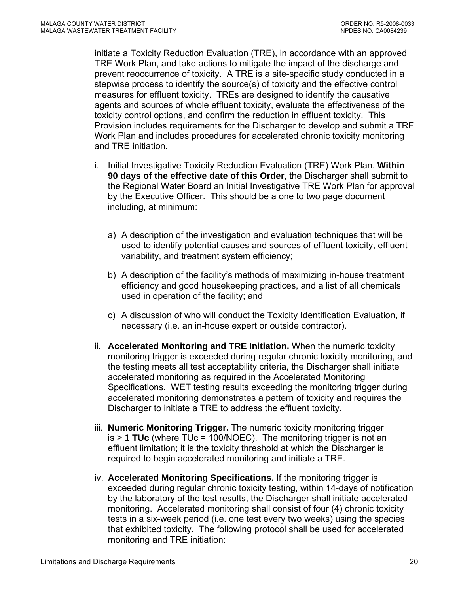initiate a Toxicity Reduction Evaluation (TRE), in accordance with an approved TRE Work Plan, and take actions to mitigate the impact of the discharge and prevent reoccurrence of toxicity. A TRE is a site-specific study conducted in a stepwise process to identify the source(s) of toxicity and the effective control measures for effluent toxicity. TREs are designed to identify the causative agents and sources of whole effluent toxicity, evaluate the effectiveness of the toxicity control options, and confirm the reduction in effluent toxicity. This Provision includes requirements for the Discharger to develop and submit a TRE Work Plan and includes procedures for accelerated chronic toxicity monitoring and TRE initiation.

- i. Initial Investigative Toxicity Reduction Evaluation (TRE) Work Plan. **Within 90 days of the effective date of this Order**, the Discharger shall submit to the Regional Water Board an Initial Investigative TRE Work Plan for approval by the Executive Officer. This should be a one to two page document including, at minimum:
	- a) A description of the investigation and evaluation techniques that will be used to identify potential causes and sources of effluent toxicity, effluent variability, and treatment system efficiency;
	- b) A description of the facility's methods of maximizing in-house treatment efficiency and good housekeeping practices, and a list of all chemicals used in operation of the facility; and
	- c) A discussion of who will conduct the Toxicity Identification Evaluation, if necessary (i.e. an in-house expert or outside contractor).
- ii. **Accelerated Monitoring and TRE Initiation.** When the numeric toxicity monitoring trigger is exceeded during regular chronic toxicity monitoring, and the testing meets all test acceptability criteria, the Discharger shall initiate accelerated monitoring as required in the Accelerated Monitoring Specifications. WET testing results exceeding the monitoring trigger during accelerated monitoring demonstrates a pattern of toxicity and requires the Discharger to initiate a TRE to address the effluent toxicity.
- iii. **Numeric Monitoring Trigger.** The numeric toxicity monitoring trigger is > **1 TUc** (where TUc = 100/NOEC). The monitoring trigger is not an effluent limitation; it is the toxicity threshold at which the Discharger is required to begin accelerated monitoring and initiate a TRE.
- iv. **Accelerated Monitoring Specifications.** If the monitoring trigger is exceeded during regular chronic toxicity testing, within 14-days of notification by the laboratory of the test results, the Discharger shall initiate accelerated monitoring. Accelerated monitoring shall consist of four (4) chronic toxicity tests in a six-week period (i.e. one test every two weeks) using the species that exhibited toxicity. The following protocol shall be used for accelerated monitoring and TRE initiation: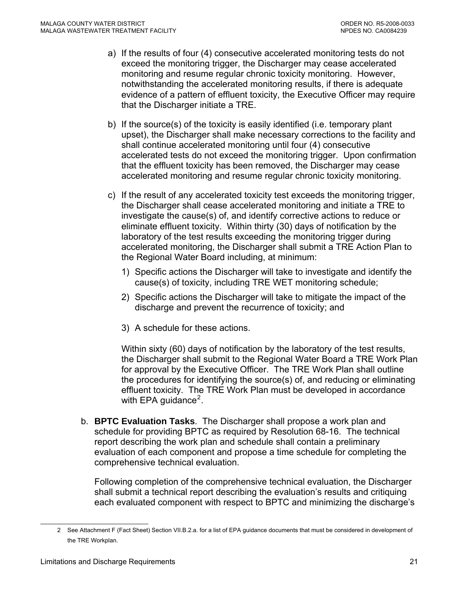- a) If the results of four (4) consecutive accelerated monitoring tests do not exceed the monitoring trigger, the Discharger may cease accelerated monitoring and resume regular chronic toxicity monitoring. However, notwithstanding the accelerated monitoring results, if there is adequate evidence of a pattern of effluent toxicity, the Executive Officer may require that the Discharger initiate a TRE.
- b) If the source(s) of the toxicity is easily identified (i.e. temporary plant upset), the Discharger shall make necessary corrections to the facility and shall continue accelerated monitoring until four (4) consecutive accelerated tests do not exceed the monitoring trigger. Upon confirmation that the effluent toxicity has been removed, the Discharger may cease accelerated monitoring and resume regular chronic toxicity monitoring.
- c) If the result of any accelerated toxicity test exceeds the monitoring trigger, the Discharger shall cease accelerated monitoring and initiate a TRE to investigate the cause(s) of, and identify corrective actions to reduce or eliminate effluent toxicity. Within thirty (30) days of notification by the laboratory of the test results exceeding the monitoring trigger during accelerated monitoring, the Discharger shall submit a TRE Action Plan to the Regional Water Board including, at minimum:
	- 1) Specific actions the Discharger will take to investigate and identify the cause(s) of toxicity, including TRE WET monitoring schedule;
	- 2) Specific actions the Discharger will take to mitigate the impact of the discharge and prevent the recurrence of toxicity; and
	- 3) A schedule for these actions.

Within sixty (60) days of notification by the laboratory of the test results, the Discharger shall submit to the Regional Water Board a TRE Work Plan for approval by the Executive Officer. The TRE Work Plan shall outline the procedures for identifying the source(s) of, and reducing or eliminating effluent toxicity. The TRE Work Plan must be developed in accordance with EPA guidance<sup>[2](#page-20-0)</sup>.

b. **BPTC Evaluation Tasks**. The Discharger shall propose a work plan and schedule for providing BPTC as required by Resolution 68-16. The technical report describing the work plan and schedule shall contain a preliminary evaluation of each component and propose a time schedule for completing the comprehensive technical evaluation.

Following completion of the comprehensive technical evaluation, the Discharger shall submit a technical report describing the evaluation's results and critiquing each evaluated component with respect to BPTC and minimizing the discharge's

<span id="page-20-0"></span> $\overline{a}$ 

<sup>2</sup>See Attachment F (Fact Sheet) Section VII.B.2.a. for a list of EPA guidance documents that must be considered in development of the TRE Workplan.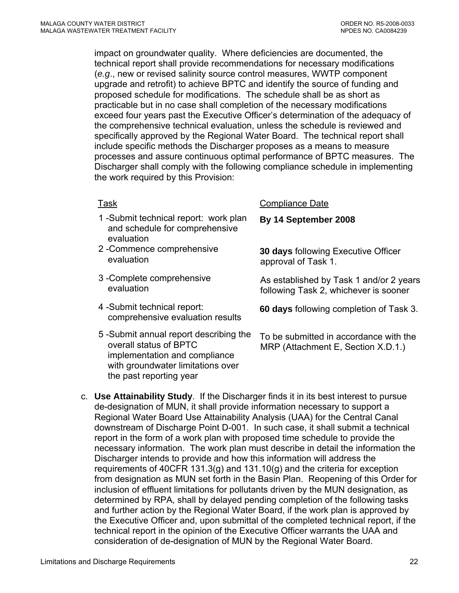impact on groundwater quality. Where deficiencies are documented, the technical report shall provide recommendations for necessary modifications (*e.g*., new or revised salinity source control measures, WWTP component upgrade and retrofit) to achieve BPTC and identify the source of funding and proposed schedule for modifications. The schedule shall be as short as practicable but in no case shall completion of the necessary modifications exceed four years past the Executive Officer's determination of the adequacy of the comprehensive technical evaluation, unless the schedule is reviewed and specifically approved by the Regional Water Board. The technical report shall include specific methods the Discharger proposes as a means to measure processes and assure continuous optimal performance of BPTC measures. The Discharger shall comply with the following compliance schedule in implementing the work required by this Provision:

- 1 -Submit technical report: work plan and schedule for comprehensive evaluation
- 2 -Commence comprehensive
- 3 -Complete comprehensive
- 4 -Submit technical report: -Submit technical report:<br>comprehensive evaluation results<br>**60 days** following completion of Task 3.
- 5 -Submit annual report describing the overall status of BPTC implementation and compliance with groundwater limitations over the past reporting year

#### Task Compliance Date

#### **By 14 September 2008**

Commence comprehensive **30 days** following Executive Officer<br>
approval of Task 1 approval of Task 1.

Complete comprehensive Task 1 and/or 2 years<br>Evaluation As established by Task 1 and/or 2 years following Task 2, whichever is sooner

To be submitted in accordance with the MRP [\(Attachment E, Section X.D.1.\)](#page-0-0)

c. **Use Attainability Study**. If the Discharger finds it in its best interest to pursue de-designation of MUN, it shall provide information necessary to support a Regional Water Board Use Attainability Analysis (UAA) for the Central Canal downstream of Discharge Point D-001. In such case, it shall submit a technical report in the form of a work plan with proposed time schedule to provide the necessary information. The work plan must describe in detail the information the Discharger intends to provide and how this information will address the requirements of 40CFR 131.3(g) and 131.10(g) and the criteria for exception from designation as MUN set forth in the Basin Plan. Reopening of this Order for inclusion of effluent limitations for pollutants driven by the MUN designation, as determined by RPA, shall by delayed pending completion of the following tasks and further action by the Regional Water Board, if the work plan is approved by the Executive Officer and, upon submittal of the completed technical report, if the technical report in the opinion of the Executive Officer warrants the UAA and consideration of de-designation of MUN by the Regional Water Board.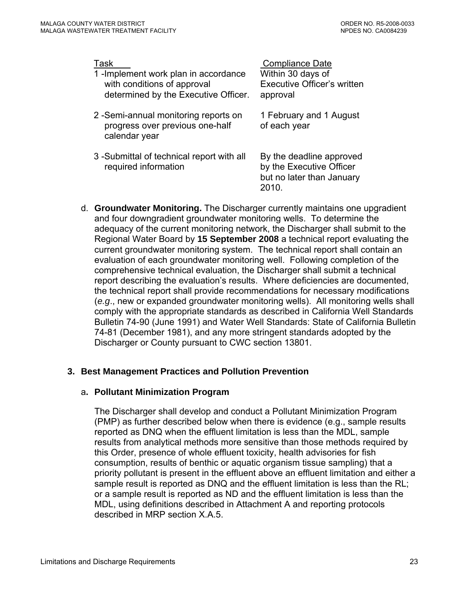<span id="page-22-0"></span>

| Task<br>1-Implement work plan in accordance<br>with conditions of approval<br>determined by the Executive Officer. | <b>Compliance Date</b><br>Within 30 days of<br><b>Executive Officer's written</b><br>approval |
|--------------------------------------------------------------------------------------------------------------------|-----------------------------------------------------------------------------------------------|
| 2-Semi-annual monitoring reports on<br>progress over previous one-half<br>calendar year                            | 1 February and 1 August<br>of each year                                                       |
| 3 - Submittal of technical report with all<br>required information                                                 | By the deadline approved<br>by the Executive Officer<br>but no later than January<br>2010.    |

d. **Groundwater Monitoring.** The Discharger currently maintains one upgradient and four downgradient groundwater monitoring wells. To determine the adequacy of the current monitoring network, the Discharger shall submit to the Regional Water Board by **15 September 2008** a technical report evaluating the current groundwater monitoring system. The technical report shall contain an evaluation of each groundwater monitoring well. Following completion of the comprehensive technical evaluation, the Discharger shall submit a technical report describing the evaluation's results. Where deficiencies are documented, the technical report shall provide recommendations for necessary modifications (*e.g*., new or expanded groundwater monitoring wells). All monitoring wells shall comply with the appropriate standards as described in California Well Standards Bulletin 74-90 (June 1991) and Water Well Standards: State of California Bulletin 74-81 (December 1981), and any more stringent standards adopted by the Discharger or County pursuant to CWC section 13801.

#### **3. Best Management Practices and Pollution Prevention**

#### a**. Pollutant Minimization Program**

The Discharger shall develop and conduct a Pollutant Minimization Program (PMP) as further described below when there is evidence (e.g., sample results reported as DNQ when the effluent limitation is less than the MDL, sample results from analytical methods more sensitive than those methods required by this Order, presence of whole effluent toxicity, health advisories for fish consumption, results of benthic or aquatic organism tissue sampling) that a priority pollutant is present in the effluent above an effluent limitation and either a sample result is reported as DNQ and the effluent limitation is less than the RL; or a sample result is reported as ND and the effluent limitation is less than the MDL, using definitions described in Attachment A and reporting protocols described in MRP section X.A.5.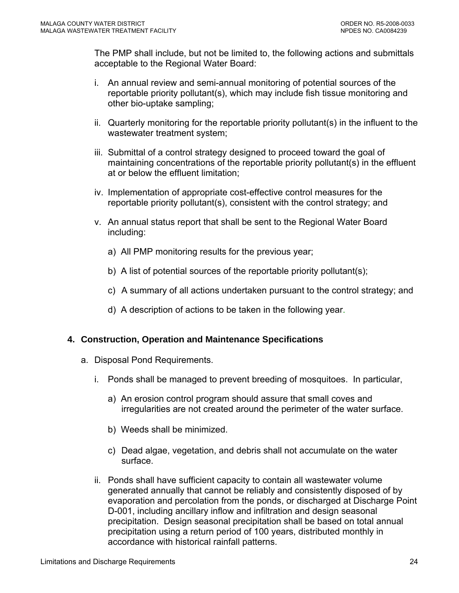<span id="page-23-0"></span>The PMP shall include, but not be limited to, the following actions and submittals acceptable to the Regional Water Board:

- i. An annual review and semi-annual monitoring of potential sources of the reportable priority pollutant(s), which may include fish tissue monitoring and other bio-uptake sampling;
- ii. Quarterly monitoring for the reportable priority pollutant(s) in the influent to the wastewater treatment system;
- iii. Submittal of a control strategy designed to proceed toward the goal of maintaining concentrations of the reportable priority pollutant(s) in the effluent at or below the effluent limitation;
- iv. Implementation of appropriate cost-effective control measures for the reportable priority pollutant(s), consistent with the control strategy; and
- v. An annual status report that shall be sent to the Regional Water Board including:
	- a) All PMP monitoring results for the previous year;
	- b) A list of potential sources of the reportable priority pollutant(s);
	- c) A summary of all actions undertaken pursuant to the control strategy; and
	- d) A description of actions to be taken in the following year.

## **4. Construction, Operation and Maintenance Specifications**

- a. Disposal Pond Requirements.
	- i. Ponds shall be managed to prevent breeding of mosquitoes. In particular,
		- a) An erosion control program should assure that small coves and irregularities are not created around the perimeter of the water surface.
		- b) Weeds shall be minimized.
		- c) Dead algae, vegetation, and debris shall not accumulate on the water surface.
	- ii. Ponds shall have sufficient capacity to contain all wastewater volume generated annually that cannot be reliably and consistently disposed of by evaporation and percolation from the ponds, or discharged at Discharge Point D-001, including ancillary inflow and infiltration and design seasonal precipitation. Design seasonal precipitation shall be based on total annual precipitation using a return period of 100 years, distributed monthly in accordance with historical rainfall patterns.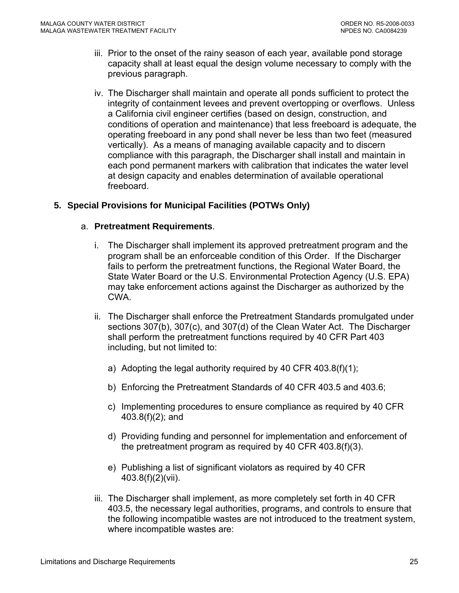- <span id="page-24-0"></span>iii. Prior to the onset of the rainy season of each year, available pond storage capacity shall at least equal the design volume necessary to comply with the previous paragraph.
- iv. The Discharger shall maintain and operate all ponds sufficient to protect the integrity of containment levees and prevent overtopping or overflows. Unless a California civil engineer certifies (based on design, construction, and conditions of operation and maintenance) that less freeboard is adequate, the operating freeboard in any pond shall never be less than two feet (measured vertically). As a means of managing available capacity and to discern compliance with this paragraph, the Discharger shall install and maintain in each pond permanent markers with calibration that indicates the water level at design capacity and enables determination of available operational freeboard.

## **5. Special Provisions for Municipal Facilities (POTWs Only)**

#### a. **Pretreatment Requirements**.

- i. The Discharger shall implement its approved pretreatment program and the program shall be an enforceable condition of this Order. If the Discharger fails to perform the pretreatment functions, the Regional Water Board, the State Water Board or the U.S. Environmental Protection Agency (U.S. EPA) may take enforcement actions against the Discharger as authorized by the CWA.
- ii. The Discharger shall enforce the Pretreatment Standards promulgated under sections 307(b), 307(c), and 307(d) of the Clean Water Act. The Discharger shall perform the pretreatment functions required by 40 CFR Part 403 including, but not limited to:
	- a) Adopting the legal authority required by 40 CFR 403.8(f)(1);
	- b) Enforcing the Pretreatment Standards of 40 CFR 403.5 and 403.6;
	- c) Implementing procedures to ensure compliance as required by 40 CFR 403.8(f)(2); and
	- d) Providing funding and personnel for implementation and enforcement of the pretreatment program as required by 40 CFR 403.8(f)(3).
	- e) Publishing a list of significant violators as required by 40 CFR 403.8(f)(2)(vii).
- iii. The Discharger shall implement, as more completely set forth in 40 CFR 403.5, the necessary legal authorities, programs, and controls to ensure that the following incompatible wastes are not introduced to the treatment system, where incompatible wastes are: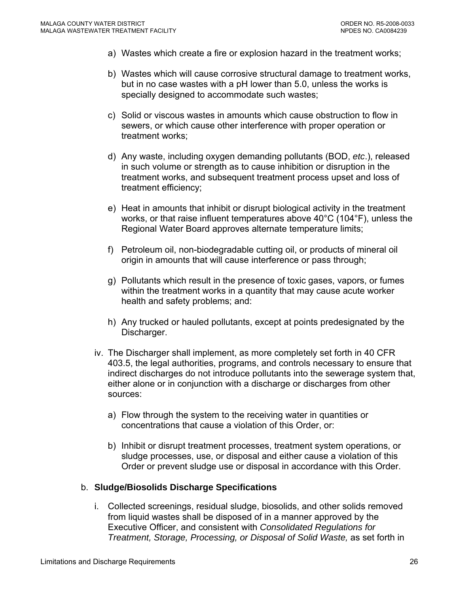- a) Wastes which create a fire or explosion hazard in the treatment works;
- b) Wastes which will cause corrosive structural damage to treatment works, but in no case wastes with a pH lower than 5.0, unless the works is specially designed to accommodate such wastes;
- c) Solid or viscous wastes in amounts which cause obstruction to flow in sewers, or which cause other interference with proper operation or treatment works;
- d) Any waste, including oxygen demanding pollutants (BOD, *etc*.), released in such volume or strength as to cause inhibition or disruption in the treatment works, and subsequent treatment process upset and loss of treatment efficiency;
- e) Heat in amounts that inhibit or disrupt biological activity in the treatment works, or that raise influent temperatures above 40°C (104°F), unless the Regional Water Board approves alternate temperature limits;
- f) Petroleum oil, non-biodegradable cutting oil, or products of mineral oil origin in amounts that will cause interference or pass through;
- g) Pollutants which result in the presence of toxic gases, vapors, or fumes within the treatment works in a quantity that may cause acute worker health and safety problems; and:
- h) Any trucked or hauled pollutants, except at points predesignated by the Discharger.
- iv. The Discharger shall implement, as more completely set forth in 40 CFR 403.5, the legal authorities, programs, and controls necessary to ensure that indirect discharges do not introduce pollutants into the sewerage system that, either alone or in conjunction with a discharge or discharges from other sources:
	- a) Flow through the system to the receiving water in quantities or concentrations that cause a violation of this Order, or:
	- b) Inhibit or disrupt treatment processes, treatment system operations, or sludge processes, use, or disposal and either cause a violation of this Order or prevent sludge use or disposal in accordance with this Order.

#### b. **Sludge/Biosolids Discharge Specifications**

i. Collected screenings, residual sludge, biosolids, and other solids removed from liquid wastes shall be disposed of in a manner approved by the Executive Officer, and consistent with *Consolidated Regulations for Treatment, Storage, Processing, or Disposal of Solid Waste,* as set forth in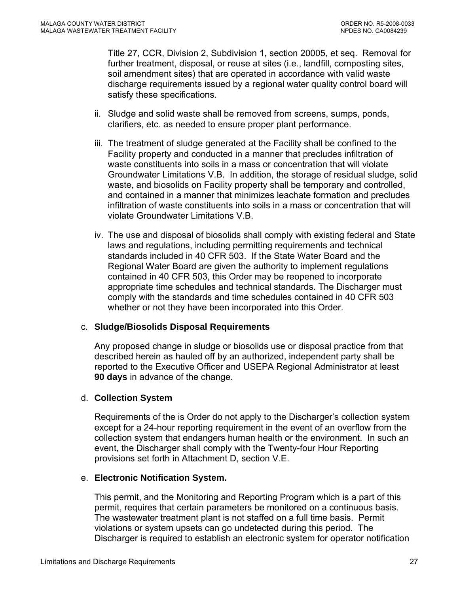Title 27, CCR, Division 2, Subdivision 1, section 20005, et seq. Removal for further treatment, disposal, or reuse at sites (i.e., landfill, composting sites, soil amendment sites) that are operated in accordance with valid waste discharge requirements issued by a regional water quality control board will satisfy these specifications.

- ii. Sludge and solid waste shall be removed from screens, sumps, ponds, clarifiers, etc. as needed to ensure proper plant performance.
- iii. The treatment of sludge generated at the Facility shall be confined to the Facility property and conducted in a manner that precludes infiltration of waste constituents into soils in a mass or concentration that will violate Groundwater Limitations V.B. In addition, the storage of residual sludge, solid waste, and biosolids on Facility property shall be temporary and controlled, and contained in a manner that minimizes leachate formation and precludes infiltration of waste constituents into soils in a mass or concentration that will violate Groundwater Limitations V.B.
- iv. The use and disposal of biosolids shall comply with existing federal and State laws and regulations, including permitting requirements and technical standards included in 40 CFR 503. If the State Water Board and the Regional Water Board are given the authority to implement regulations contained in 40 CFR 503, this Order may be reopened to incorporate appropriate time schedules and technical standards. The Discharger must comply with the standards and time schedules contained in 40 CFR 503 whether or not they have been incorporated into this Order.

#### c. **Sludge/Biosolids Disposal Requirements**

Any proposed change in sludge or biosolids use or disposal practice from that described herein as hauled off by an authorized, independent party shall be reported to the Executive Officer and USEPA Regional Administrator at least **90 days** in advance of the change.

## d. **Collection System**

Requirements of the is Order do not apply to the Discharger's collection system except for a 24-hour reporting requirement in the event of an overflow from the collection system that endangers human health or the environment. In such an event, the Discharger shall comply with the Twenty-four Hour Reporting provisions set forth in Attachment D, section V.E.

## e. **Electronic Notification System.**

This permit, and the Monitoring and Reporting Program which is a part of this permit, requires that certain parameters be monitored on a continuous basis. The wastewater treatment plant is not staffed on a full time basis. Permit violations or system upsets can go undetected during this period. The Discharger is required to establish an electronic system for operator notification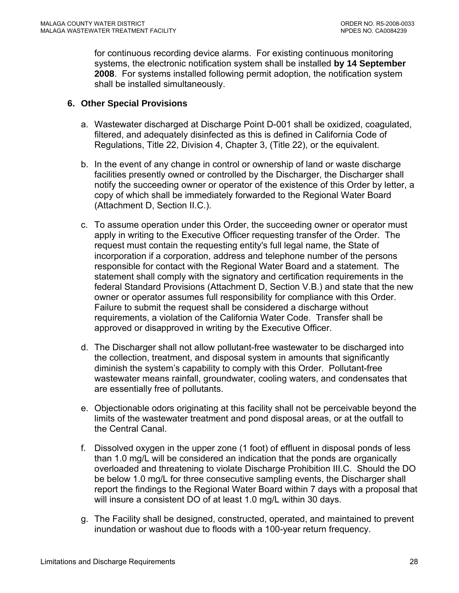<span id="page-27-0"></span>for continuous recording device alarms. For existing continuous monitoring systems, the electronic notification system shall be installed **by 14 September 2008**. For systems installed following permit adoption, the notification system shall be installed simultaneously.

## **6. Other Special Provisions**

- a. Wastewater discharged at Discharge Point D-001 shall be oxidized, coagulated, filtered, and adequately disinfected as this is defined in California Code of Regulations, Title 22, Division 4, Chapter 3, (Title 22), or the equivalent.
- b. In the event of any change in control or ownership of land or waste discharge facilities presently owned or controlled by the Discharger, the Discharger shall notify the succeeding owner or operator of the existence of this Order by letter, a copy of which shall be immediately forwarded to the Regional Water Board (Attachment D, Section II.C.).
- c. To assume operation under this Order, the succeeding owner or operator must apply in writing to the Executive Officer requesting transfer of the Order. The request must contain the requesting entity's full legal name, the State of incorporation if a corporation, address and telephone number of the persons responsible for contact with the Regional Water Board and a statement. The statement shall comply with the signatory and certification requirements in the federal Standard Provisions (Attachment D, Section V.B.) and state that the new owner or operator assumes full responsibility for compliance with this Order. Failure to submit the request shall be considered a discharge without requirements, a violation of the California Water Code. Transfer shall be approved or disapproved in writing by the Executive Officer.
- d. The Discharger shall not allow pollutant-free wastewater to be discharged into the collection, treatment, and disposal system in amounts that significantly diminish the system's capability to comply with this Order. Pollutant-free wastewater means rainfall, groundwater, cooling waters, and condensates that are essentially free of pollutants.
- e. Objectionable odors originating at this facility shall not be perceivable beyond the limits of the wastewater treatment and pond disposal areas, or at the outfall to the Central Canal.
- f. Dissolved oxygen in the upper zone (1 foot) of effluent in disposal ponds of less than 1.0 mg/L will be considered an indication that the ponds are organically overloaded and threatening to violate Discharge Prohibition III.C. Should the DO be below 1.0 mg/L for three consecutive sampling events, the Discharger shall report the findings to the Regional Water Board within 7 days with a proposal that will insure a consistent DO of at least 1.0 mg/L within 30 days.
- g. The Facility shall be designed, constructed, operated, and maintained to prevent inundation or washout due to floods with a 100-year return frequency.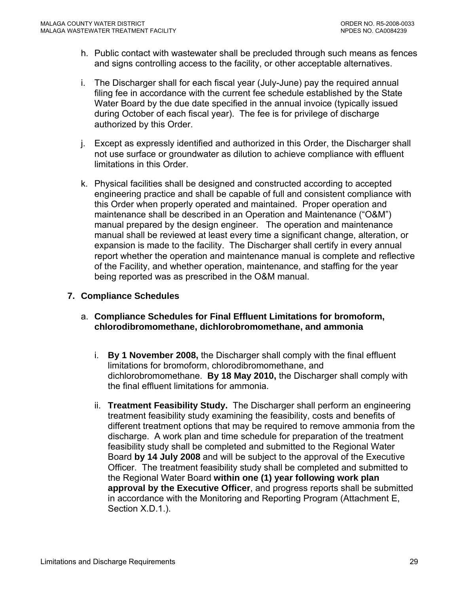- <span id="page-28-0"></span>h. Public contact with wastewater shall be precluded through such means as fences and signs controlling access to the facility, or other acceptable alternatives.
- i. The Discharger shall for each fiscal year (July-June) pay the required annual filing fee in accordance with the current fee schedule established by the State Water Board by the due date specified in the annual invoice (typically issued during October of each fiscal year). The fee is for privilege of discharge authorized by this Order.
- j. Except as expressly identified and authorized in this Order, the Discharger shall not use surface or groundwater as dilution to achieve compliance with effluent limitations in this Order.
- k. Physical facilities shall be designed and constructed according to accepted engineering practice and shall be capable of full and consistent compliance with this Order when properly operated and maintained. Proper operation and maintenance shall be described in an Operation and Maintenance ("O&M") manual prepared by the design engineer. The operation and maintenance manual shall be reviewed at least every time a significant change, alteration, or expansion is made to the facility. The Discharger shall certify in every annual report whether the operation and maintenance manual is complete and reflective of the Facility, and whether operation, maintenance, and staffing for the year being reported was as prescribed in the O&M manual.

## **7. Compliance Schedules**

- a. **Compliance Schedules for Final Effluent Limitations for bromoform, chlorodibromomethane, dichlorobromomethane, and ammonia** 
	- i. **By 1 November 2008,** the Discharger shall comply with the final effluent limitations for bromoform, chlorodibromomethane, and dichlorobromomethane. **By 18 May 2010,** the Discharger shall comply with the final effluent limitations for ammonia.
	- ii. **Treatment Feasibility Study.** The Discharger shall perform an engineering treatment feasibility study examining the feasibility, costs and benefits of different treatment options that may be required to remove ammonia from the discharge. A work plan and time schedule for preparation of the treatment feasibility study shall be completed and submitted to the Regional Water Board **by 14 July 2008** and will be subject to the approval of the Executive Officer. The treatment feasibility study shall be completed and submitted to the Regional Water Board **within one (1) year following work plan approval by the Executive Officer**, and progress reports shall be submitted in accordance with the Monitoring and Reporting Program (Attachment E, Section X.D.1.).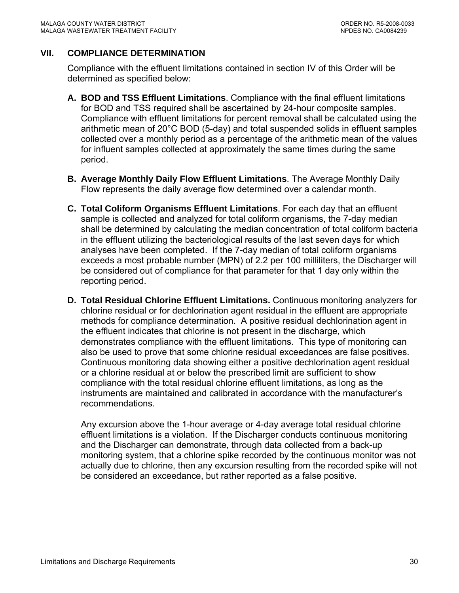## <span id="page-29-0"></span>**VII. COMPLIANCE DETERMINATION**

Compliance with the effluent limitations contained in section IV of this Order will be determined as specified below:

- **A. BOD and TSS Effluent Limitations**. Compliance with the final effluent limitations for BOD and TSS required shall be ascertained by 24-hour composite samples. Compliance with effluent limitations for percent removal shall be calculated using the arithmetic mean of 20°C BOD (5-day) and total suspended solids in effluent samples collected over a monthly period as a percentage of the arithmetic mean of the values for influent samples collected at approximately the same times during the same period.
- **B. Average Monthly Daily Flow Effluent Limitations**. The Average Monthly Daily Flow represents the daily average flow determined over a calendar month.
- **C. Total Coliform Organisms Effluent Limitations**. For each day that an effluent sample is collected and analyzed for total coliform organisms, the 7-day median shall be determined by calculating the median concentration of total coliform bacteria in the effluent utilizing the bacteriological results of the last seven days for which analyses have been completed. If the 7-day median of total coliform organisms exceeds a most probable number (MPN) of 2.2 per 100 milliliters, the Discharger will be considered out of compliance for that parameter for that 1 day only within the reporting period.
- **D. Total Residual Chlorine Effluent Limitations.** Continuous monitoring analyzers for chlorine residual or for dechlorination agent residual in the effluent are appropriate methods for compliance determination. A positive residual dechlorination agent in the effluent indicates that chlorine is not present in the discharge, which demonstrates compliance with the effluent limitations. This type of monitoring can also be used to prove that some chlorine residual exceedances are false positives. Continuous monitoring data showing either a positive dechlorination agent residual or a chlorine residual at or below the prescribed limit are sufficient to show compliance with the total residual chlorine effluent limitations, as long as the instruments are maintained and calibrated in accordance with the manufacturer's recommendations.

Any excursion above the 1-hour average or 4-day average total residual chlorine effluent limitations is a violation. If the Discharger conducts continuous monitoring and the Discharger can demonstrate, through data collected from a back-up monitoring system, that a chlorine spike recorded by the continuous monitor was not actually due to chlorine, then any excursion resulting from the recorded spike will not be considered an exceedance, but rather reported as a false positive.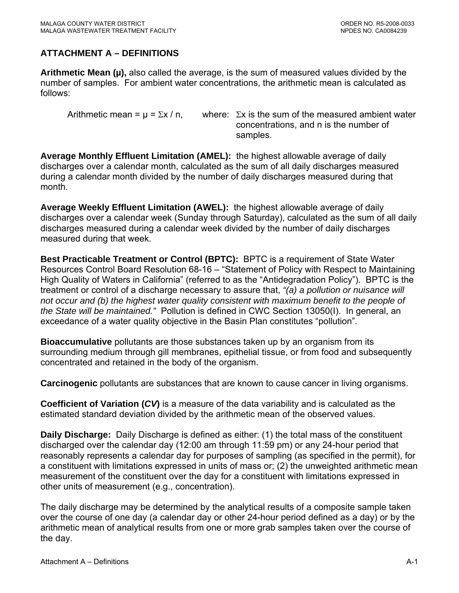# <span id="page-30-0"></span>**ATTACHMENT A – DEFINITIONS**

**Arithmetic Mean (µ),** also called the average, is the sum of measured values divided by the number of samples. For ambient water concentrations, the arithmetic mean is calculated as follows:

Arithmetic mean =  $\mu$  =  $\Sigma x / n$ , where:  $\Sigma x$  is the sum of the measured ambient water concentrations, and n is the number of samples.

**Average Monthly Effluent Limitation (AMEL):** the highest allowable average of daily discharges over a calendar month, calculated as the sum of all daily discharges measured during a calendar month divided by the number of daily discharges measured during that month.

**Average Weekly Effluent Limitation (AWEL):** the highest allowable average of daily discharges over a calendar week (Sunday through Saturday), calculated as the sum of all daily discharges measured during a calendar week divided by the number of daily discharges measured during that week.

**Best Practicable Treatment or Control (BPTC):** BPTC is a requirement of State Water Resources Control Board Resolution 68-16 – "Statement of Policy with Respect to Maintaining High Quality of Waters in California" (referred to as the "Antidegradation Policy"). BPTC is the treatment or control of a discharge necessary to assure that, *"(a) a pollution or nuisance will not occur and (b) the highest water quality consistent with maximum benefit to the people of the State will be maintained."* Pollution is defined in CWC Section 13050(I). In general, an exceedance of a water quality objective in the Basin Plan constitutes "pollution".

**Bioaccumulative** pollutants are those substances taken up by an organism from its surrounding medium through gill membranes, epithelial tissue, or from food and subsequently concentrated and retained in the body of the organism.

**Carcinogenic** pollutants are substances that are known to cause cancer in living organisms.

**Coefficient of Variation (***CV***)** is a measure of the data variability and is calculated as the estimated standard deviation divided by the arithmetic mean of the observed values.

**Daily Discharge:** Daily Discharge is defined as either: (1) the total mass of the constituent discharged over the calendar day (12:00 am through 11:59 pm) or any 24-hour period that reasonably represents a calendar day for purposes of sampling (as specified in the permit), for a constituent with limitations expressed in units of mass or; (2) the unweighted arithmetic mean measurement of the constituent over the day for a constituent with limitations expressed in other units of measurement (e.g., concentration).

The daily discharge may be determined by the analytical results of a composite sample taken over the course of one day (a calendar day or other 24-hour period defined as a day) or by the arithmetic mean of analytical results from one or more grab samples taken over the course of the day.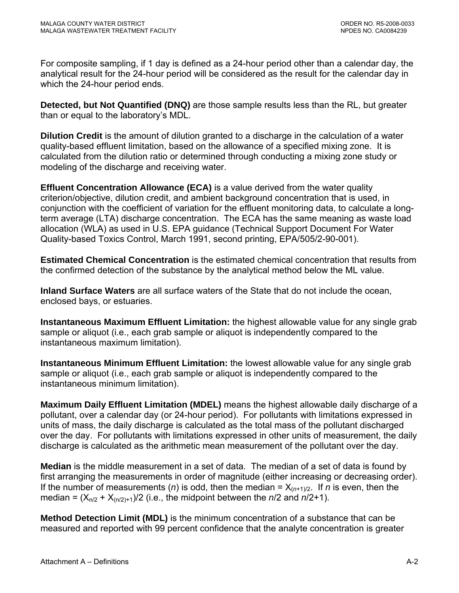For composite sampling, if 1 day is defined as a 24-hour period other than a calendar day, the analytical result for the 24-hour period will be considered as the result for the calendar day in which the 24-hour period ends.

**Detected, but Not Quantified (DNQ)** are those sample results less than the RL, but greater than or equal to the laboratory's MDL.

**Dilution Credit** is the amount of dilution granted to a discharge in the calculation of a water quality-based effluent limitation, based on the allowance of a specified mixing zone. It is calculated from the dilution ratio or determined through conducting a mixing zone study or modeling of the discharge and receiving water.

**Effluent Concentration Allowance (ECA)** is a value derived from the water quality criterion/objective, dilution credit, and ambient background concentration that is used, in conjunction with the coefficient of variation for the effluent monitoring data, to calculate a longterm average (LTA) discharge concentration. The ECA has the same meaning as waste load allocation (WLA) as used in U.S. EPA guidance (Technical Support Document For Water Quality-based Toxics Control, March 1991, second printing, EPA/505/2-90-001).

**Estimated Chemical Concentration** is the estimated chemical concentration that results from the confirmed detection of the substance by the analytical method below the ML value.

**Inland Surface Waters** are all surface waters of the State that do not include the ocean, enclosed bays, or estuaries.

**Instantaneous Maximum Effluent Limitation:** the highest allowable value for any single grab sample or aliquot (i.e., each grab sample or aliquot is independently compared to the instantaneous maximum limitation).

**Instantaneous Minimum Effluent Limitation:** the lowest allowable value for any single grab sample or aliquot (i.e., each grab sample or aliquot is independently compared to the instantaneous minimum limitation).

**Maximum Daily Effluent Limitation (MDEL)** means the highest allowable daily discharge of a pollutant, over a calendar day (or 24-hour period). For pollutants with limitations expressed in units of mass, the daily discharge is calculated as the total mass of the pollutant discharged over the day. For pollutants with limitations expressed in other units of measurement, the daily discharge is calculated as the arithmetic mean measurement of the pollutant over the day.

**Median** is the middle measurement in a set of data. The median of a set of data is found by first arranging the measurements in order of magnitude (either increasing or decreasing order). If the number of measurements (*n*) is odd, then the median =  $X_{(n+1)/2}$ . If *n* is even, then the median =  $(X_{n/2} + X_{(n/2)+1})/2$  (i.e., the midpoint between the  $n/2$  and  $n/2+1$ ).

**Method Detection Limit (MDL)** is the minimum concentration of a substance that can be measured and reported with 99 percent confidence that the analyte concentration is greater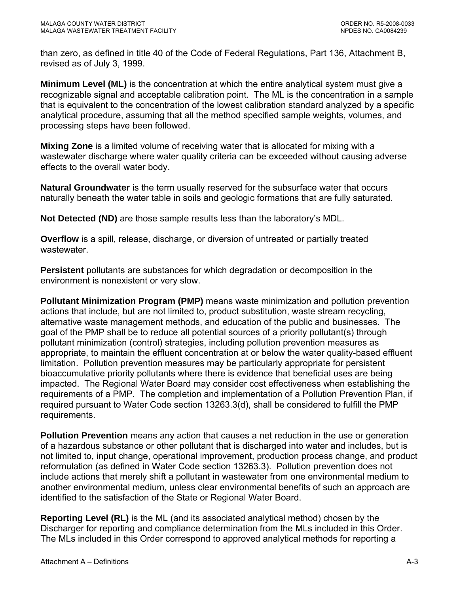than zero, as defined in title 40 of the Code of Federal Regulations, Part 136, Attachment B, revised as of July 3, 1999.

**Minimum Level (ML)** is the concentration at which the entire analytical system must give a recognizable signal and acceptable calibration point. The ML is the concentration in a sample that is equivalent to the concentration of the lowest calibration standard analyzed by a specific analytical procedure, assuming that all the method specified sample weights, volumes, and processing steps have been followed.

**Mixing Zone** is a limited volume of receiving water that is allocated for mixing with a wastewater discharge where water quality criteria can be exceeded without causing adverse effects to the overall water body.

**Natural Groundwater** is the term usually reserved for the subsurface water that occurs naturally beneath the water table in soils and geologic formations that are fully saturated.

**Not Detected (ND)** are those sample results less than the laboratory's MDL.

**Overflow** is a spill, release, discharge, or diversion of untreated or partially treated wastewater.

**Persistent** pollutants are substances for which degradation or decomposition in the environment is nonexistent or very slow.

**Pollutant Minimization Program (PMP)** means waste minimization and pollution prevention actions that include, but are not limited to, product substitution, waste stream recycling, alternative waste management methods, and education of the public and businesses. The goal of the PMP shall be to reduce all potential sources of a priority pollutant(s) through pollutant minimization (control) strategies, including pollution prevention measures as appropriate, to maintain the effluent concentration at or below the water quality-based effluent limitation. Pollution prevention measures may be particularly appropriate for persistent bioaccumulative priority pollutants where there is evidence that beneficial uses are being impacted. The Regional Water Board may consider cost effectiveness when establishing the requirements of a PMP. The completion and implementation of a Pollution Prevention Plan, if required pursuant to Water Code section 13263.3(d), shall be considered to fulfill the PMP requirements.

**Pollution Prevention** means any action that causes a net reduction in the use or generation of a hazardous substance or other pollutant that is discharged into water and includes, but is not limited to, input change, operational improvement, production process change, and product reformulation (as defined in Water Code section 13263.3). Pollution prevention does not include actions that merely shift a pollutant in wastewater from one environmental medium to another environmental medium, unless clear environmental benefits of such an approach are identified to the satisfaction of the State or Regional Water Board.

**Reporting Level (RL)** is the ML (and its associated analytical method) chosen by the Discharger for reporting and compliance determination from the MLs included in this Order. The MLs included in this Order correspond to approved analytical methods for reporting a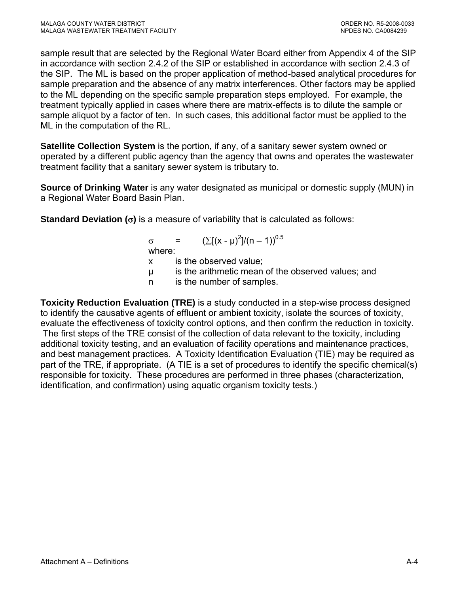sample result that are selected by the Regional Water Board either from Appendix 4 of the SIP in accordance with section 2.4.2 of the SIP or established in accordance with section 2.4.3 of the SIP. The ML is based on the proper application of method-based analytical procedures for sample preparation and the absence of any matrix interferences. Other factors may be applied to the ML depending on the specific sample preparation steps employed. For example, the treatment typically applied in cases where there are matrix-effects is to dilute the sample or sample aliquot by a factor of ten. In such cases, this additional factor must be applied to the ML in the computation of the RL.

**Satellite Collection System** is the portion, if any, of a sanitary sewer system owned or operated by a different public agency than the agency that owns and operates the wastewater treatment facility that a sanitary sewer system is tributary to.

**Source of Drinking Water** is any water designated as municipal or domestic supply (MUN) in a Regional Water Board Basin Plan.

**Standard Deviation (**σ**)** is a measure of variability that is calculated as follows:

 $\sigma = (\sum [(x - μ)^2]/(n - 1))^{0.5}$ where: x is the observed value; µ is the arithmetic mean of the observed values; and n is the number of samples.

**Toxicity Reduction Evaluation (TRE)** is a study conducted in a step-wise process designed to identify the causative agents of effluent or ambient toxicity, isolate the sources of toxicity, evaluate the effectiveness of toxicity control options, and then confirm the reduction in toxicity. The first steps of the TRE consist of the collection of data relevant to the toxicity, including additional toxicity testing, and an evaluation of facility operations and maintenance practices, and best management practices. A Toxicity Identification Evaluation (TIE) may be required as part of the TRE, if appropriate. (A TIE is a set of procedures to identify the specific chemical(s) responsible for toxicity. These procedures are performed in three phases (characterization, identification, and confirmation) using aquatic organism toxicity tests.)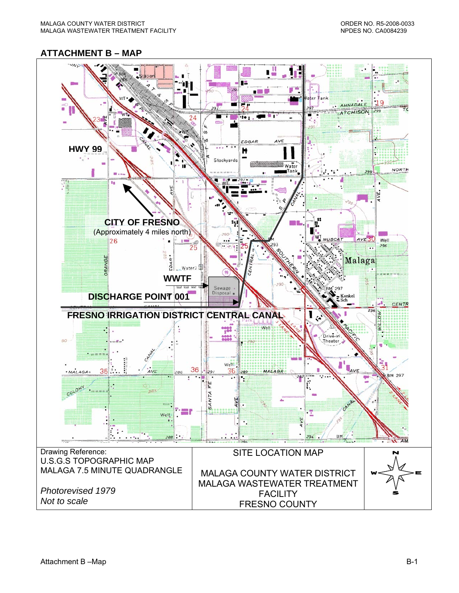#### <span id="page-34-0"></span>**ATTACHMENT B – MAP**

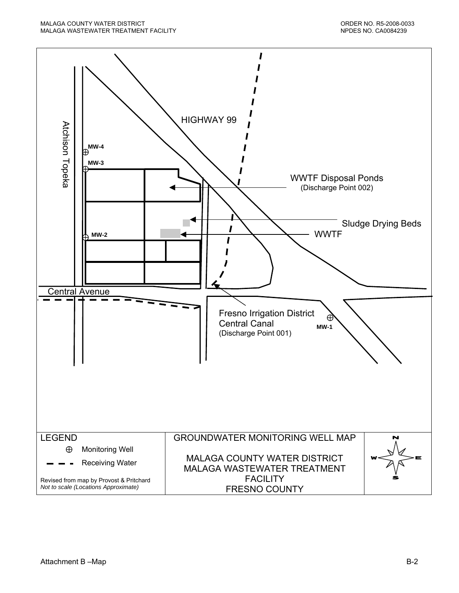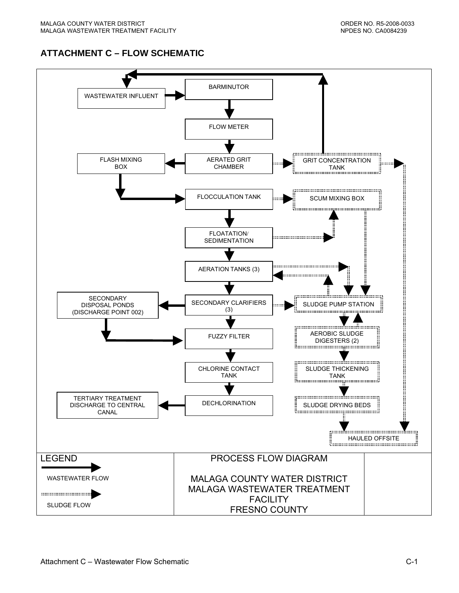# **ATTACHMENT C – FLOW SCHEMATIC**

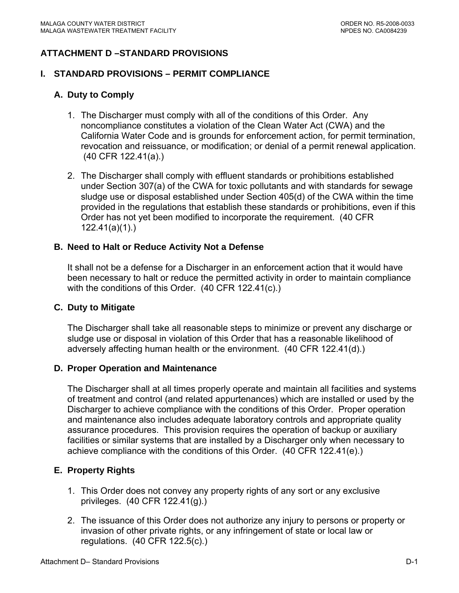# **ATTACHMENT D –STANDARD PROVISIONS**

#### **I. STANDARD PROVISIONS – PERMIT COMPLIANCE**

### **A. Duty to Comply**

- 1. The Discharger must comply with all of the conditions of this Order. Any noncompliance constitutes a violation of the Clean Water Act (CWA) and the California Water Code and is grounds for enforcement action, for permit termination, revocation and reissuance, or modification; or denial of a permit renewal application. (40 CFR 122.41(a).)
- 2. The Discharger shall comply with effluent standards or prohibitions established under Section 307(a) of the CWA for toxic pollutants and with standards for sewage sludge use or disposal established under Section 405(d) of the CWA within the time provided in the regulations that establish these standards or prohibitions, even if this Order has not yet been modified to incorporate the requirement. (40 CFR 122.41(a)(1).)

#### **B. Need to Halt or Reduce Activity Not a Defense**

It shall not be a defense for a Discharger in an enforcement action that it would have been necessary to halt or reduce the permitted activity in order to maintain compliance with the conditions of this Order. (40 CFR 122.41(c).)

#### **C. Duty to Mitigate**

The Discharger shall take all reasonable steps to minimize or prevent any discharge or sludge use or disposal in violation of this Order that has a reasonable likelihood of adversely affecting human health or the environment. (40 CFR 122.41(d).)

#### **D. Proper Operation and Maintenance**

The Discharger shall at all times properly operate and maintain all facilities and systems of treatment and control (and related appurtenances) which are installed or used by the Discharger to achieve compliance with the conditions of this Order. Proper operation and maintenance also includes adequate laboratory controls and appropriate quality assurance procedures. This provision requires the operation of backup or auxiliary facilities or similar systems that are installed by a Discharger only when necessary to achieve compliance with the conditions of this Order. (40 CFR 122.41(e).)

#### **E. Property Rights**

- 1. This Order does not convey any property rights of any sort or any exclusive privileges. (40 CFR 122.41(g).)
- 2. The issuance of this Order does not authorize any injury to persons or property or invasion of other private rights, or any infringement of state or local law or regulations. (40 CFR 122.5(c).)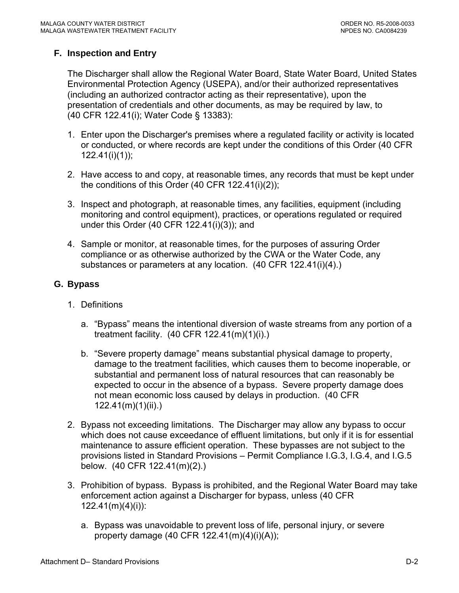# **F. Inspection and Entry**

The Discharger shall allow the Regional Water Board, State Water Board, United States Environmental Protection Agency (USEPA), and/or their authorized representatives (including an authorized contractor acting as their representative), upon the presentation of credentials and other documents, as may be required by law, to (40 CFR 122.41(i); Water Code § 13383):

- 1. Enter upon the Discharger's premises where a regulated facility or activity is located or conducted, or where records are kept under the conditions of this Order (40 CFR 122.41(i)(1));
- 2. Have access to and copy, at reasonable times, any records that must be kept under the conditions of this Order (40 CFR 122.41(i)(2));
- 3. Inspect and photograph, at reasonable times, any facilities, equipment (including monitoring and control equipment), practices, or operations regulated or required under this Order (40 CFR 122.41(i)(3)); and
- 4. Sample or monitor, at reasonable times, for the purposes of assuring Order compliance or as otherwise authorized by the CWA or the Water Code, any substances or parameters at any location. (40 CFR 122.41(i)(4).)

### **G. Bypass**

- 1. Definitions
	- a. "Bypass" means the intentional diversion of waste streams from any portion of a treatment facility. (40 CFR 122.41(m)(1)(i).)
	- b. "Severe property damage" means substantial physical damage to property, damage to the treatment facilities, which causes them to become inoperable, or substantial and permanent loss of natural resources that can reasonably be expected to occur in the absence of a bypass. Severe property damage does not mean economic loss caused by delays in production. (40 CFR 122.41(m)(1)(ii).)
- 2. Bypass not exceeding limitations. The Discharger may allow any bypass to occur which does not cause exceedance of effluent limitations, but only if it is for essential maintenance to assure efficient operation. These bypasses are not subject to the provisions listed in Standard Provisions – Permit Compliance I.G.3, I.G.4, and I.G.5 below. (40 CFR 122.41(m)(2).)
- 3. Prohibition of bypass. Bypass is prohibited, and the Regional Water Board may take enforcement action against a Discharger for bypass, unless (40 CFR 122.41(m)(4)(i)):
	- a. Bypass was unavoidable to prevent loss of life, personal injury, or severe property damage (40 CFR 122.41(m)(4)(i)(A));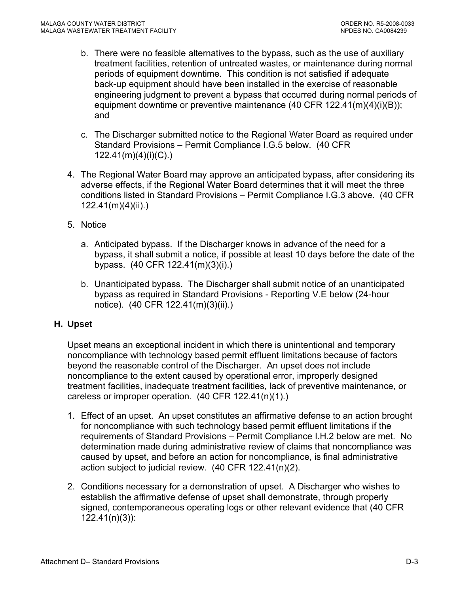- b. There were no feasible alternatives to the bypass, such as the use of auxiliary treatment facilities, retention of untreated wastes, or maintenance during normal periods of equipment downtime. This condition is not satisfied if adequate back-up equipment should have been installed in the exercise of reasonable engineering judgment to prevent a bypass that occurred during normal periods of equipment downtime or preventive maintenance (40 CFR 122.41(m)(4)(i)(B)); and
- c. The Discharger submitted notice to the Regional Water Board as required under Standard Provisions – Permit Compliance I.G.5 below. (40 CFR 122.41(m)(4)(i)(C).)
- 4. The Regional Water Board may approve an anticipated bypass, after considering its adverse effects, if the Regional Water Board determines that it will meet the three conditions listed in Standard Provisions – Permit Compliance I.G.3 above. (40 CFR 122.41(m)(4)(ii).)
- 5. Notice
	- a. Anticipated bypass. If the Discharger knows in advance of the need for a bypass, it shall submit a notice, if possible at least 10 days before the date of the bypass. (40 CFR 122.41(m)(3)(i).)
	- b. Unanticipated bypass. The Discharger shall submit notice of an unanticipated bypass as required in Standard Provisions - Reporting V.E below (24-hour notice). (40 CFR 122.41(m)(3)(ii).)

### **H. Upset**

Upset means an exceptional incident in which there is unintentional and temporary noncompliance with technology based permit effluent limitations because of factors beyond the reasonable control of the Discharger. An upset does not include noncompliance to the extent caused by operational error, improperly designed treatment facilities, inadequate treatment facilities, lack of preventive maintenance, or careless or improper operation. (40 CFR 122.41(n)(1).)

- 1. Effect of an upset. An upset constitutes an affirmative defense to an action brought for noncompliance with such technology based permit effluent limitations if the requirements of Standard Provisions – Permit Compliance I.H.2 below are met. No determination made during administrative review of claims that noncompliance was caused by upset, and before an action for noncompliance, is final administrative action subject to judicial review. (40 CFR 122.41(n)(2).
- 2. Conditions necessary for a demonstration of upset. A Discharger who wishes to establish the affirmative defense of upset shall demonstrate, through properly signed, contemporaneous operating logs or other relevant evidence that (40 CFR 122.41(n)(3)):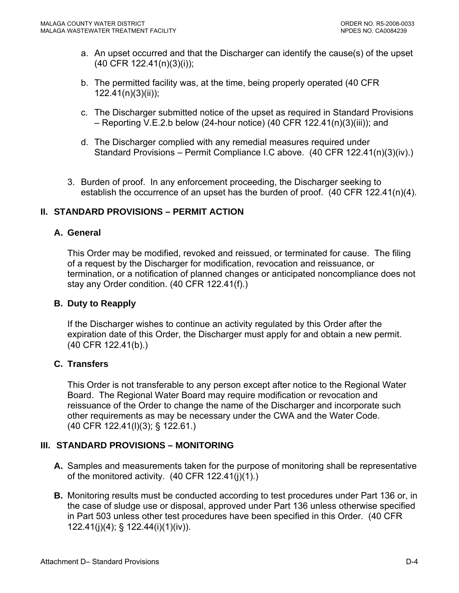- a. An upset occurred and that the Discharger can identify the cause(s) of the upset (40 CFR 122.41(n)(3)(i));
- b. The permitted facility was, at the time, being properly operated (40 CFR 122.41(n)(3)(ii));
- c. The Discharger submitted notice of the upset as required in Standard Provisions – Reporting V.E.2.b below (24-hour notice) (40 CFR 122.41(n)(3)(iii)); and
- d. The Discharger complied with any remedial measures required under Standard Provisions – Permit Compliance I.C above. (40 CFR 122.41(n)(3)(iv).)
- 3. Burden of proof. In any enforcement proceeding, the Discharger seeking to establish the occurrence of an upset has the burden of proof. (40 CFR 122.41(n)(4).

### **II. STANDARD PROVISIONS – PERMIT ACTION**

### **A. General**

This Order may be modified, revoked and reissued, or terminated for cause. The filing of a request by the Discharger for modification, revocation and reissuance, or termination, or a notification of planned changes or anticipated noncompliance does not stay any Order condition. (40 CFR 122.41(f).)

#### **B. Duty to Reapply**

If the Discharger wishes to continue an activity regulated by this Order after the expiration date of this Order, the Discharger must apply for and obtain a new permit. (40 CFR 122.41(b).)

### **C. Transfers**

This Order is not transferable to any person except after notice to the Regional Water Board. The Regional Water Board may require modification or revocation and reissuance of the Order to change the name of the Discharger and incorporate such other requirements as may be necessary under the CWA and the Water Code. (40 CFR 122.41(l)(3); § 122.61.)

### **III. STANDARD PROVISIONS – MONITORING**

- **A.** Samples and measurements taken for the purpose of monitoring shall be representative of the monitored activity. (40 CFR 122.41(j)(1).)
- **B.** Monitoring results must be conducted according to test procedures under Part 136 or, in the case of sludge use or disposal, approved under Part 136 unless otherwise specified in Part 503 unless other test procedures have been specified in this Order. (40 CFR 122.41(j)(4); § 122.44(i)(1)(iv)).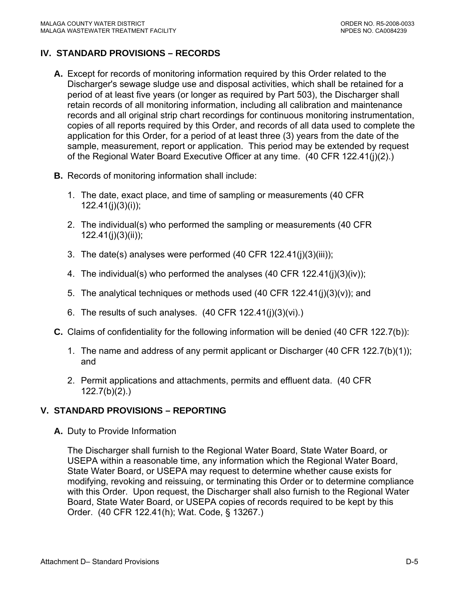## **IV. STANDARD PROVISIONS – RECORDS**

- **A.** Except for records of monitoring information required by this Order related to the Discharger's sewage sludge use and disposal activities, which shall be retained for a period of at least five years (or longer as required by Part 503), the Discharger shall retain records of all monitoring information, including all calibration and maintenance records and all original strip chart recordings for continuous monitoring instrumentation, copies of all reports required by this Order, and records of all data used to complete the application for this Order, for a period of at least three (3) years from the date of the sample, measurement, report or application. This period may be extended by request of the Regional Water Board Executive Officer at any time. (40 CFR 122.41(j)(2).)
- **B.** Records of monitoring information shall include:
	- 1. The date, exact place, and time of sampling or measurements (40 CFR 122.41(j)(3)(i));
	- 2. The individual(s) who performed the sampling or measurements (40 CFR  $122.41(i)(3)(ii)$ ;
	- 3. The date(s) analyses were performed (40 CFR 122.41(j)(3)(iii));
	- 4. The individual(s) who performed the analyses (40 CFR 122.41(j)(3)(iv));
	- 5. The analytical techniques or methods used  $(40 \text{ CFR } 122.41(i)(3)(v))$ ; and
	- 6. The results of such analyses.  $(40 \text{ CFR } 122.41(j)(3)(vi))$ .
- **C.** Claims of confidentiality for the following information will be denied (40 CFR 122.7(b)):
	- 1. The name and address of any permit applicant or Discharger (40 CFR 122.7(b)(1)); and
	- 2. Permit applications and attachments, permits and effluent data. (40 CFR 122.7(b)(2).)

### **V. STANDARD PROVISIONS – REPORTING**

**A.** Duty to Provide Information

The Discharger shall furnish to the Regional Water Board, State Water Board, or USEPA within a reasonable time, any information which the Regional Water Board, State Water Board, or USEPA may request to determine whether cause exists for modifying, revoking and reissuing, or terminating this Order or to determine compliance with this Order. Upon request, the Discharger shall also furnish to the Regional Water Board, State Water Board, or USEPA copies of records required to be kept by this Order. (40 CFR 122.41(h); Wat. Code, § 13267.)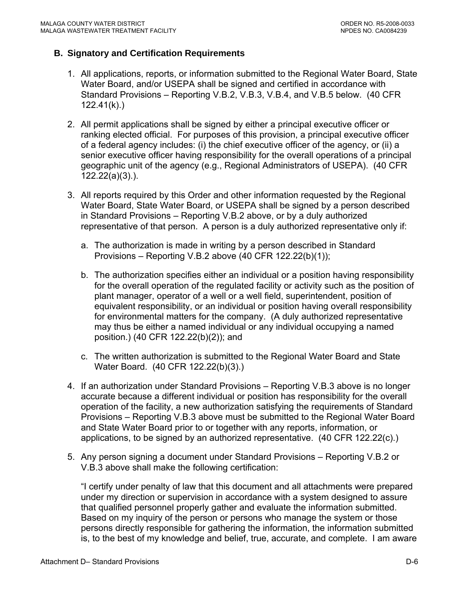#### **B. Signatory and Certification Requirements**

- 1. All applications, reports, or information submitted to the Regional Water Board, State Water Board, and/or USEPA shall be signed and certified in accordance with Standard Provisions – Reporting V.B.2, V.B.3, V.B.4, and V.B.5 below. (40 CFR 122.41(k).)
- 2. All permit applications shall be signed by either a principal executive officer or ranking elected official. For purposes of this provision, a principal executive officer of a federal agency includes: (i) the chief executive officer of the agency, or (ii) a senior executive officer having responsibility for the overall operations of a principal geographic unit of the agency (e.g., Regional Administrators of USEPA). (40 CFR 122.22(a)(3).).
- 3. All reports required by this Order and other information requested by the Regional Water Board, State Water Board, or USEPA shall be signed by a person described in Standard Provisions – Reporting V.B.2 above, or by a duly authorized representative of that person. A person is a duly authorized representative only if:
	- a. The authorization is made in writing by a person described in Standard Provisions – Reporting V.B.2 above (40 CFR 122.22(b)(1));
	- b. The authorization specifies either an individual or a position having responsibility for the overall operation of the regulated facility or activity such as the position of plant manager, operator of a well or a well field, superintendent, position of equivalent responsibility, or an individual or position having overall responsibility for environmental matters for the company. (A duly authorized representative may thus be either a named individual or any individual occupying a named position.) (40 CFR 122.22(b)(2)); and
	- c. The written authorization is submitted to the Regional Water Board and State Water Board. (40 CFR 122.22(b)(3).)
- 4. If an authorization under Standard Provisions Reporting V.B.3 above is no longer accurate because a different individual or position has responsibility for the overall operation of the facility, a new authorization satisfying the requirements of Standard Provisions – Reporting V.B.3 above must be submitted to the Regional Water Board and State Water Board prior to or together with any reports, information, or applications, to be signed by an authorized representative. (40 CFR 122.22(c).)
- 5. Any person signing a document under Standard Provisions Reporting V.B.2 or V.B.3 above shall make the following certification:

"I certify under penalty of law that this document and all attachments were prepared under my direction or supervision in accordance with a system designed to assure that qualified personnel properly gather and evaluate the information submitted. Based on my inquiry of the person or persons who manage the system or those persons directly responsible for gathering the information, the information submitted is, to the best of my knowledge and belief, true, accurate, and complete. I am aware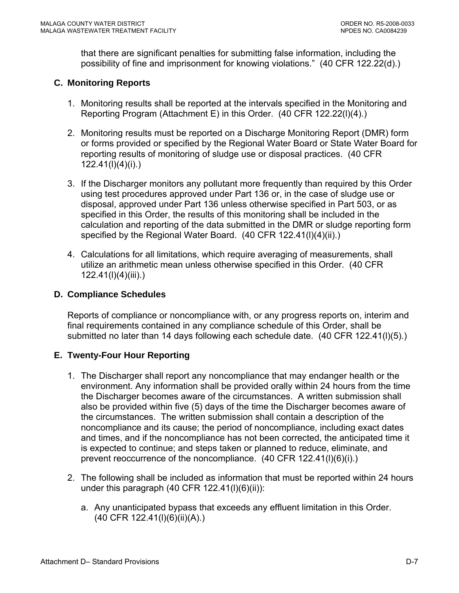that there are significant penalties for submitting false information, including the possibility of fine and imprisonment for knowing violations." (40 CFR 122.22(d).)

## **C. Monitoring Reports**

- 1. Monitoring results shall be reported at the intervals specified in the Monitoring and Reporting Program (Attachment E) in this Order. (40 CFR 122.22(l)(4).)
- 2. Monitoring results must be reported on a Discharge Monitoring Report (DMR) form or forms provided or specified by the Regional Water Board or State Water Board for reporting results of monitoring of sludge use or disposal practices. (40 CFR 122.41(l)(4)(i).)
- 3. If the Discharger monitors any pollutant more frequently than required by this Order using test procedures approved under Part 136 or, in the case of sludge use or disposal, approved under Part 136 unless otherwise specified in Part 503, or as specified in this Order, the results of this monitoring shall be included in the calculation and reporting of the data submitted in the DMR or sludge reporting form specified by the Regional Water Board. (40 CFR 122.41(I)(4)(ii).)
- 4. Calculations for all limitations, which require averaging of measurements, shall utilize an arithmetic mean unless otherwise specified in this Order. (40 CFR 122.41(l)(4)(iii).)

### **D. Compliance Schedules**

Reports of compliance or noncompliance with, or any progress reports on, interim and final requirements contained in any compliance schedule of this Order, shall be submitted no later than 14 days following each schedule date. (40 CFR 122.41(l)(5).)

### **E. Twenty-Four Hour Reporting**

- 1. The Discharger shall report any noncompliance that may endanger health or the environment. Any information shall be provided orally within 24 hours from the time the Discharger becomes aware of the circumstances. A written submission shall also be provided within five (5) days of the time the Discharger becomes aware of the circumstances. The written submission shall contain a description of the noncompliance and its cause; the period of noncompliance, including exact dates and times, and if the noncompliance has not been corrected, the anticipated time it is expected to continue; and steps taken or planned to reduce, eliminate, and prevent reoccurrence of the noncompliance. (40 CFR 122.41(l)(6)(i).)
- 2. The following shall be included as information that must be reported within 24 hours under this paragraph  $(40$  CFR  $122.41(l)(6)(ii))$ :
	- a. Any unanticipated bypass that exceeds any effluent limitation in this Order. (40 CFR 122.41(l)(6)(ii)(A).)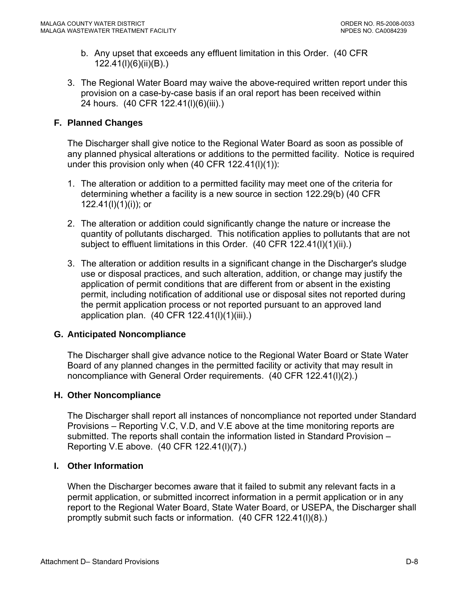- b. Any upset that exceeds any effluent limitation in this Order. (40 CFR 122.41(l)(6)(ii)(B).)
- 3. The Regional Water Board may waive the above-required written report under this provision on a case-by-case basis if an oral report has been received within 24 hours. (40 CFR 122.41(l)(6)(iii).)

## **F. Planned Changes**

The Discharger shall give notice to the Regional Water Board as soon as possible of any planned physical alterations or additions to the permitted facility. Notice is required under this provision only when  $(40$  CFR  $122.41(1)(1))$ :

- 1. The alteration or addition to a permitted facility may meet one of the criteria for determining whether a facility is a new source in section 122.29(b) (40 CFR 122.41(l)(1)(i)); or
- 2. The alteration or addition could significantly change the nature or increase the quantity of pollutants discharged. This notification applies to pollutants that are not subject to effluent limitations in this Order. (40 CFR 122.41(I)(1)(ii).)
- 3. The alteration or addition results in a significant change in the Discharger's sludge use or disposal practices, and such alteration, addition, or change may justify the application of permit conditions that are different from or absent in the existing permit, including notification of additional use or disposal sites not reported during the permit application process or not reported pursuant to an approved land application plan. (40 CFR 122.41(l)(1)(iii).)

### **G. Anticipated Noncompliance**

The Discharger shall give advance notice to the Regional Water Board or State Water Board of any planned changes in the permitted facility or activity that may result in noncompliance with General Order requirements. (40 CFR 122.41(l)(2).)

### **H. Other Noncompliance**

The Discharger shall report all instances of noncompliance not reported under Standard Provisions – Reporting V.C, V.D, and V.E above at the time monitoring reports are submitted. The reports shall contain the information listed in Standard Provision – Reporting V.E above. (40 CFR 122.41(l)(7).)

### **I. Other Information**

When the Discharger becomes aware that it failed to submit any relevant facts in a permit application, or submitted incorrect information in a permit application or in any report to the Regional Water Board, State Water Board, or USEPA, the Discharger shall promptly submit such facts or information. (40 CFR 122.41(l)(8).)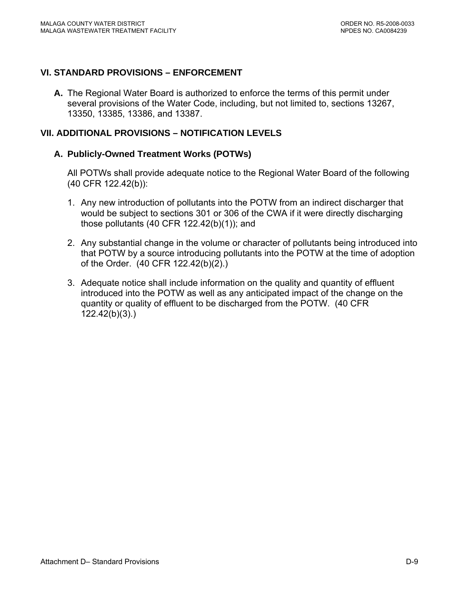### **VI. STANDARD PROVISIONS – ENFORCEMENT**

**A.** The Regional Water Board is authorized to enforce the terms of this permit under several provisions of the Water Code, including, but not limited to, sections 13267, 13350, 13385, 13386, and 13387.

#### **VII. ADDITIONAL PROVISIONS – NOTIFICATION LEVELS**

### **A. Publicly-Owned Treatment Works (POTWs)**

All POTWs shall provide adequate notice to the Regional Water Board of the following (40 CFR 122.42(b)):

- 1. Any new introduction of pollutants into the POTW from an indirect discharger that would be subject to sections 301 or 306 of the CWA if it were directly discharging those pollutants (40 CFR 122.42(b)(1)); and
- 2. Any substantial change in the volume or character of pollutants being introduced into that POTW by a source introducing pollutants into the POTW at the time of adoption of the Order. (40 CFR 122.42(b)(2).)
- 3. Adequate notice shall include information on the quality and quantity of effluent introduced into the POTW as well as any anticipated impact of the change on the quantity or quality of effluent to be discharged from the POTW. (40 CFR 122.42(b)(3).)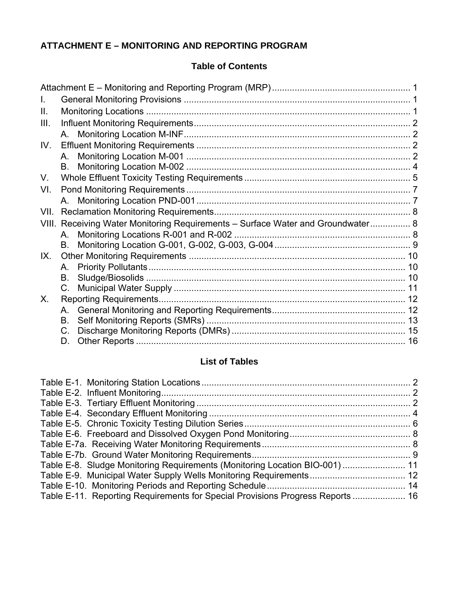# **ATTACHMENT E – MONITORING AND REPORTING PROGRAM**

### **Table of Contents**

| Ⅱ.   |    |                                                                                 |  |
|------|----|---------------------------------------------------------------------------------|--|
| III. |    |                                                                                 |  |
|      |    |                                                                                 |  |
| IV.  |    |                                                                                 |  |
|      | A. |                                                                                 |  |
|      |    |                                                                                 |  |
| V.   |    |                                                                                 |  |
| VI.  |    |                                                                                 |  |
|      |    |                                                                                 |  |
| VII. |    |                                                                                 |  |
|      |    | VIII. Receiving Water Monitoring Requirements - Surface Water and Groundwater 8 |  |
|      | A. |                                                                                 |  |
|      | В. |                                                                                 |  |
| IX.  |    |                                                                                 |  |
|      | A. |                                                                                 |  |
|      | В. |                                                                                 |  |
|      | C. |                                                                                 |  |
| X.   |    | <b>Reporting Requirements</b>                                                   |  |
|      | А. |                                                                                 |  |
|      | В. |                                                                                 |  |
|      |    |                                                                                 |  |
|      | D. |                                                                                 |  |

# **List of Tables**

| Table E-8. Sludge Monitoring Requirements (Monitoring Location BIO-001)  11    |  |
|--------------------------------------------------------------------------------|--|
|                                                                                |  |
|                                                                                |  |
| Table E-11. Reporting Requirements for Special Provisions Progress Reports  16 |  |
|                                                                                |  |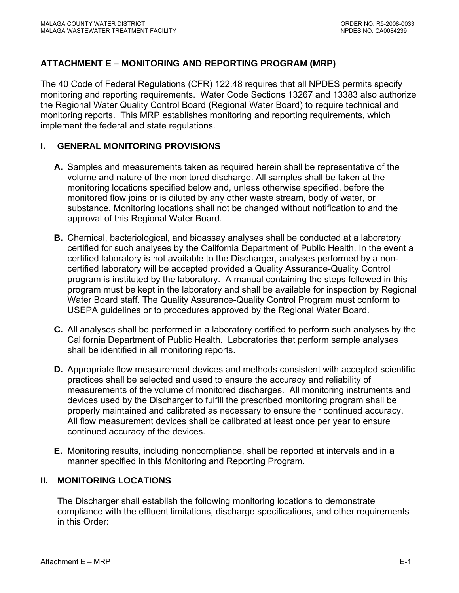# <span id="page-47-0"></span>**ATTACHMENT E – MONITORING AND REPORTING PROGRAM (MRP)**

The 40 Code of Federal Regulations (CFR) 122.48 requires that all NPDES permits specify monitoring and reporting requirements. Water Code Sections 13267 and 13383 also authorize the Regional Water Quality Control Board (Regional Water Board) to require technical and monitoring reports. This MRP establishes monitoring and reporting requirements, which implement the federal and state regulations.

### **I. GENERAL MONITORING PROVISIONS**

- **A.** Samples and measurements taken as required herein shall be representative of the volume and nature of the monitored discharge. All samples shall be taken at the monitoring locations specified below and, unless otherwise specified, before the monitored flow joins or is diluted by any other waste stream, body of water, or substance. Monitoring locations shall not be changed without notification to and the approval of this Regional Water Board.
- **B.** Chemical, bacteriological, and bioassay analyses shall be conducted at a laboratory certified for such analyses by the California Department of Public Health. In the event a certified laboratory is not available to the Discharger, analyses performed by a noncertified laboratory will be accepted provided a Quality Assurance-Quality Control program is instituted by the laboratory. A manual containing the steps followed in this program must be kept in the laboratory and shall be available for inspection by Regional Water Board staff. The Quality Assurance-Quality Control Program must conform to USEPA guidelines or to procedures approved by the Regional Water Board.
- **C.** All analyses shall be performed in a laboratory certified to perform such analyses by the California Department of Public Health. Laboratories that perform sample analyses shall be identified in all monitoring reports.
- **D.** Appropriate flow measurement devices and methods consistent with accepted scientific practices shall be selected and used to ensure the accuracy and reliability of measurements of the volume of monitored discharges. All monitoring instruments and devices used by the Discharger to fulfill the prescribed monitoring program shall be properly maintained and calibrated as necessary to ensure their continued accuracy. All flow measurement devices shall be calibrated at least once per year to ensure continued accuracy of the devices.
- **E.** Monitoring results, including noncompliance, shall be reported at intervals and in a manner specified in this Monitoring and Reporting Program.

### **II. MONITORING LOCATIONS**

The Discharger shall establish the following monitoring locations to demonstrate compliance with the effluent limitations, discharge specifications, and other requirements in this Order: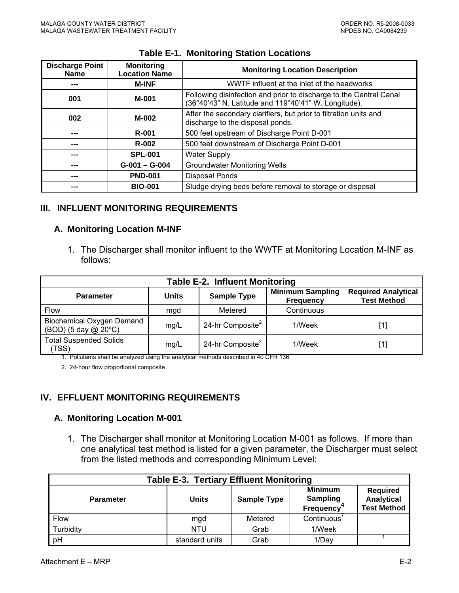<span id="page-48-0"></span>

| <b>Discharge Point</b><br><b>Name</b> | <b>Monitoring</b><br><b>Location Name</b> | <b>Monitoring Location Description</b>                                                                                     |  |
|---------------------------------------|-------------------------------------------|----------------------------------------------------------------------------------------------------------------------------|--|
|                                       | <b>M-INF</b>                              | WWTF influent at the inlet of the headworks                                                                                |  |
| M-001<br>001                          |                                           | Following disinfection and prior to discharge to the Central Canal<br>(36°40'43" N. Latitude and 119°40'41" W. Longitude). |  |
| M-002<br>002                          |                                           | After the secondary clarifiers, but prior to filtration units and<br>discharge to the disposal ponds.                      |  |
| ---                                   | <b>R-001</b>                              | 500 feet upstream of Discharge Point D-001                                                                                 |  |
| ---                                   | <b>R-002</b>                              | 500 feet downstream of Discharge Point D-001                                                                               |  |
| ---                                   | <b>SPL-001</b>                            | <b>Water Supply</b>                                                                                                        |  |
| ---                                   | $G-001 - G-004$                           | <b>Groundwater Monitoring Wells</b>                                                                                        |  |
| ---                                   | <b>PND-001</b>                            | <b>Disposal Ponds</b>                                                                                                      |  |
| ---                                   | <b>BIO-001</b>                            | Sludge drying beds before removal to storage or disposal                                                                   |  |

#### **Table E-1. Monitoring Station Locations**

### **III. INFLUENT MONITORING REQUIREMENTS**

#### **A. Monitoring Location M-INF**

1. The Discharger shall monitor influent to the WWTF at Monitoring Location M-INF as follows:

| <b>Table E-2. Influent Monitoring</b>                    |       |                              |                                             |                                                  |  |  |  |  |
|----------------------------------------------------------|-------|------------------------------|---------------------------------------------|--------------------------------------------------|--|--|--|--|
| <b>Parameter</b>                                         | Units | <b>Sample Type</b>           | <b>Minimum Sampling</b><br><b>Frequency</b> | <b>Required Analytical</b><br><b>Test Method</b> |  |  |  |  |
| <b>Flow</b>                                              | mgd   | Metered                      | Continuous                                  |                                                  |  |  |  |  |
| <b>Biochemical Oxygen Demand</b><br>(BOD) (5 day @ 20°C) | mg/L  | 24-hr Composite <sup>2</sup> | 1/Week                                      | [1]                                              |  |  |  |  |
| <b>Total Suspended Solids</b><br>(TSS)                   | mg/L  | 24-hr Composite <sup>2</sup> | 1/Week                                      | [1]                                              |  |  |  |  |

1. Pollutants shall be analyzed using the analytical methods described in 40 CFR 136

2. 24-hour flow proportional composite

### **IV. EFFLUENT MONITORING REQUIREMENTS**

#### **A. Monitoring Location M-001**

1. The Discharger shall monitor at Monitoring Location M-001 as follows. If more than one analytical test method is listed for a given parameter, the Discharger must select from the listed methods and corresponding Minimum Level:

| <b>Table E-3. Tertiary Effluent Monitoring</b>                                                                                                                  |                |         |             |  |  |  |
|-----------------------------------------------------------------------------------------------------------------------------------------------------------------|----------------|---------|-------------|--|--|--|
| <b>Minimum</b><br><b>Required</b><br><b>Sampling</b><br>Analytical<br><b>Units</b><br><b>Sample Type</b><br><b>Parameter</b><br><b>Test Method</b><br>Frequency |                |         |             |  |  |  |
| Flow                                                                                                                                                            | mgd            | Metered | Continuous' |  |  |  |
| Turbidity                                                                                                                                                       | <b>NTU</b>     | Grab    | 1/Week      |  |  |  |
| pH                                                                                                                                                              | standard units | Grab    | 1/Day       |  |  |  |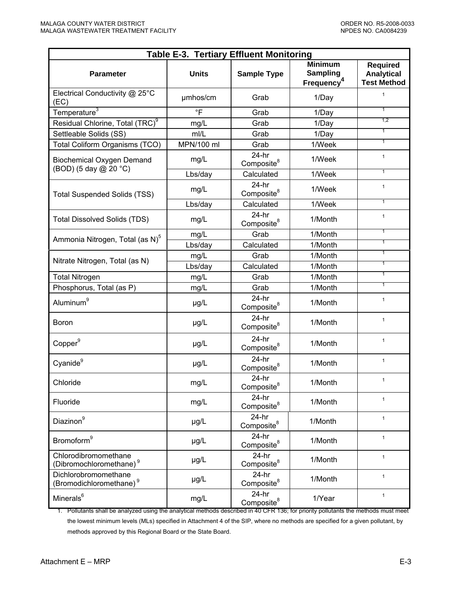| <b>Table E-3. Tertiary Effluent Monitoring</b>              |              |                                   |                                                             |                                                            |  |  |
|-------------------------------------------------------------|--------------|-----------------------------------|-------------------------------------------------------------|------------------------------------------------------------|--|--|
| <b>Parameter</b>                                            | <b>Units</b> | <b>Sample Type</b>                | <b>Minimum</b><br><b>Sampling</b><br>Frequency <sup>4</sup> | <b>Required</b><br><b>Analytical</b><br><b>Test Method</b> |  |  |
| Electrical Conductivity @ 25°C<br>(EC)                      | umhos/cm     | Grab                              | 1/Day                                                       | $\mathbf{1}$                                               |  |  |
| Temperature <sup>3</sup>                                    | $\circ$ F    | Grab                              | 1/Day                                                       | $\overline{1}$                                             |  |  |
| Residual Chlorine, Total (TRC) <sup>9</sup>                 | mg/L         | Grab                              | 1/Day                                                       | 1,2                                                        |  |  |
| Settleable Solids (SS)                                      | mI/L         | Grab                              | 1/Day                                                       | $\overline{1}$                                             |  |  |
| Total Coliform Organisms (TCO)                              | MPN/100 ml   | Grab                              | 1/Week                                                      | $\overline{1}$                                             |  |  |
| <b>Biochemical Oxygen Demand</b><br>(BOD) (5 day @ 20 °C)   | mg/L         | $24-hr$<br>Composite <sup>8</sup> | 1/Week                                                      | $\mathbf{1}$                                               |  |  |
|                                                             | Lbs/day      | Calculated                        | 1/Week                                                      | $\overline{1}$                                             |  |  |
| <b>Total Suspended Solids (TSS)</b>                         | mg/L         | $24-hr$<br>Composite <sup>8</sup> | 1/Week                                                      | $\mathbf{1}$                                               |  |  |
|                                                             | Lbs/day      | Calculated                        | 1/Week                                                      | $\overline{1}$                                             |  |  |
| <b>Total Dissolved Solids (TDS)</b>                         | mg/L         | $24-hr$<br>Composite <sup>8</sup> | 1/Month                                                     | $\mathbf{1}$                                               |  |  |
| Ammonia Nitrogen, Total (as N) <sup>5</sup>                 | mg/L         | Grab                              | 1/Month                                                     | $\overline{1}$                                             |  |  |
|                                                             | Lbs/day      | Calculated                        | 1/Month                                                     | $\overline{1}$                                             |  |  |
| Nitrate Nitrogen, Total (as N)                              | mg/L         | Grab                              | 1/Month                                                     | $\overline{1}$                                             |  |  |
|                                                             | Lbs/day      | Calculated                        | 1/Month                                                     | $\overline{1}$                                             |  |  |
| <b>Total Nitrogen</b>                                       | mg/L         | Grab                              | 1/Month                                                     | $\overline{1}$                                             |  |  |
| Phosphorus, Total (as P)                                    | mg/L         | Grab                              | 1/Month                                                     | $\overline{1}$                                             |  |  |
| Aluminum <sup>9</sup>                                       | µg/L         | $24-hr$<br>Composite <sup>8</sup> | 1/Month                                                     | $\mathbf{1}$                                               |  |  |
| Boron                                                       | µg/L         | $24-hr$<br>Composite <sup>8</sup> | 1/Month                                                     | $\mathbf{1}$                                               |  |  |
| Copper <sup>9</sup>                                         | $\mu$ g/L    | $24-hr$<br>Composite <sup>8</sup> | 1/Month                                                     | $\mathbf{1}$                                               |  |  |
| Cyanide <sup>9</sup>                                        | µg/L         | $24-hr$<br>Composite <sup>8</sup> | 1/Month                                                     | $\mathbf{1}$                                               |  |  |
| Chloride                                                    | mg/L         | $24-hr$<br>Composite <sup>8</sup> | 1/Month                                                     | $\mathbf{1}$                                               |  |  |
| Fluoride                                                    | mg/L         | $24-hr$<br>Composite <sup>8</sup> | 1/Month                                                     | $\mathbf{1}$                                               |  |  |
| Diazinon <sup>9</sup>                                       | µg/L         | $24-hr$<br>Composite <sup>8</sup> | 1/Month                                                     | $\mathbf{1}$                                               |  |  |
| Bromoform <sup>9</sup>                                      | µg/L         | $24-hr$<br>Composite <sup>8</sup> | 1/Month                                                     | $\mathbf{1}$                                               |  |  |
| Chlorodibromomethane<br>(Dibromochloromethane) <sup>9</sup> | µg/L         | $24-hr$<br>Composite <sup>8</sup> | 1/Month                                                     | $\mathbf{1}$                                               |  |  |
| Dichlorobromomethane<br>(Bromodichloromethane) <sup>9</sup> | µg/L         | $24-hr$<br>Composite <sup>8</sup> | 1/Month                                                     | $\mathbf{1}$                                               |  |  |
| Minerals <sup>6</sup>                                       | mg/L         | $24-hr$<br>Composite <sup>8</sup> | 1/Year                                                      | $\mathbf{1}$                                               |  |  |

1. Pollutants shall be analyzed using the analytical methods described in 40 CFR 136; for priority pollutants the methods must meet the lowest minimum levels (MLs) specified in Attachment 4 of the SIP, where no methods are specified for a given pollutant, by methods approved by this Regional Board or the State Board.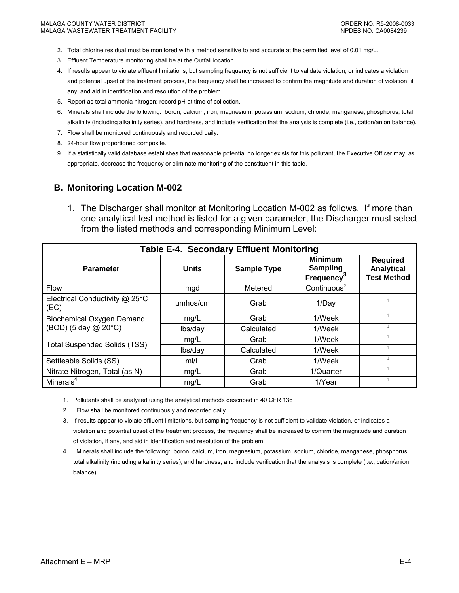- <span id="page-50-0"></span>2. Total chlorine residual must be monitored with a method sensitive to and accurate at the permitted level of 0.01 mg/L.
- 3. Effluent Temperature monitoring shall be at the Outfall location.
- 4. If results appear to violate effluent limitations, but sampling frequency is not sufficient to validate violation, or indicates a violation and potential upset of the treatment process, the frequency shall be increased to confirm the magnitude and duration of violation, if any, and aid in identification and resolution of the problem.
- 5. Report as total ammonia nitrogen; record pH at time of collection.
- 6. Minerals shall include the following: boron, calcium, iron, magnesium, potassium, sodium, chloride, manganese, phosphorus, total alkalinity (including alkalinity series), and hardness, and include verification that the analysis is complete (i.e., cation/anion balance).
- 7. Flow shall be monitored continuously and recorded daily.
- 8. 24-hour flow proportioned composite.
- 9. If a statistically valid database establishes that reasonable potential no longer exists for this pollutant, the Executive Officer may, as appropriate, decrease the frequency or eliminate monitoring of the constituent in this table.

#### **B. Monitoring Location M-002**

1. The Discharger shall monitor at Monitoring Location M-002 as follows. If more than one analytical test method is listed for a given parameter, the Discharger must select from the listed methods and corresponding Minimum Level:

| Table E-4. Secondary Effluent Monitoring |              |                    |                                                                    |                                                            |  |  |  |
|------------------------------------------|--------------|--------------------|--------------------------------------------------------------------|------------------------------------------------------------|--|--|--|
| <b>Parameter</b>                         | <b>Units</b> | <b>Sample Type</b> | <b>Minimum</b><br><b>Sampling</b><br><b>Frequency</b> <sup>3</sup> | <b>Required</b><br><b>Analytical</b><br><b>Test Method</b> |  |  |  |
| <b>Flow</b>                              | mgd          | Metered            | Continuous $2$                                                     |                                                            |  |  |  |
| Electrical Conductivity @ 25°C<br>(EC)   | umhos/cm     | Grab               | 1/Day                                                              |                                                            |  |  |  |
| <b>Biochemical Oxygen Demand</b>         | mg/L         | Grab               | 1/Week                                                             |                                                            |  |  |  |
| (BOD) (5 day @ 20°C)                     | lbs/day      | Calculated         | 1/Week                                                             |                                                            |  |  |  |
| <b>Total Suspended Solids (TSS)</b>      | mg/L         | Grab               | 1/Week                                                             |                                                            |  |  |  |
|                                          | lbs/day      | Calculated         | 1/Week                                                             |                                                            |  |  |  |
| Settleable Solids (SS)                   | m/L          | Grab               | 1/Week                                                             |                                                            |  |  |  |
| Nitrate Nitrogen, Total (as N)           | mg/L         | Grab               | 1/Quarter                                                          |                                                            |  |  |  |
| Minerals $4$                             | mg/L         | Grab               | 1/Year                                                             |                                                            |  |  |  |

1. Pollutants shall be analyzed using the analytical methods described in 40 CFR 136

2. Flow shall be monitored continuously and recorded daily.

3. If results appear to violate effluent limitations, but sampling frequency is not sufficient to validate violation, or indicates a violation and potential upset of the treatment process, the frequency shall be increased to confirm the magnitude and duration of violation, if any, and aid in identification and resolution of the problem.

4. Minerals shall include the following: boron, calcium, iron, magnesium, potassium, sodium, chloride, manganese, phosphorus, total alkalinity (including alkalinity series), and hardness, and include verification that the analysis is complete (i.e., cation/anion balance)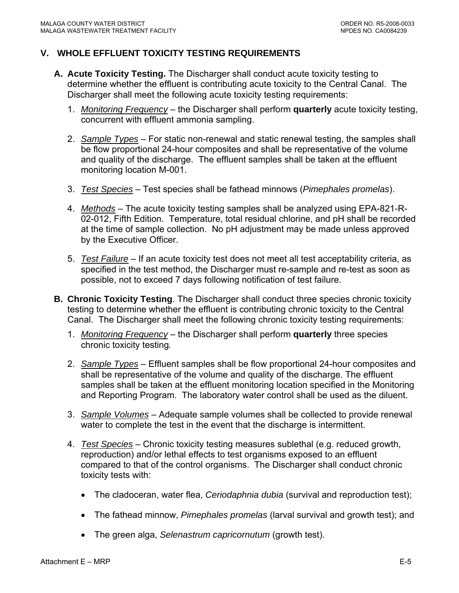### <span id="page-51-0"></span>**V. WHOLE EFFLUENT TOXICITY TESTING REQUIREMENTS**

- **A. Acute Toxicity Testing.** The Discharger shall conduct acute toxicity testing to determine whether the effluent is contributing acute toxicity to the Central Canal. The Discharger shall meet the following acute toxicity testing requirements:
	- 1. *Monitoring Frequency* the Discharger shall perform **quarterly** acute toxicity testing, concurrent with effluent ammonia sampling.
	- 2. *Sample Types* For static non-renewal and static renewal testing, the samples shall be flow proportional 24-hour composites and shall be representative of the volume and quality of the discharge. The effluent samples shall be taken at the effluent monitoring location M-001.
	- 3. *Test Species* Test species shall be fathead minnows (*Pimephales promelas*).
	- 4. *Methods* The acute toxicity testing samples shall be analyzed using EPA-821-R-02-012, Fifth Edition. Temperature, total residual chlorine, and pH shall be recorded at the time of sample collection. No pH adjustment may be made unless approved by the Executive Officer.
	- 5. *Test Failure* If an acute toxicity test does not meet all test acceptability criteria, as specified in the test method, the Discharger must re-sample and re-test as soon as possible, not to exceed 7 days following notification of test failure.
- **B. Chronic Toxicity Testing**. The Discharger shall conduct three species chronic toxicity testing to determine whether the effluent is contributing chronic toxicity to the Central Canal. The Discharger shall meet the following chronic toxicity testing requirements:
	- 1. *Monitoring Frequency* the Discharger shall perform **quarterly** three species chronic toxicity testing*.*
	- 2. *Sample Types* Effluent samples shall be flow proportional 24-hour composites and shall be representative of the volume and quality of the discharge. The effluent samples shall be taken at the effluent monitoring location specified in the Monitoring and Reporting Program. The laboratory water control shall be used as the diluent.
	- 3. *Sample Volumes* Adequate sample volumes shall be collected to provide renewal water to complete the test in the event that the discharge is intermittent.
	- 4. *Test Species* Chronic toxicity testing measures sublethal (e.g. reduced growth, reproduction) and/or lethal effects to test organisms exposed to an effluent compared to that of the control organisms. The Discharger shall conduct chronic toxicity tests with:
		- The cladoceran, water flea, *Ceriodaphnia dubia* (survival and reproduction test);
		- The fathead minnow, *Pimephales promelas* (larval survival and growth test); and
		- The green alga, *Selenastrum capricornutum* (growth test).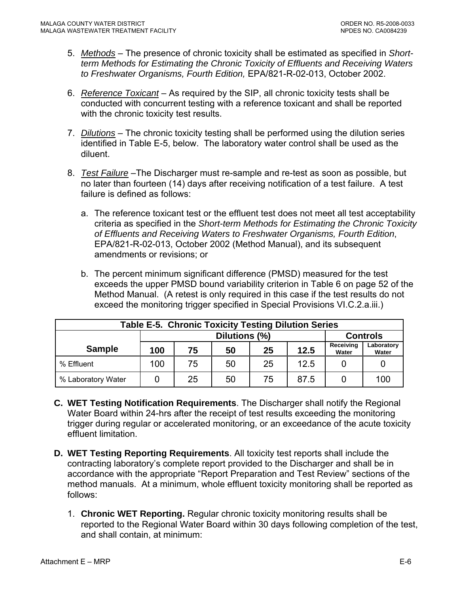- <span id="page-52-0"></span>5. *Methods* – The presence of chronic toxicity shall be estimated as specified in *Shortterm Methods for Estimating the Chronic Toxicity of Effluents and Receiving Waters to Freshwater Organisms, Fourth Edition,* EPA/821-R-02-013, October 2002.
- 6. *Reference Toxicant* As required by the SIP, all chronic toxicity tests shall be conducted with concurrent testing with a reference toxicant and shall be reported with the chronic toxicity test results.
- 7. *Dilutions* The chronic toxicity testing shall be performed using the dilution series identified in Table E-5, below. The laboratory water control shall be used as the diluent.
- 8. *Test Failure* –The Discharger must re-sample and re-test as soon as possible, but no later than fourteen (14) days after receiving notification of a test failure. A test failure is defined as follows:
	- a. The reference toxicant test or the effluent test does not meet all test acceptability criteria as specified in the *Short-term Methods for Estimating the Chronic Toxicity of Effluents and Receiving Waters to Freshwater Organisms, Fourth Edition*, EPA/821-R-02-013, October 2002 (Method Manual), and its subsequent amendments or revisions; or
	- b. The percent minimum significant difference (PMSD) measured for the test exceeds the upper PMSD bound variability criterion in Table 6 on page 52 of the Method Manual. (A retest is only required in this case if the test results do not exceed the monitoring trigger specified in Special Provisions VI.C.2.a.iii.)

| <b>Table E-5. Chronic Toxicity Testing Dilution Series</b> |                                  |    |    |    |                    |                     |     |
|------------------------------------------------------------|----------------------------------|----|----|----|--------------------|---------------------|-----|
|                                                            | Dilutions (%)<br><b>Controls</b> |    |    |    |                    |                     |     |
| <b>Sample</b>                                              | 12.5<br>25<br>75<br>50<br>100    |    |    |    | Receiving<br>Water | Laboratory<br>Water |     |
| % Effluent                                                 | 100                              | 75 | 50 | 25 | 12.5               |                     |     |
| % Laboratory Water                                         |                                  | 25 | 50 | 75 | 87.5               |                     | 100 |

- **C. WET Testing Notification Requirements**. The Discharger shall notify the Regional Water Board within 24-hrs after the receipt of test results exceeding the monitoring trigger during regular or accelerated monitoring, or an exceedance of the acute toxicity effluent limitation.
- **D. WET Testing Reporting Requirements**. All toxicity test reports shall include the contracting laboratory's complete report provided to the Discharger and shall be in accordance with the appropriate "Report Preparation and Test Review" sections of the method manuals. At a minimum, whole effluent toxicity monitoring shall be reported as follows:
	- 1. **Chronic WET Reporting.** Regular chronic toxicity monitoring results shall be reported to the Regional Water Board within 30 days following completion of the test, and shall contain, at minimum: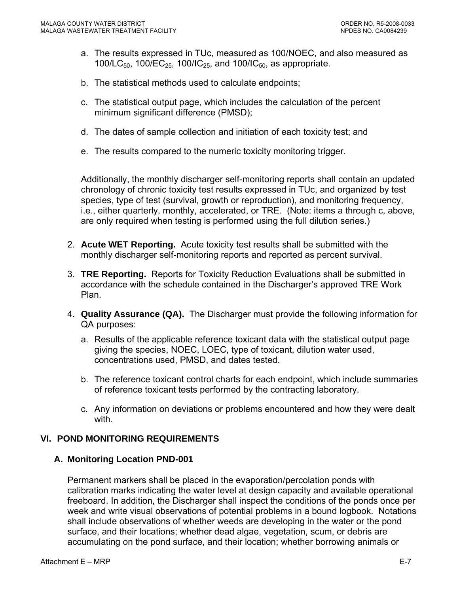- <span id="page-53-0"></span>a. The results expressed in TUc, measured as 100/NOEC, and also measured as 100/LC<sub>50</sub>, 100/EC<sub>25</sub>, 100/IC<sub>25</sub>, and 100/IC<sub>50</sub>, as appropriate.
- b. The statistical methods used to calculate endpoints;
- c. The statistical output page, which includes the calculation of the percent minimum significant difference (PMSD);
- d. The dates of sample collection and initiation of each toxicity test; and
- e. The results compared to the numeric toxicity monitoring trigger.

Additionally, the monthly discharger self-monitoring reports shall contain an updated chronology of chronic toxicity test results expressed in TUc, and organized by test species, type of test (survival, growth or reproduction), and monitoring frequency, i.e., either quarterly, monthly, accelerated, or TRE. (Note: items a through c, above, are only required when testing is performed using the full dilution series.)

- 2. **Acute WET Reporting.** Acute toxicity test results shall be submitted with the monthly discharger self-monitoring reports and reported as percent survival.
- 3. **TRE Reporting.** Reports for Toxicity Reduction Evaluations shall be submitted in accordance with the schedule contained in the Discharger's approved TRE Work Plan.
- 4. **Quality Assurance (QA).** The Discharger must provide the following information for QA purposes:
	- a. Results of the applicable reference toxicant data with the statistical output page giving the species, NOEC, LOEC, type of toxicant, dilution water used, concentrations used, PMSD, and dates tested.
	- b. The reference toxicant control charts for each endpoint, which include summaries of reference toxicant tests performed by the contracting laboratory.
	- c. Any information on deviations or problems encountered and how they were dealt with.

### **VI. POND MONITORING REQUIREMENTS**

### **A. Monitoring Location PND-001**

Permanent markers shall be placed in the evaporation/percolation ponds with calibration marks indicating the water level at design capacity and available operational freeboard. In addition, the Discharger shall inspect the conditions of the ponds once per week and write visual observations of potential problems in a bound logbook. Notations shall include observations of whether weeds are developing in the water or the pond surface, and their locations; whether dead algae, vegetation, scum, or debris are accumulating on the pond surface, and their location; whether borrowing animals or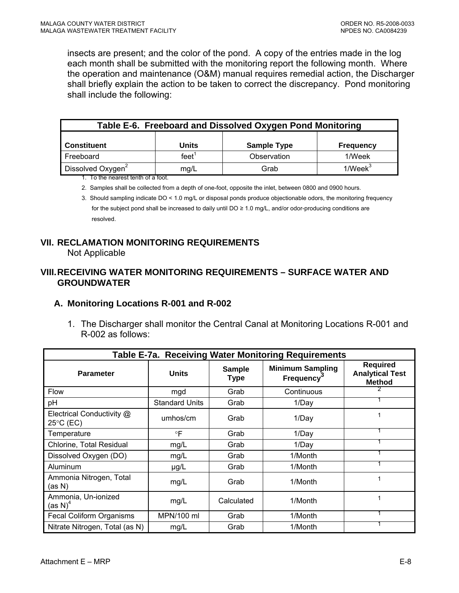<span id="page-54-0"></span>insects are present; and the color of the pond. A copy of the entries made in the log each month shall be submitted with the monitoring report the following month. Where the operation and maintenance (O&M) manual requires remedial action, the Discharger shall briefly explain the action to be taken to correct the discrepancy. Pond monitoring shall include the following:

| Table E-6. Freeboard and Dissolved Oxygen Pond Monitoring      |          |                    |                  |  |  |  |  |
|----------------------------------------------------------------|----------|--------------------|------------------|--|--|--|--|
|                                                                |          |                    |                  |  |  |  |  |
| <b>Constituent</b>                                             | Units    | <b>Sample Type</b> | <b>Frequency</b> |  |  |  |  |
| Freeboard                                                      | feet $1$ | Observation        | 1/Week           |  |  |  |  |
| $1$ /Week $3$<br>Dissolved Oxygen <sup>2</sup><br>Grab<br>mg/L |          |                    |                  |  |  |  |  |
| 1 To the negrect tenth of a feet                               |          |                    |                  |  |  |  |  |

1. To the nearest tenth of a foot.

2. Samples shall be collected from a depth of one-foot, opposite the inlet, between 0800 and 0900 hours.

3. Should sampling indicate DO < 1.0 mg/L or disposal ponds produce objectionable odors, the monitoring frequency for the subject pond shall be increased to daily until DO ≥ 1.0 mg/L, and/or odor-producing conditions are resolved.

### **VII. RECLAMATION MONITORING REQUIREMENTS**

Not Applicable

#### **VIII. RECEIVING WATER MONITORING REQUIREMENTS – SURFACE WATER AND GROUNDWATER**

#### **A. Monitoring Locations R-001 and R-002**

1. The Discharger shall monitor the Central Canal at Monitoring Locations R-001 and R-002 as follows:

| Table E-7a. Receiving Water Monitoring Requirements |                       |                              |                                             |                                                            |  |  |  |  |
|-----------------------------------------------------|-----------------------|------------------------------|---------------------------------------------|------------------------------------------------------------|--|--|--|--|
| <b>Parameter</b>                                    | <b>Units</b>          | <b>Sample</b><br><b>Type</b> | <b>Minimum Sampling</b><br><b>Frequency</b> | <b>Required</b><br><b>Analytical Test</b><br><b>Method</b> |  |  |  |  |
| <b>Flow</b>                                         | mgd                   | Grab                         | Continuous                                  |                                                            |  |  |  |  |
| pH                                                  | <b>Standard Units</b> | Grab                         | 1/Day                                       |                                                            |  |  |  |  |
| Electrical Conductivity @<br>$25^{\circ}$ C (EC)    | umhos/cm              | Grab                         | 1/Day                                       | 1                                                          |  |  |  |  |
| Temperature                                         | $\circ \mathsf{F}$    | Grab                         | 1/Day                                       |                                                            |  |  |  |  |
| Chlorine, Total Residual                            | mg/L                  | Grab                         | 1/Day                                       |                                                            |  |  |  |  |
| Dissolved Oxygen (DO)                               | mg/L                  | Grab                         | 1/Month                                     |                                                            |  |  |  |  |
| Aluminum                                            | $\mu$ g/L             | Grab                         | 1/Month                                     |                                                            |  |  |  |  |
| Ammonia Nitrogen, Total<br>(as N)                   | mg/L                  | Grab                         | 1/Month                                     | 1                                                          |  |  |  |  |
| Ammonia, Un-ionized<br>(as N) <sup>4</sup>          | mg/L                  | Calculated                   | 1/Month                                     | 1                                                          |  |  |  |  |
| Fecal Coliform Organisms                            | MPN/100 ml            | Grab                         | 1/Month                                     |                                                            |  |  |  |  |
| Nitrate Nitrogen, Total (as N)                      | mg/L                  | Grab                         | 1/Month                                     |                                                            |  |  |  |  |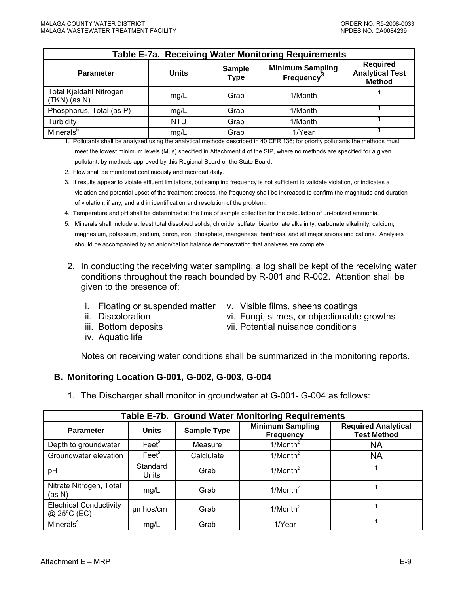<span id="page-55-0"></span>

| <b>Table E-7a. Receiving Water Monitoring Requirements</b> |              |                              |                                             |                                                            |  |  |  |
|------------------------------------------------------------|--------------|------------------------------|---------------------------------------------|------------------------------------------------------------|--|--|--|
| <b>Parameter</b>                                           | <b>Units</b> | <b>Sample</b><br><b>Type</b> | <b>Minimum Sampling</b><br><b>Frequency</b> | <b>Required</b><br><b>Analytical Test</b><br><b>Method</b> |  |  |  |
| Total Kjeldahl Nitrogen<br>$(TKN)$ (as N)                  | mg/L         | Grab                         | 1/Month                                     |                                                            |  |  |  |
| Phosphorus, Total (as P)                                   | mg/L         | Grab                         | 1/Month                                     |                                                            |  |  |  |
| Turbidity                                                  | <b>NTU</b>   | Grab                         | 1/Month                                     |                                                            |  |  |  |
| Minerals <sup>5</sup>                                      | mg/L         | Grab                         | 1/Year                                      |                                                            |  |  |  |

1. Pollutants shall be analyzed using the analytical methods described in 40 CFR 136; for priority pollutants the methods must meet the lowest minimum levels (MLs) specified in Attachment 4 of the SIP, where no methods are specified for a given pollutant, by methods approved by this Regional Board or the State Board.

2. Flow shall be monitored continuously and recorded daily.

3. If results appear to violate effluent limitations, but sampling frequency is not sufficient to validate violation, or indicates a violation and potential upset of the treatment process, the frequency shall be increased to confirm the magnitude and duration of violation, if any, and aid in identification and resolution of the problem.

4. Temperature and pH shall be determined at the time of sample collection for the calculation of un-ionized ammonia.

5. Minerals shall include at least total dissolved solids, chloride, sulfate, bicarbonate alkalinity, carbonate alkalinity, calcium, magnesium, potassium, sodium, boron, iron, phosphate, manganese, hardness, and all major anions and cations. Analyses should be accompanied by an anion/cation balance demonstrating that analyses are complete.

- 2. In conducting the receiving water sampling, a log shall be kept of the receiving water conditions throughout the reach bounded by R-001 and R-002. Attention shall be given to the presence of:
	-
	- i. Floating or suspended matter v. Visible films, sheens coatings

vi. Fungi, slimes, or objectionable growths

- ii. Discoloration
- iii. Bottom deposits
- iv. Aquatic life

vii. Potential nuisance conditions

Notes on receiving water conditions shall be summarized in the monitoring reports.

#### **B. Monitoring Location G-001, G-002, G-003, G-004**

1. The Discharger shall monitor in groundwater at G-001- G-004 as follows:

| Table E-7b. Ground Water Monitoring Requirements |                   |                    |                                             |                                                  |  |  |
|--------------------------------------------------|-------------------|--------------------|---------------------------------------------|--------------------------------------------------|--|--|
| <b>Parameter</b>                                 | <b>Units</b>      | <b>Sample Type</b> | <b>Minimum Sampling</b><br><b>Frequency</b> | <b>Required Analytical</b><br><b>Test Method</b> |  |  |
| Depth to groundwater                             | $\text{Feet}^3$   | Measure            | $1/M$ onth <sup>2</sup>                     | <b>NA</b>                                        |  |  |
| Groundwater elevation                            | $\text{Feet}^3$   | Calclulate         | $1/M$ onth <sup>2</sup>                     | <b>NA</b>                                        |  |  |
| pH                                               | Standard<br>Units | Grab               | $1/M$ onth <sup>2</sup>                     |                                                  |  |  |
| Nitrate Nitrogen, Total<br>(as N)                | mg/L              | Grab               | $1/M$ onth <sup>2</sup>                     |                                                  |  |  |
| <b>Electrical Conductivity</b><br>@ 25°C (EC)    | umhos/cm          | Grab               | $1/M$ onth <sup>2</sup>                     |                                                  |  |  |
| Minerals <sup>4</sup>                            | mg/L              | Grab               | 1/Year                                      |                                                  |  |  |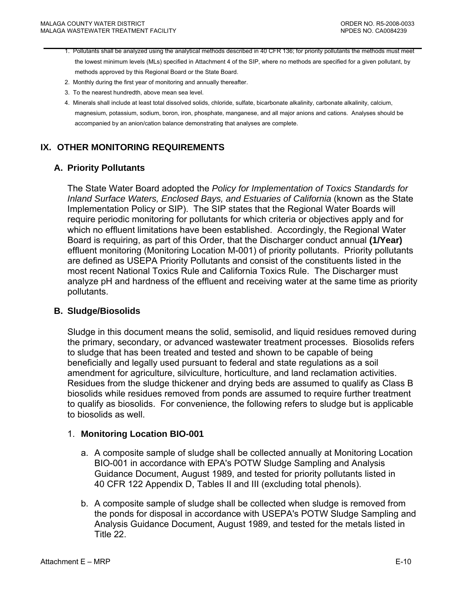- <span id="page-56-0"></span>1. Pollutants shall be analyzed using the analytical methods described in 40 CFR 136; for priority pollutants the methods must meet the lowest minimum levels (MLs) specified in Attachment 4 of the SIP, where no methods are specified for a given pollutant, by methods approved by this Regional Board or the State Board.
- 2. Monthly during the first year of monitoring and annually thereafter.
- 3. To the nearest hundredth, above mean sea level.
- 4. Minerals shall include at least total dissolved solids, chloride, sulfate, bicarbonate alkalinity, carbonate alkalinity, calcium, magnesium, potassium, sodium, boron, iron, phosphate, manganese, and all major anions and cations. Analyses should be accompanied by an anion/cation balance demonstrating that analyses are complete.

### **IX. OTHER MONITORING REQUIREMENTS**

#### **A. Priority Pollutants**

The State Water Board adopted the *Policy for Implementation of Toxics Standards for Inland Surface Waters, Enclosed Bays, and Estuaries of California* (known as the State Implementation Policy or SIP). The SIP states that the Regional Water Boards will require periodic monitoring for pollutants for which criteria or objectives apply and for which no effluent limitations have been established. Accordingly, the Regional Water Board is requiring, as part of this Order, that the Discharger conduct annual **(1/Year)** effluent monitoring (Monitoring Location M-001) of priority pollutants. Priority pollutants are defined as USEPA Priority Pollutants and consist of the constituents listed in the most recent National Toxics Rule and California Toxics Rule. The Discharger must analyze pH and hardness of the effluent and receiving water at the same time as priority pollutants.

#### **B. Sludge/Biosolids**

Sludge in this document means the solid, semisolid, and liquid residues removed during the primary, secondary, or advanced wastewater treatment processes. Biosolids refers to sludge that has been treated and tested and shown to be capable of being beneficially and legally used pursuant to federal and state regulations as a soil amendment for agriculture, silviculture, horticulture, and land reclamation activities. Residues from the sludge thickener and drying beds are assumed to qualify as Class B biosolids while residues removed from ponds are assumed to require further treatment to qualify as biosolids. For convenience, the following refers to sludge but is applicable to biosolids as well.

#### 1. **Monitoring Location BIO-001**

- a. A composite sample of sludge shall be collected annually at Monitoring Location BIO-001 in accordance with EPA's POTW Sludge Sampling and Analysis Guidance Document, August 1989, and tested for priority pollutants listed in 40 CFR 122 Appendix D, Tables II and III (excluding total phenols).
- b. A composite sample of sludge shall be collected when sludge is removed from the ponds for disposal in accordance with USEPA's POTW Sludge Sampling and Analysis Guidance Document, August 1989, and tested for the metals listed in Title 22.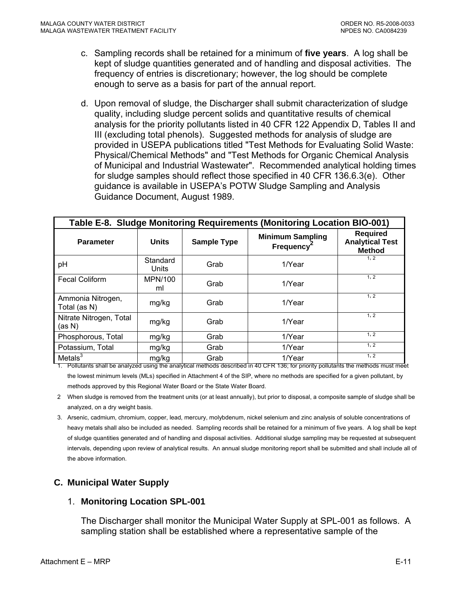- <span id="page-57-0"></span>c. Sampling records shall be retained for a minimum of **five years**. A log shall be kept of sludge quantities generated and of handling and disposal activities. The frequency of entries is discretionary; however, the log should be complete enough to serve as a basis for part of the annual report.
- d. Upon removal of sludge, the Discharger shall submit characterization of sludge quality, including sludge percent solids and quantitative results of chemical analysis for the priority pollutants listed in 40 CFR 122 Appendix D, Tables II and III (excluding total phenols). Suggested methods for analysis of sludge are provided in USEPA publications titled "Test Methods for Evaluating Solid Waste: Physical/Chemical Methods" and "Test Methods for Organic Chemical Analysis of Municipal and Industrial Wastewater". Recommended analytical holding times for sludge samples should reflect those specified in 40 CFR 136.6.3(e). Other guidance is available in USEPA's POTW Sludge Sampling and Analysis Guidance Document, August 1989.

| Table E-8. Sludge Monitoring Requirements (Monitoring Location BIO-001) |                   |                    |                                             |                                                            |
|-------------------------------------------------------------------------|-------------------|--------------------|---------------------------------------------|------------------------------------------------------------|
| <b>Parameter</b>                                                        | <b>Units</b>      | <b>Sample Type</b> | <b>Minimum Sampling</b><br><b>Frequency</b> | <b>Required</b><br><b>Analytical Test</b><br><b>Method</b> |
| pH                                                                      | Standard<br>Units | Grab               | 1/Year                                      | 1, 2                                                       |
| <b>Fecal Coliform</b>                                                   | MPN/100<br>ml     | Grab               | 1/Year                                      | 1, 2                                                       |
| Ammonia Nitrogen,<br>Total (as N)                                       | mg/kg             | Grab               | 1/Year                                      | 1, 2                                                       |
| Nitrate Nitrogen, Total<br>(as N)                                       | mg/kg             | Grab               | 1/Year                                      | 1, 2                                                       |
| Phosphorous, Total                                                      | mg/kg             | Grab               | 1/Year                                      | 1, 2                                                       |
| Potassium, Total                                                        | mg/kg             | Grab               | 1/Year                                      | 1, 2                                                       |
| Metals $3$                                                              | mg/kg             | Grab               | 1/Year                                      | 1, 2                                                       |

1. Pollutants shall be analyzed using the analytical methods described in 40 CFR 136; for priority pollutants the methods must meet the lowest minimum levels (MLs) specified in Attachment 4 of the SIP, where no methods are specified for a given pollutant, by methods approved by this Regional Water Board or the State Water Board.

- 2 When sludge is removed from the treatment units (or at least annually), but prior to disposal, a composite sample of sludge shall be analyzed, on a dry weight basis.
- 3. Arsenic, cadmium, chromium, copper, lead, mercury, molybdenum, nickel selenium and zinc analysis of soluble concentrations of heavy metals shall also be included as needed. Sampling records shall be retained for a minimum of five years. A log shall be kept of sludge quantities generated and of handling and disposal activities. Additional sludge sampling may be requested at subsequent intervals, depending upon review of analytical results. An annual sludge monitoring report shall be submitted and shall include all of the above information.

### **C. Municipal Water Supply**

### 1. **Monitoring Location SPL-001**

The Discharger shall monitor the Municipal Water Supply at SPL-001 as follows. A sampling station shall be established where a representative sample of the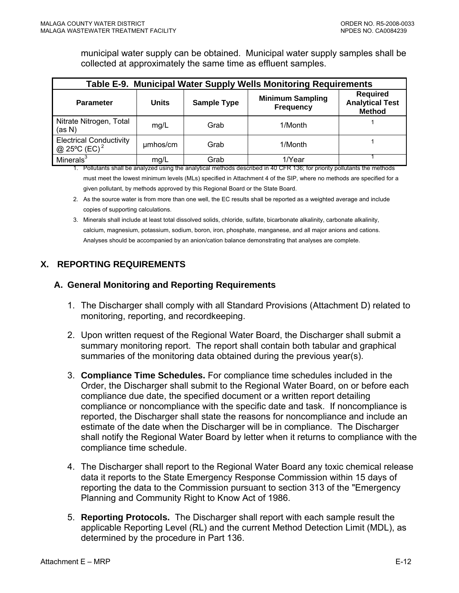municipal water supply can be obtained. Municipal water supply samples shall be collected at approximately the same time as effluent samples.

<span id="page-58-0"></span>

| Table E-9. Municipal Water Supply Wells Monitoring Requirements |              |                    |                                             |                                                            |
|-----------------------------------------------------------------|--------------|--------------------|---------------------------------------------|------------------------------------------------------------|
| <b>Parameter</b>                                                | <b>Units</b> | <b>Sample Type</b> | <b>Minimum Sampling</b><br><b>Frequency</b> | <b>Required</b><br><b>Analytical Test</b><br><b>Method</b> |
| Nitrate Nitrogen, Total<br>(as N)                               | mg/L         | Grab               | 1/Month                                     |                                                            |
| <b>Electrical Conductivity</b><br>@ 25°C (EC) <sup>2</sup>      | umhos/cm     | Grab               | 1/Month                                     |                                                            |
| Minerals $3$                                                    | mg/L         | Grab               | 1/Year                                      |                                                            |

1. Pollutants shall be analyzed using the analytical methods described in 40 CFR 136; for priority pollutants the methods must meet the lowest minimum levels (MLs) specified in Attachment 4 of the SIP, where no methods are specified for a given pollutant, by methods approved by this Regional Board or the State Board.

- 2. As the source water is from more than one well, the EC results shall be reported as a weighted average and include copies of supporting calculations.
- 3. Minerals shall include at least total dissolved solids, chloride, sulfate, bicarbonate alkalinity, carbonate alkalinity, calcium, magnesium, potassium, sodium, boron, iron, phosphate, manganese, and all major anions and cations. Analyses should be accompanied by an anion/cation balance demonstrating that analyses are complete.

# **X. REPORTING REQUIREMENTS**

### **A. General Monitoring and Reporting Requirements**

- 1. The Discharger shall comply with all Standard Provisions (Attachment D) related to monitoring, reporting, and recordkeeping.
- 2. Upon written request of the Regional Water Board, the Discharger shall submit a summary monitoring report. The report shall contain both tabular and graphical summaries of the monitoring data obtained during the previous year(s).
- 3. **Compliance Time Schedules.** For compliance time schedules included in the Order, the Discharger shall submit to the Regional Water Board, on or before each compliance due date, the specified document or a written report detailing compliance or noncompliance with the specific date and task. If noncompliance is reported, the Discharger shall state the reasons for noncompliance and include an estimate of the date when the Discharger will be in compliance. The Discharger shall notify the Regional Water Board by letter when it returns to compliance with the compliance time schedule.
- 4. The Discharger shall report to the Regional Water Board any toxic chemical release data it reports to the State Emergency Response Commission within 15 days of reporting the data to the Commission pursuant to section 313 of the "Emergency Planning and Community Right to Know Act of 1986.
- 5. **Reporting Protocols.** The Discharger shall report with each sample result the applicable Reporting Level (RL) and the current Method Detection Limit (MDL), as determined by the procedure in Part 136.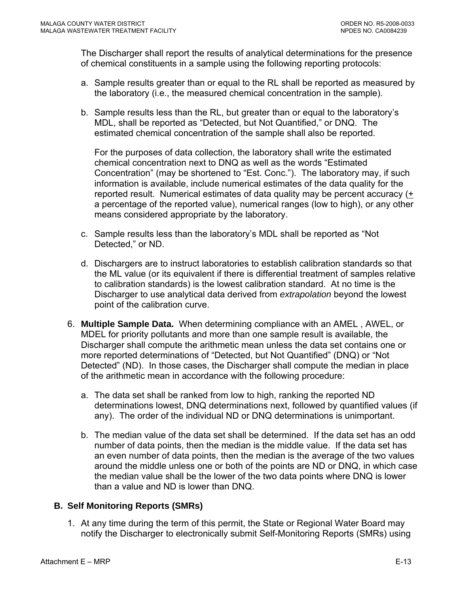<span id="page-59-0"></span>The Discharger shall report the results of analytical determinations for the presence of chemical constituents in a sample using the following reporting protocols:

- a. Sample results greater than or equal to the RL shall be reported as measured by the laboratory (i.e., the measured chemical concentration in the sample).
- b. Sample results less than the RL, but greater than or equal to the laboratory's MDL, shall be reported as "Detected, but Not Quantified," or DNQ. The estimated chemical concentration of the sample shall also be reported.

For the purposes of data collection, the laboratory shall write the estimated chemical concentration next to DNQ as well as the words "Estimated Concentration" (may be shortened to "Est. Conc."). The laboratory may, if such information is available, include numerical estimates of the data quality for the reported result. Numerical estimates of data quality may be percent accuracy (+ a percentage of the reported value), numerical ranges (low to high), or any other means considered appropriate by the laboratory.

- c. Sample results less than the laboratory's MDL shall be reported as "Not Detected," or ND.
- d. Dischargers are to instruct laboratories to establish calibration standards so that the ML value (or its equivalent if there is differential treatment of samples relative to calibration standards) is the lowest calibration standard. At no time is the Discharger to use analytical data derived from *extrapolation* beyond the lowest point of the calibration curve.
- 6. **Multiple Sample Data.** When determining compliance with an AMEL , AWEL, or MDEL for priority pollutants and more than one sample result is available, the Discharger shall compute the arithmetic mean unless the data set contains one or more reported determinations of "Detected, but Not Quantified" (DNQ) or "Not Detected" (ND). In those cases, the Discharger shall compute the median in place of the arithmetic mean in accordance with the following procedure:
	- a. The data set shall be ranked from low to high, ranking the reported ND determinations lowest, DNQ determinations next, followed by quantified values (if any). The order of the individual ND or DNQ determinations is unimportant.
	- b. The median value of the data set shall be determined. If the data set has an odd number of data points, then the median is the middle value. If the data set has an even number of data points, then the median is the average of the two values around the middle unless one or both of the points are ND or DNQ, in which case the median value shall be the lower of the two data points where DNQ is lower than a value and ND is lower than DNQ.

# **B. Self Monitoring Reports (SMRs)**

1. At any time during the term of this permit, the State or Regional Water Board may notify the Discharger to electronically submit Self-Monitoring Reports (SMRs) using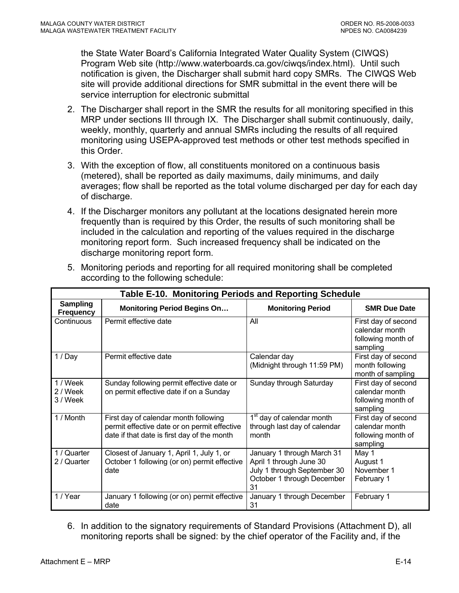<span id="page-60-0"></span>the State Water Board's California Integrated Water Quality System (CIWQS) Program Web site (http://www.waterboards.ca.gov/ciwqs/index.html). Until such notification is given, the Discharger shall submit hard copy SMRs. The CIWQS Web site will provide additional directions for SMR submittal in the event there will be service interruption for electronic submittal

- 2. The Discharger shall report in the SMR the results for all monitoring specified in this MRP under sections III through IX. The Discharger shall submit continuously, daily, weekly, monthly, quarterly and annual SMRs including the results of all required monitoring using USEPA-approved test methods or other test methods specified in this Order.
- 3. With the exception of flow, all constituents monitored on a continuous basis (metered), shall be reported as daily maximums, daily minimums, and daily averages; flow shall be reported as the total volume discharged per day for each day of discharge.
- 4. If the Discharger monitors any pollutant at the locations designated herein more frequently than is required by this Order, the results of such monitoring shall be included in the calculation and reporting of the values required in the discharge monitoring report form. Such increased frequency shall be indicated on the discharge monitoring report form.

| Table E-10. Monitoring Periods and Reporting Schedule |                                                                                                                                      |                                                                                                                          |                                                                         |  |
|-------------------------------------------------------|--------------------------------------------------------------------------------------------------------------------------------------|--------------------------------------------------------------------------------------------------------------------------|-------------------------------------------------------------------------|--|
| <b>Sampling</b><br><b>Frequency</b>                   | <b>Monitoring Period Begins On</b>                                                                                                   | <b>Monitoring Period</b>                                                                                                 | <b>SMR Due Date</b>                                                     |  |
| Continuous                                            | Permit effective date                                                                                                                | All                                                                                                                      | First day of second<br>calendar month<br>following month of<br>sampling |  |
| 1 / Day                                               | Permit effective date                                                                                                                | Calendar day<br>(Midnight through 11:59 PM)                                                                              | First day of second<br>month following<br>month of sampling             |  |
| 1 / Week<br>2 / Week<br>3 / Week                      | Sunday following permit effective date or<br>on permit effective date if on a Sunday                                                 | Sunday through Saturday                                                                                                  | First day of second<br>calendar month<br>following month of<br>sampling |  |
| 1 / Month                                             | First day of calendar month following<br>permit effective date or on permit effective<br>date if that date is first day of the month | 1 <sup>st</sup> day of calendar month<br>through last day of calendar<br>month                                           | First day of second<br>calendar month<br>following month of<br>sampling |  |
| 1 / Quarter<br>2 / Quarter                            | Closest of January 1, April 1, July 1, or<br>October 1 following (or on) permit effective<br>date                                    | January 1 through March 31<br>April 1 through June 30<br>July 1 through September 30<br>October 1 through December<br>31 | May 1<br>August 1<br>November 1<br>February 1                           |  |
| 1 / Year                                              | January 1 following (or on) permit effective<br>date                                                                                 | January 1 through December<br>31                                                                                         | February 1                                                              |  |

5. Monitoring periods and reporting for all required monitoring shall be completed according to the following schedule:

6. In addition to the signatory requirements of Standard Provisions (Attachment D), all monitoring reports shall be signed: by the chief operator of the Facility and, if the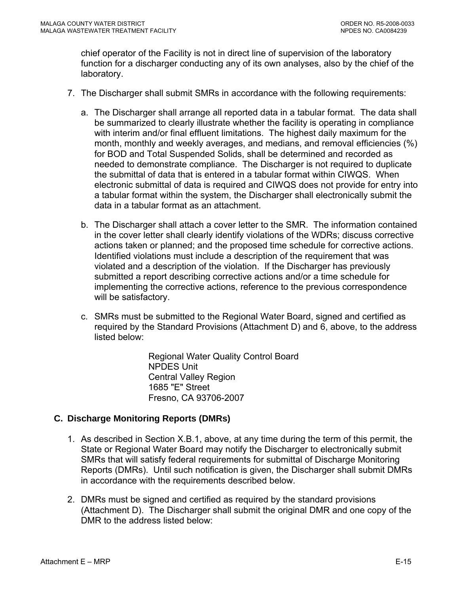<span id="page-61-0"></span>chief operator of the Facility is not in direct line of supervision of the laboratory function for a discharger conducting any of its own analyses, also by the chief of the laboratory.

- 7. The Discharger shall submit SMRs in accordance with the following requirements:
	- a. The Discharger shall arrange all reported data in a tabular format. The data shall be summarized to clearly illustrate whether the facility is operating in compliance with interim and/or final effluent limitations. The highest daily maximum for the month, monthly and weekly averages, and medians, and removal efficiencies (%) for BOD and Total Suspended Solids, shall be determined and recorded as needed to demonstrate compliance. The Discharger is not required to duplicate the submittal of data that is entered in a tabular format within CIWQS. When electronic submittal of data is required and CIWQS does not provide for entry into a tabular format within the system, the Discharger shall electronically submit the data in a tabular format as an attachment.
	- b. The Discharger shall attach a cover letter to the SMR. The information contained in the cover letter shall clearly identify violations of the WDRs; discuss corrective actions taken or planned; and the proposed time schedule for corrective actions. Identified violations must include a description of the requirement that was violated and a description of the violation. If the Discharger has previously submitted a report describing corrective actions and/or a time schedule for implementing the corrective actions, reference to the previous correspondence will be satisfactory.
	- c. SMRs must be submitted to the Regional Water Board, signed and certified as required by the Standard Provisions (Attachment D) and 6, above, to the address listed below:

Regional Water Quality Control Board NPDES Unit Central Valley Region 1685 "E" Street Fresno, CA 93706-2007

### **C. Discharge Monitoring Reports (DMRs)**

- 1. As described in Section X.B.1, above, at any time during the term of this permit, the State or Regional Water Board may notify the Discharger to electronically submit SMRs that will satisfy federal requirements for submittal of Discharge Monitoring Reports (DMRs). Until such notification is given, the Discharger shall submit DMRs in accordance with the requirements described below.
- 2. DMRs must be signed and certified as required by the standard provisions (Attachment D). The Discharger shall submit the original DMR and one copy of the DMR to the address listed below: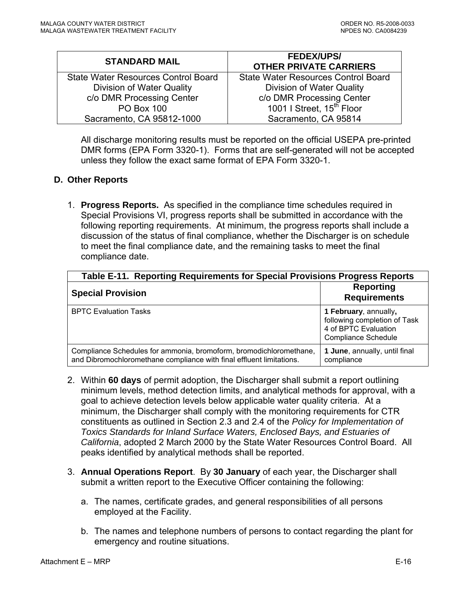<span id="page-62-0"></span>

| <b>STANDARD MAIL</b>                | <b>FEDEX/UPS/</b><br><b>OTHER PRIVATE CARRIERS</b> |
|-------------------------------------|----------------------------------------------------|
| State Water Resources Control Board | <b>State Water Resources Control Board</b>         |
| Division of Water Quality           | Division of Water Quality                          |
| c/o DMR Processing Center           | c/o DMR Processing Center                          |
| <b>PO Box 100</b>                   | 1001   Street, 15 <sup>th</sup> Floor              |
| Sacramento, CA 95812-1000           | Sacramento, CA 95814                               |

All discharge monitoring results must be reported on the official USEPA pre-printed DMR forms (EPA Form 3320-1). Forms that are self-generated will not be accepted unless they follow the exact same format of EPA Form 3320-1.

#### **D. Other Reports**

1. **Progress Reports.** As specified in the compliance time schedules required in Special Provisions VI, progress reports shall be submitted in accordance with the following reporting requirements. At minimum, the progress reports shall include a discussion of the status of final compliance, whether the Discharger is on schedule to meet the final compliance date, and the remaining tasks to meet the final compliance date.

| Table E-11. Reporting Requirements for Special Provisions Progress Reports                                                                 |                                                                                                             |  |  |
|--------------------------------------------------------------------------------------------------------------------------------------------|-------------------------------------------------------------------------------------------------------------|--|--|
| <b>Special Provision</b>                                                                                                                   | <b>Reporting</b><br><b>Requirements</b>                                                                     |  |  |
| <b>BPTC Evaluation Tasks</b>                                                                                                               | 1 February, annually,<br>following completion of Task<br>4 of BPTC Evaluation<br><b>Compliance Schedule</b> |  |  |
| Compliance Schedules for ammonia, bromoform, bromodichloromethane,<br>and Dibromochloromethane compliance with final effluent limitations. | 1 June, annually, until final<br>compliance                                                                 |  |  |

- 2. Within **60 days** of permit adoption, the Discharger shall submit a report outlining minimum levels, method detection limits, and analytical methods for approval, with a goal to achieve detection levels below applicable water quality criteria. At a minimum, the Discharger shall comply with the monitoring requirements for CTR constituents as outlined in Section 2.3 and 2.4 of the *Policy for Implementation of Toxics Standards for Inland Surface Waters, Enclosed Bays, and Estuaries of California*, adopted 2 March 2000 by the State Water Resources Control Board. All peaks identified by analytical methods shall be reported.
- 3. **Annual Operations Report**. By **30 January** of each year, the Discharger shall submit a written report to the Executive Officer containing the following:
	- a. The names, certificate grades, and general responsibilities of all persons employed at the Facility.
	- b. The names and telephone numbers of persons to contact regarding the plant for emergency and routine situations.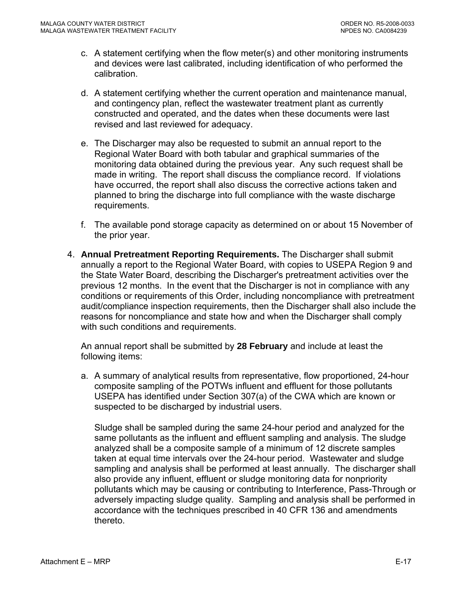- c. A statement certifying when the flow meter(s) and other monitoring instruments and devices were last calibrated, including identification of who performed the calibration.
- d. A statement certifying whether the current operation and maintenance manual, and contingency plan, reflect the wastewater treatment plant as currently constructed and operated, and the dates when these documents were last revised and last reviewed for adequacy.
- e. The Discharger may also be requested to submit an annual report to the Regional Water Board with both tabular and graphical summaries of the monitoring data obtained during the previous year. Any such request shall be made in writing. The report shall discuss the compliance record. If violations have occurred, the report shall also discuss the corrective actions taken and planned to bring the discharge into full compliance with the waste discharge requirements.
- f. The available pond storage capacity as determined on or about 15 November of the prior year.
- 4. **Annual Pretreatment Reporting Requirements.** The Discharger shall submit annually a report to the Regional Water Board, with copies to USEPA Region 9 and the State Water Board, describing the Discharger's pretreatment activities over the previous 12 months. In the event that the Discharger is not in compliance with any conditions or requirements of this Order, including noncompliance with pretreatment audit/compliance inspection requirements, then the Discharger shall also include the reasons for noncompliance and state how and when the Discharger shall comply with such conditions and requirements.

An annual report shall be submitted by **28 February** and include at least the following items:

a. A summary of analytical results from representative, flow proportioned, 24-hour composite sampling of the POTWs influent and effluent for those pollutants USEPA has identified under Section 307(a) of the CWA which are known or suspected to be discharged by industrial users.

Sludge shall be sampled during the same 24-hour period and analyzed for the same pollutants as the influent and effluent sampling and analysis. The sludge analyzed shall be a composite sample of a minimum of 12 discrete samples taken at equal time intervals over the 24-hour period. Wastewater and sludge sampling and analysis shall be performed at least annually. The discharger shall also provide any influent, effluent or sludge monitoring data for nonpriority pollutants which may be causing or contributing to Interference, Pass-Through or adversely impacting sludge quality. Sampling and analysis shall be performed in accordance with the techniques prescribed in 40 CFR 136 and amendments thereto.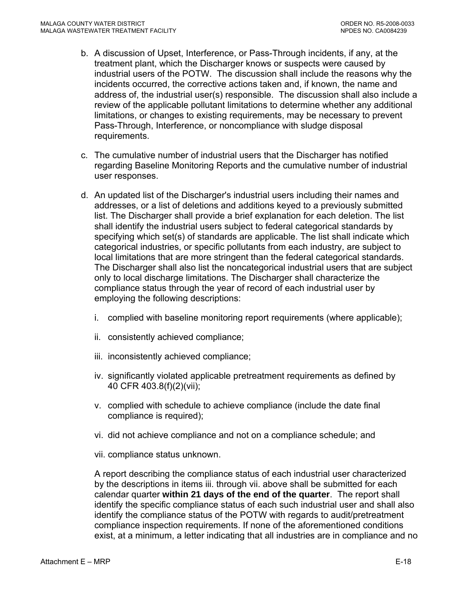- b. A discussion of Upset, Interference, or Pass-Through incidents, if any, at the treatment plant, which the Discharger knows or suspects were caused by industrial users of the POTW. The discussion shall include the reasons why the incidents occurred, the corrective actions taken and, if known, the name and address of, the industrial user(s) responsible. The discussion shall also include a review of the applicable pollutant limitations to determine whether any additional limitations, or changes to existing requirements, may be necessary to prevent Pass-Through, Interference, or noncompliance with sludge disposal requirements.
- c. The cumulative number of industrial users that the Discharger has notified regarding Baseline Monitoring Reports and the cumulative number of industrial user responses.
- d. An updated list of the Discharger's industrial users including their names and addresses, or a list of deletions and additions keyed to a previously submitted list. The Discharger shall provide a brief explanation for each deletion. The list shall identify the industrial users subject to federal categorical standards by specifying which set(s) of standards are applicable. The list shall indicate which categorical industries, or specific pollutants from each industry, are subject to local limitations that are more stringent than the federal categorical standards. The Discharger shall also list the noncategorical industrial users that are subject only to local discharge limitations. The Discharger shall characterize the compliance status through the year of record of each industrial user by employing the following descriptions:
	- i. complied with baseline monitoring report requirements (where applicable);
	- ii. consistently achieved compliance;
	- iii. inconsistently achieved compliance;
	- iv. significantly violated applicable pretreatment requirements as defined by 40 CFR 403.8(f)(2)(vii);
	- v. complied with schedule to achieve compliance (include the date final compliance is required);
	- vi. did not achieve compliance and not on a compliance schedule; and
	- vii. compliance status unknown.

A report describing the compliance status of each industrial user characterized by the descriptions in items iii. through vii. above shall be submitted for each calendar quarter **within 21 days of the end of the quarter**. The report shall identify the specific compliance status of each such industrial user and shall also identify the compliance status of the POTW with regards to audit/pretreatment compliance inspection requirements. If none of the aforementioned conditions exist, at a minimum, a letter indicating that all industries are in compliance and no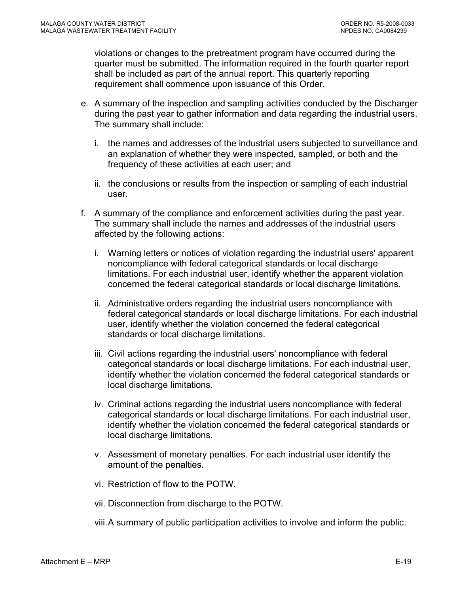violations or changes to the pretreatment program have occurred during the quarter must be submitted. The information required in the fourth quarter report shall be included as part of the annual report. This quarterly reporting requirement shall commence upon issuance of this Order.

- e. A summary of the inspection and sampling activities conducted by the Discharger during the past year to gather information and data regarding the industrial users. The summary shall include:
	- i. the names and addresses of the industrial users subjected to surveillance and an explanation of whether they were inspected, sampled, or both and the frequency of these activities at each user; and
	- ii. the conclusions or results from the inspection or sampling of each industrial user.
- f. A summary of the compliance and enforcement activities during the past year. The summary shall include the names and addresses of the industrial users affected by the following actions:
	- i. Warning letters or notices of violation regarding the industrial users' apparent noncompliance with federal categorical standards or local discharge limitations. For each industrial user, identify whether the apparent violation concerned the federal categorical standards or local discharge limitations.
	- ii. Administrative orders regarding the industrial users noncompliance with federal categorical standards or local discharge limitations. For each industrial user, identify whether the violation concerned the federal categorical standards or local discharge limitations.
	- iii. Civil actions regarding the industrial users' noncompliance with federal categorical standards or local discharge limitations. For each industrial user, identify whether the violation concerned the federal categorical standards or local discharge limitations.
	- iv. Criminal actions regarding the industrial users noncompliance with federal categorical standards or local discharge limitations. For each industrial user, identify whether the violation concerned the federal categorical standards or local discharge limitations.
	- v. Assessment of monetary penalties. For each industrial user identify the amount of the penalties.
	- vi. Restriction of flow to the POTW.
	- vii. Disconnection from discharge to the POTW.

viii. A summary of public participation activities to involve and inform the public.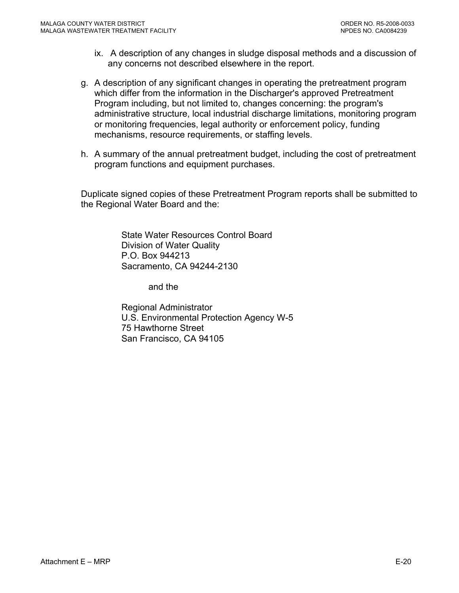- ix. A description of any changes in sludge disposal methods and a discussion of any concerns not described elsewhere in the report.
- g. A description of any significant changes in operating the pretreatment program which differ from the information in the Discharger's approved Pretreatment Program including, but not limited to, changes concerning: the program's administrative structure, local industrial discharge limitations, monitoring program or monitoring frequencies, legal authority or enforcement policy, funding mechanisms, resource requirements, or staffing levels.
- h. A summary of the annual pretreatment budget, including the cost of pretreatment program functions and equipment purchases.

Duplicate signed copies of these Pretreatment Program reports shall be submitted to the Regional Water Board and the:

> State Water Resources Control Board Division of Water Quality P.O. Box 944213 Sacramento, CA 94244-2130

> > and the

Regional Administrator U.S. Environmental Protection Agency W-5 75 Hawthorne Street San Francisco, CA 94105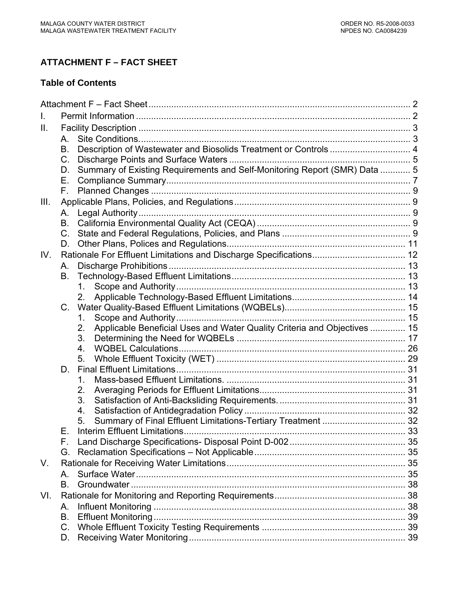# **ATTACHMENT F – FACT SHEET**

### **Table of Contents**

| $\mathbf{II}$ . |             |                                                                                |  |
|-----------------|-------------|--------------------------------------------------------------------------------|--|
|                 | А.          |                                                                                |  |
|                 | В.          | Description of Wastewater and Biosolids Treatment or Controls  4               |  |
|                 | $C_{\cdot}$ |                                                                                |  |
|                 | D.          | Summary of Existing Requirements and Self-Monitoring Report (SMR) Data  5      |  |
|                 | Е.          |                                                                                |  |
|                 | Е.          |                                                                                |  |
| III.            |             |                                                                                |  |
|                 | А.          |                                                                                |  |
|                 | В.          |                                                                                |  |
|                 | $C_{-}$     |                                                                                |  |
|                 | D.          |                                                                                |  |
| IV.             |             |                                                                                |  |
|                 | А.          |                                                                                |  |
|                 | В.          |                                                                                |  |
|                 |             | $1_{-}$                                                                        |  |
|                 |             | 2.                                                                             |  |
|                 | $C_{\cdot}$ |                                                                                |  |
|                 |             | 1.                                                                             |  |
|                 |             | Applicable Beneficial Uses and Water Quality Criteria and Objectives  15<br>2. |  |
|                 |             | 3.                                                                             |  |
|                 |             | 4.                                                                             |  |
|                 |             | 5.                                                                             |  |
|                 | D.          |                                                                                |  |
|                 |             | 1.                                                                             |  |
|                 |             | 2.                                                                             |  |
|                 |             | 3.                                                                             |  |
|                 |             | 4.<br>Summary of Final Effluent Limitations-Tertiary Treatment  32<br>5.       |  |
|                 | Е.          |                                                                                |  |
|                 | F.          |                                                                                |  |
|                 | G.          |                                                                                |  |
| V.              |             |                                                                                |  |
|                 | A           |                                                                                |  |
|                 | B.          |                                                                                |  |
| VI.             |             |                                                                                |  |
|                 | А.          |                                                                                |  |
|                 | В.          |                                                                                |  |
|                 | C.          |                                                                                |  |
|                 | D.          |                                                                                |  |
|                 |             |                                                                                |  |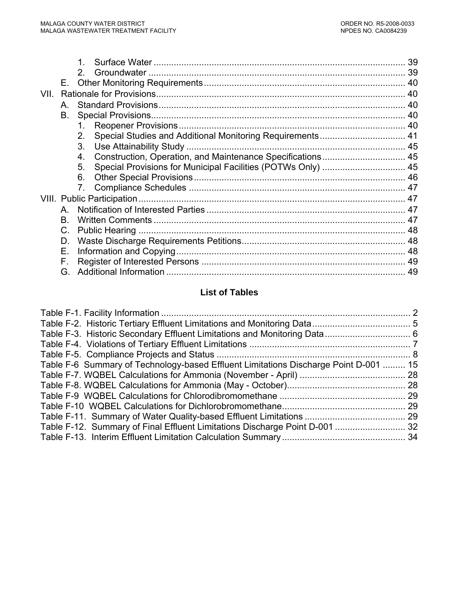|      |              | 2.                                                               |    |
|------|--------------|------------------------------------------------------------------|----|
|      | Е.           |                                                                  |    |
| VII. |              |                                                                  |    |
|      | $\mathsf{A}$ |                                                                  |    |
|      | В.           |                                                                  |    |
|      |              | 1.                                                               |    |
|      |              | Special Studies and Additional Monitoring Requirements 41<br>2.  |    |
|      |              | 3.                                                               |    |
|      |              | Construction, Operation, and Maintenance Specifications 45<br>4. |    |
|      |              | 5.                                                               |    |
|      |              | 6.                                                               |    |
|      |              | 7.                                                               |    |
|      |              |                                                                  |    |
|      | A            |                                                                  |    |
|      | B.           |                                                                  |    |
|      | C.           |                                                                  |    |
|      | D.           |                                                                  |    |
|      | Е.           |                                                                  |    |
|      | F.           |                                                                  |    |
|      | G.           |                                                                  | 49 |

### **List of Tables**

| Table F-6 Summary of Technology-based Effluent Limitations Discharge Point D-001  15 |  |
|--------------------------------------------------------------------------------------|--|
|                                                                                      |  |
|                                                                                      |  |
|                                                                                      |  |
|                                                                                      |  |
|                                                                                      |  |
| Table F-12. Summary of Final Effluent Limitations Discharge Point D-001  32          |  |
|                                                                                      |  |
|                                                                                      |  |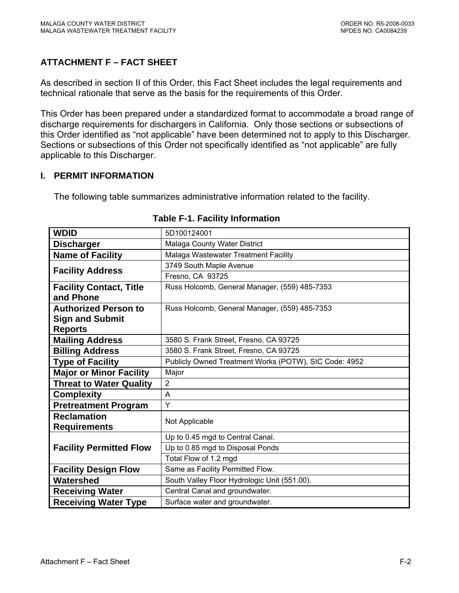# <span id="page-69-0"></span>**ATTACHMENT F – FACT SHEET**

As described in section II of this Order, this Fact Sheet includes the legal requirements and technical rationale that serve as the basis for the requirements of this Order.

This Order has been prepared under a standardized format to accommodate a broad range of discharge requirements for dischargers in California. Only those sections or subsections of this Order identified as "not applicable" have been determined not to apply to this Discharger. Sections or subsections of this Order not specifically identified as "not applicable" are fully applicable to this Discharger.

### **I. PERMIT INFORMATION**

The following table summarizes administrative information related to the facility.

| <b>WDID</b>                    | 5D100124001                                           |
|--------------------------------|-------------------------------------------------------|
| <b>Discharger</b>              | Malaga County Water District                          |
| <b>Name of Facility</b>        | Malaga Wastewater Treatment Facility                  |
|                                | 3749 South Maple Avenue                               |
| <b>Facility Address</b>        | Fresno, CA 93725                                      |
| <b>Facility Contact, Title</b> | Russ Holcomb, General Manager, (559) 485-7353         |
| and Phone                      |                                                       |
| <b>Authorized Person to</b>    | Russ Holcomb, General Manager, (559) 485-7353         |
| <b>Sign and Submit</b>         |                                                       |
| <b>Reports</b>                 |                                                       |
| <b>Mailing Address</b>         | 3580 S. Frank Street, Fresno, CA 93725                |
| <b>Billing Address</b>         | 3580 S. Frank Street, Fresno, CA 93725                |
| <b>Type of Facility</b>        | Publicly Owned Treatment Works (POTW), SIC Code: 4952 |
| <b>Major or Minor Facility</b> | Major                                                 |
| <b>Threat to Water Quality</b> | $\overline{2}$                                        |
| <b>Complexity</b>              | A                                                     |
| <b>Pretreatment Program</b>    | Y                                                     |
| <b>Reclamation</b>             | Not Applicable                                        |
| <b>Requirements</b>            |                                                       |
|                                | Up to 0.45 mgd to Central Canal.                      |
| <b>Facility Permitted Flow</b> | Up to 0.85 mgd to Disposal Ponds                      |
|                                | Total Flow of 1.2 mgd                                 |
| <b>Facility Design Flow</b>    | Same as Facility Permitted Flow.                      |
| Watershed                      | South Valley Floor Hydrologic Unit (551.00).          |
| <b>Receiving Water</b>         | Central Canal and groundwater.                        |
| <b>Receiving Water Type</b>    | Surface water and groundwater.                        |

#### **Table F-1. Facility Information**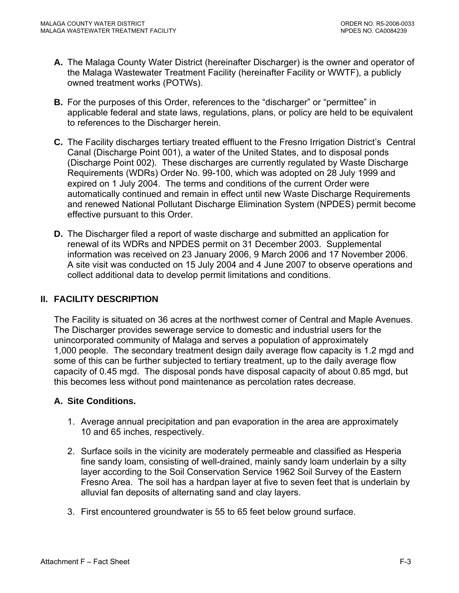- <span id="page-70-0"></span>**A.** The Malaga County Water District (hereinafter Discharger) is the owner and operator of the Malaga Wastewater Treatment Facility (hereinafter Facility or WWTF), a publicly owned treatment works (POTWs).
- **B.** For the purposes of this Order, references to the "discharger" or "permittee" in applicable federal and state laws, regulations, plans, or policy are held to be equivalent to references to the Discharger herein.
- **C.** The Facility discharges tertiary treated effluent to the Fresno Irrigation District's Central Canal (Discharge Point 001), a water of the United States, and to disposal ponds (Discharge Point 002). These discharges are currently regulated by Waste Discharge Requirements (WDRs) Order No. 99-100, which was adopted on 28 July 1999 and expired on 1 July 2004. The terms and conditions of the current Order were automatically continued and remain in effect until new Waste Discharge Requirements and renewed National Pollutant Discharge Elimination System (NPDES) permit become effective pursuant to this Order.
- **D.** The Discharger filed a report of waste discharge and submitted an application for renewal of its WDRs and NPDES permit on 31 December 2003. Supplemental information was received on 23 January 2006, 9 March 2006 and 17 November 2006. A site visit was conducted on 15 July 2004 and 4 June 2007 to observe operations and collect additional data to develop permit limitations and conditions.

### **II. FACILITY DESCRIPTION**

The Facility is situated on 36 acres at the northwest corner of Central and Maple Avenues. The Discharger provides sewerage service to domestic and industrial users for the unincorporated community of Malaga and serves a population of approximately 1,000 people. The secondary treatment design daily average flow capacity is 1.2 mgd and some of this can be further subjected to tertiary treatment, up to the daily average flow capacity of 0.45 mgd. The disposal ponds have disposal capacity of about 0.85 mgd, but this becomes less without pond maintenance as percolation rates decrease.

#### **A. Site Conditions.**

- 1. Average annual precipitation and pan evaporation in the area are approximately 10 and 65 inches, respectively.
- 2. Surface soils in the vicinity are moderately permeable and classified as Hesperia fine sandy loam, consisting of well-drained, mainly sandy loam underlain by a silty layer according to the Soil Conservation Service 1962 Soil Survey of the Eastern Fresno Area. The soil has a hardpan layer at five to seven feet that is underlain by alluvial fan deposits of alternating sand and clay layers.
- 3. First encountered groundwater is 55 to 65 feet below ground surface.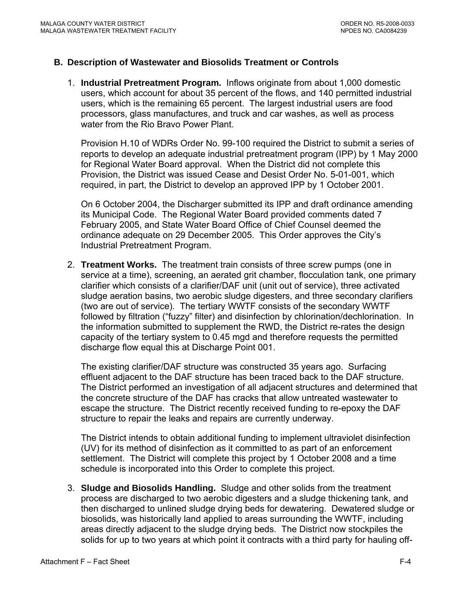#### <span id="page-71-0"></span>**B. Description of Wastewater and Biosolids Treatment or Controls**

1. **Industrial Pretreatment Program.** Inflows originate from about 1,000 domestic users, which account for about 35 percent of the flows, and 140 permitted industrial users, which is the remaining 65 percent. The largest industrial users are food processors, glass manufactures, and truck and car washes, as well as process water from the Rio Bravo Power Plant.

Provision H.10 of WDRs Order No. 99-100 required the District to submit a series of reports to develop an adequate industrial pretreatment program (IPP) by 1 May 2000 for Regional Water Board approval. When the District did not complete this Provision, the District was issued Cease and Desist Order No. 5-01-001, which required, in part, the District to develop an approved IPP by 1 October 2001.

On 6 October 2004, the Discharger submitted its IPP and draft ordinance amending its Municipal Code. The Regional Water Board provided comments dated 7 February 2005, and State Water Board Office of Chief Counsel deemed the ordinance adequate on 29 December 2005. This Order approves the City's Industrial Pretreatment Program.

2. **Treatment Works.** The treatment train consists of three screw pumps (one in service at a time), screening, an aerated grit chamber, flocculation tank, one primary clarifier which consists of a clarifier/DAF unit (unit out of service), three activated sludge aeration basins, two aerobic sludge digesters, and three secondary clarifiers (two are out of service). The tertiary WWTF consists of the secondary WWTF followed by filtration ("fuzzy" filter) and disinfection by chlorination/dechlorination. In the information submitted to supplement the RWD, the District re-rates the design capacity of the tertiary system to 0.45 mgd and therefore requests the permitted discharge flow equal this at Discharge Point 001.

The existing clarifier/DAF structure was constructed 35 years ago. Surfacing effluent adjacent to the DAF structure has been traced back to the DAF structure. The District performed an investigation of all adjacent structures and determined that the concrete structure of the DAF has cracks that allow untreated wastewater to escape the structure. The District recently received funding to re-epoxy the DAF structure to repair the leaks and repairs are currently underway.

The District intends to obtain additional funding to implement ultraviolet disinfection (UV) for its method of disinfection as it committed to as part of an enforcement settlement. The District will complete this project by 1 October 2008 and a time schedule is incorporated into this Order to complete this project.

3. **Sludge and Biosolids Handling.** Sludge and other solids from the treatment process are discharged to two aerobic digesters and a sludge thickening tank, and then discharged to unlined sludge drying beds for dewatering. Dewatered sludge or biosolids, was historically land applied to areas surrounding the WWTF, including areas directly adjacent to the sludge drying beds. The District now stockpiles the solids for up to two years at which point it contracts with a third party for hauling off-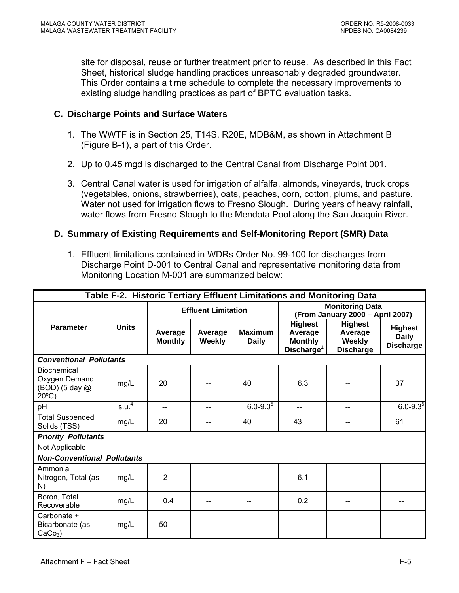site for disposal, reuse or further treatment prior to reuse. As described in this Fact Sheet, historical sludge handling practices unreasonably degraded groundwater. This Order contains a time schedule to complete the necessary improvements to existing sludge handling practices as part of BPTC evaluation tasks.

### **C. Discharge Points and Surface Waters**

- 1. The WWTF is in Section 25, T14S, R20E, MDB&M, as shown in Attachment B (Figure B-1), a part of this Order.
- 2. Up to 0.45 mgd is discharged to the Central Canal from Discharge Point 001.
- 3. Central Canal water is used for irrigation of alfalfa, almonds, vineyards, truck crops (vegetables, onions, strawberries), oats, peaches, corn, cotton, plums, and pasture. Water not used for irrigation flows to Fresno Slough. During years of heavy rainfall, water flows from Fresno Slough to the Mendota Pool along the San Joaquin River.

# **D. Summary of Existing Requirements and Self-Monitoring Report (SMR) Data**

1. Effluent limitations contained in WDRs Order No. 99-100 for discharges from Discharge Point D-001 to Central Canal and representative monitoring data from Monitoring Location M-001 are summarized below:

| Table F-2. Historic Tertiary Effluent Limitations and Monitoring Data    |                   |                           |                            |                                |                                                                       |                                                            |                                                    |  |
|--------------------------------------------------------------------------|-------------------|---------------------------|----------------------------|--------------------------------|-----------------------------------------------------------------------|------------------------------------------------------------|----------------------------------------------------|--|
|                                                                          |                   |                           | <b>Effluent Limitation</b> |                                |                                                                       | <b>Monitoring Data</b><br>(From January 2000 - April 2007) |                                                    |  |
| <b>Parameter</b>                                                         | <b>Units</b>      | Average<br><b>Monthly</b> | Average<br>Weekly          | <b>Maximum</b><br><b>Daily</b> | <b>Highest</b><br>Average<br><b>Monthly</b><br>Discharge <sup>1</sup> | <b>Highest</b><br>Average<br>Weekly<br><b>Discharge</b>    | <b>Highest</b><br><b>Daily</b><br><b>Discharge</b> |  |
| <b>Conventional Pollutants</b>                                           |                   |                           |                            |                                |                                                                       |                                                            |                                                    |  |
| <b>Biochemical</b><br>Oxygen Demand<br>(BOD) (5 day @<br>$20^{\circ}$ C) | mg/L              | 20                        |                            | 40                             | 6.3                                                                   |                                                            | 37                                                 |  |
| pH                                                                       | s.u. <sup>4</sup> | $-$                       | $-$                        | $6.0 - 9.0$ <sup>5</sup>       | $-$                                                                   | $-$                                                        | $6.0 - 9.3^{5}$                                    |  |
| <b>Total Suspended</b><br>Solids (TSS)                                   | mg/L              | 20                        |                            | 40                             | 43                                                                    |                                                            | 61                                                 |  |
| <b>Priority Pollutants</b>                                               |                   |                           |                            |                                |                                                                       |                                                            |                                                    |  |
| Not Applicable                                                           |                   |                           |                            |                                |                                                                       |                                                            |                                                    |  |
| <b>Non-Conventional Pollutants</b>                                       |                   |                           |                            |                                |                                                                       |                                                            |                                                    |  |
| Ammonia<br>Nitrogen, Total (as<br>N)                                     | mg/L              | $\overline{2}$            |                            |                                | 6.1                                                                   |                                                            |                                                    |  |
| Boron, Total<br>Recoverable                                              | mg/L              | 0.4                       |                            |                                | 0.2                                                                   |                                                            |                                                    |  |
| Carbonate +<br>Bicarbonate (as<br>$CaCo3$ )                              | mg/L              | 50                        |                            |                                |                                                                       |                                                            |                                                    |  |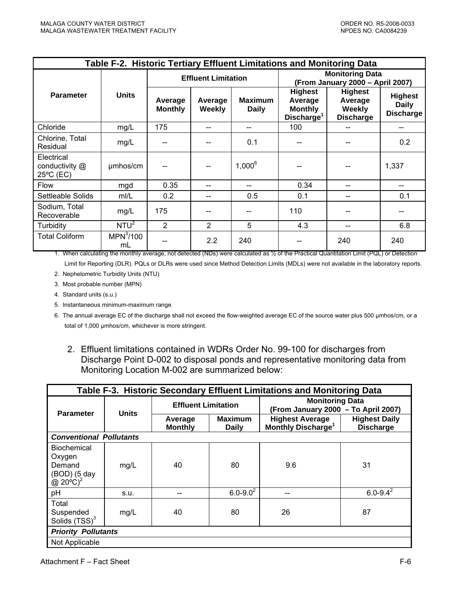|                                           | Table F-2. Historic Tertiary Effluent Limitations and Monitoring Data |                           |                            |                                |                                                                       |                                                         |                                                    |
|-------------------------------------------|-----------------------------------------------------------------------|---------------------------|----------------------------|--------------------------------|-----------------------------------------------------------------------|---------------------------------------------------------|----------------------------------------------------|
|                                           |                                                                       |                           | <b>Effluent Limitation</b> |                                | <b>Monitoring Data</b><br>(From January 2000 - April 2007)            |                                                         |                                                    |
| <b>Parameter</b>                          | <b>Units</b>                                                          | Average<br><b>Monthly</b> | Average<br>Weekly          | <b>Maximum</b><br><b>Daily</b> | <b>Highest</b><br>Average<br><b>Monthly</b><br>Discharge <sup>1</sup> | <b>Highest</b><br>Average<br>Weekly<br><b>Discharge</b> | <b>Highest</b><br><b>Daily</b><br><b>Discharge</b> |
| Chloride                                  | mg/L                                                                  | 175                       | --                         |                                | 100                                                                   |                                                         |                                                    |
| Chlorine, Total<br>Residual               | mg/L                                                                  |                           |                            | 0.1                            | $-$                                                                   |                                                         | 0.2                                                |
| Electrical<br>conductivity @<br>25°C (EC) | umhos/cm                                                              |                           |                            | $1,000^6$                      |                                                                       |                                                         | 1,337                                              |
| <b>Flow</b>                               | mgd                                                                   | 0.35                      |                            |                                | 0.34                                                                  |                                                         |                                                    |
| Settleable Solids                         | mI/L                                                                  | 0.2                       |                            | 0.5                            | 0.1                                                                   |                                                         | 0.1                                                |
| Sodium, Total<br>Recoverable              | mg/L                                                                  | 175                       |                            |                                | 110                                                                   |                                                         |                                                    |
| Turbidity                                 | NTU <sup>2</sup>                                                      | $\overline{2}$            | $\overline{2}$             | 5                              | 4.3                                                                   |                                                         | 6.8                                                |
| <b>Total Coliform</b>                     | MPN <sup>3</sup> /100<br>mL                                           |                           | 2.2                        | 240                            |                                                                       | 240                                                     | 240                                                |

1. When calculating the monthly average, not detected (NDs) were calculated as ½ of the Practical Quantitation Limit (PQL) or Detection

Limit for Reporting (DLR). PQLs or DLRs were used since Method Detection Limits (MDLs) were not available in the laboratory reports.

2. Nephelometric Turbidity Units (NTU)

3. Most probable number (MPN)

- 4. Standard units (s.u.)
- 5. Instantaneous minimum-maximum range.

6. The annual average EC of the discharge shall not exceed the flow-weighted average EC of the source water plus 500 µmhos/cm, or a total of 1,000 µmhos/cm, whichever is more stringent.

2. Effluent limitations contained in WDRs Order No. 99-100 for discharges from Discharge Point D-002 to disposal ponds and representative monitoring data from Monitoring Location M-002 are summarized below:

|                                                                                  | Table F-3. Historic Secondary Effluent Limitations and Monitoring Data |                            |                                |                                                               |                                          |  |
|----------------------------------------------------------------------------------|------------------------------------------------------------------------|----------------------------|--------------------------------|---------------------------------------------------------------|------------------------------------------|--|
|                                                                                  | <b>Units</b>                                                           | <b>Effluent Limitation</b> |                                | <b>Monitoring Data</b><br>(From January 2000 - To April 2007) |                                          |  |
| <b>Parameter</b>                                                                 |                                                                        | Average<br><b>Monthly</b>  | <b>Maximum</b><br><b>Daily</b> | <b>Highest Average</b><br>Monthly Discharge <sup>1</sup>      | <b>Highest Daily</b><br><b>Discharge</b> |  |
| <b>Conventional Pollutants</b>                                                   |                                                                        |                            |                                |                                                               |                                          |  |
| <b>Biochemical</b><br>Oxygen<br>Demand<br>(BOD) (5 day<br>@ $20^{\circ}$ C $)^2$ | mg/L                                                                   | 40                         | 80                             | 9.6                                                           | 31                                       |  |
| pH                                                                               | s.u.                                                                   |                            | $6.0 - 9.0^2$                  |                                                               | $6.0 - 9.4^2$                            |  |
| Total<br>Suspended<br>Solids $(TSS)^3$                                           | mg/L                                                                   | 40                         | 80                             | 26                                                            | 87                                       |  |
| <b>Priority Pollutants</b>                                                       |                                                                        |                            |                                |                                                               |                                          |  |
| Not Applicable                                                                   |                                                                        |                            |                                |                                                               |                                          |  |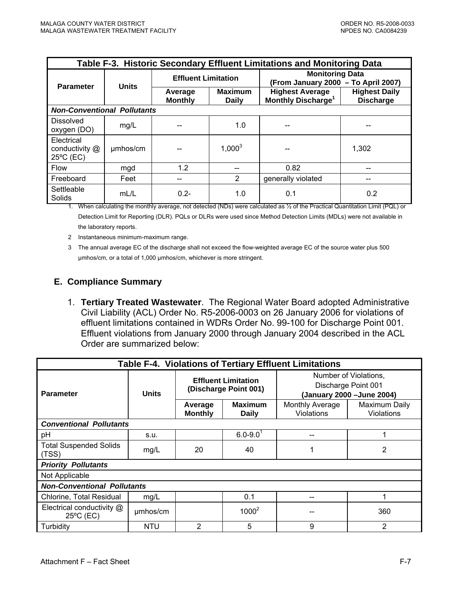|                                                     | Table F-3. Historic Secondary Effluent Limitations and Monitoring Data |                            |                                |                                                               |                                          |  |
|-----------------------------------------------------|------------------------------------------------------------------------|----------------------------|--------------------------------|---------------------------------------------------------------|------------------------------------------|--|
| <b>Parameter</b>                                    | <b>Units</b>                                                           | <b>Effluent Limitation</b> |                                | <b>Monitoring Data</b><br>(From January 2000 - To April 2007) |                                          |  |
|                                                     |                                                                        | Average<br><b>Monthly</b>  | <b>Maximum</b><br><b>Daily</b> | <b>Highest Average</b><br>Monthly Discharge <sup>1</sup>      | <b>Highest Daily</b><br><b>Discharge</b> |  |
| <b>Non-Conventional Pollutants</b>                  |                                                                        |                            |                                |                                                               |                                          |  |
| <b>Dissolved</b><br>oxygen (DO)                     | mg/L                                                                   |                            | 1.0                            |                                                               |                                          |  |
| Electrical<br>conductivity @<br>$25^{\circ}$ C (EC) | umhos/cm                                                               |                            | $1,000^3$                      |                                                               | 1,302                                    |  |
| <b>Flow</b>                                         | mgd                                                                    | 1.2                        |                                | 0.82                                                          |                                          |  |
| Freeboard                                           | Feet                                                                   |                            | $\overline{2}$                 | generally violated                                            |                                          |  |
| Settleable<br>Solids                                | mL/L                                                                   | $0.2 -$                    | 1.0                            | 0.1                                                           | 0.2                                      |  |

1. When calculating the monthly average, not detected (NDs) were calculated as ½ of the Practical Quantitation Limit (PQL) or Detection Limit for Reporting (DLR). PQLs or DLRs were used since Method Detection Limits (MDLs) were not available in the laboratory reports.

2 Instantaneous minimum-maximum range.

# **E. Compliance Summary**

1. **Tertiary Treated Wastewater**. The Regional Water Board adopted Administrative Civil Liability (ACL) Order No. R5-2006-0003 on 26 January 2006 for violations of effluent limitations contained in WDRs Order No. 99-100 for Discharge Point 001. Effluent violations from January 2000 through January 2004 described in the ACL Order are summarized below:

| <b>Table F-4. Violations of Tertiary Effluent Limitations</b> |              |                                                                                                                    |                          |                                      |                                                                            |
|---------------------------------------------------------------|--------------|--------------------------------------------------------------------------------------------------------------------|--------------------------|--------------------------------------|----------------------------------------------------------------------------|
| <b>Parameter</b>                                              | <b>Units</b> | <b>Effluent Limitation</b><br>(Discharge Point 001)<br><b>Maximum</b><br>Average<br><b>Monthly</b><br><b>Daily</b> |                          |                                      | Number of Violations.<br>Discharge Point 001<br>(January 2000 - June 2004) |
|                                                               |              |                                                                                                                    |                          | Monthly Average<br><b>Violations</b> | Maximum Daily<br><b>Violations</b>                                         |
| <b>Conventional Pollutants</b>                                |              |                                                                                                                    |                          |                                      |                                                                            |
| pH                                                            | s.u.         |                                                                                                                    | $6.0 - 9.0$ <sup>1</sup> |                                      |                                                                            |
| <b>Total Suspended Solids</b><br>(TSS)                        | mg/L         | 20                                                                                                                 | 40                       |                                      | 2                                                                          |
| <b>Priority Pollutants</b>                                    |              |                                                                                                                    |                          |                                      |                                                                            |
| Not Applicable                                                |              |                                                                                                                    |                          |                                      |                                                                            |
| <b>Non-Conventional Pollutants</b>                            |              |                                                                                                                    |                          |                                      |                                                                            |
| Chlorine, Total Residual                                      | mg/L         |                                                                                                                    | 0.1                      |                                      |                                                                            |
| Electrical conductivity @<br>25°C (EC)                        | umhos/cm     |                                                                                                                    | $1000^2$                 |                                      | 360                                                                        |
| Turbidity                                                     | <b>NTU</b>   | 2                                                                                                                  | 5                        | 9                                    | 2                                                                          |

<sup>3</sup> The annual average EC of the discharge shall not exceed the flow-weighted average EC of the source water plus 500 µmhos/cm, or a total of 1,000 µmhos/cm, whichever is more stringent.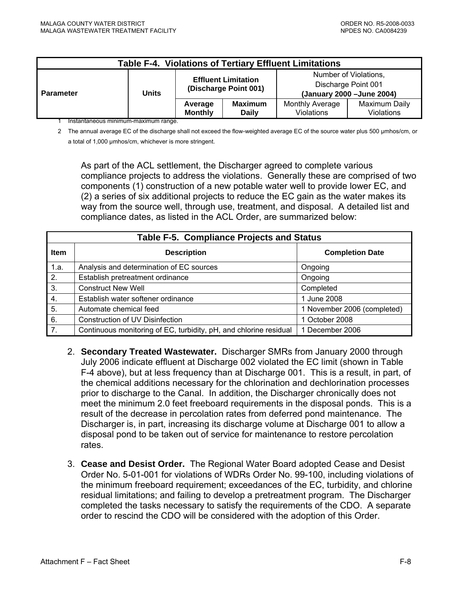| <b>Table F-4. Violations of Tertiary Effluent Limitations</b> |                                     |                                                     |                                |                               |                                                                            |
|---------------------------------------------------------------|-------------------------------------|-----------------------------------------------------|--------------------------------|-------------------------------|----------------------------------------------------------------------------|
| <b>Parameter</b>                                              | Units                               | <b>Effluent Limitation</b><br>(Discharge Point 001) |                                |                               | Number of Violations,<br>Discharge Point 001<br>(January 2000 - June 2004) |
|                                                               | Instantanoous minimum maximum rango | Average<br><b>Monthly</b>                           | <b>Maximum</b><br><b>Daily</b> | Monthly Average<br>Violations | Maximum Daily<br>Violations                                                |

1 Instantaneous minimum-maximum range.

2 The annual average EC of the discharge shall not exceed the flow-weighted average EC of the source water plus 500 µmhos/cm, or a total of 1,000 µmhos/cm, whichever is more stringent.

As part of the ACL settlement, the Discharger agreed to complete various compliance projects to address the violations. Generally these are comprised of two components (1) construction of a new potable water well to provide lower EC, and (2) a series of six additional projects to reduce the EC gain as the water makes its way from the source well, through use, treatment, and disposal. A detailed list and compliance dates, as listed in the ACL Order, are summarized below:

| <b>Table F-5. Compliance Projects and Status</b> |                                                                   |                             |  |  |
|--------------------------------------------------|-------------------------------------------------------------------|-----------------------------|--|--|
| <b>Item</b>                                      | <b>Description</b>                                                | <b>Completion Date</b>      |  |  |
| 1.a.                                             | Analysis and determination of EC sources                          | Ongoing                     |  |  |
| 2.                                               | Establish pretreatment ordinance                                  | Ongoing                     |  |  |
| 3.                                               | <b>Construct New Well</b>                                         | Completed                   |  |  |
| 4.                                               | Establish water softener ordinance                                | 1 June 2008                 |  |  |
| 5.                                               | Automate chemical feed                                            | 1 November 2006 (completed) |  |  |
| 6.                                               | Construction of UV Disinfection                                   | 1 October 2008              |  |  |
| 7.                                               | Continuous monitoring of EC, turbidity, pH, and chlorine residual | 1 December 2006             |  |  |

- 2. **Secondary Treated Wastewater.** Discharger SMRs from January 2000 through July 2006 indicate effluent at Discharge 002 violated the EC limit (shown in Table F-4 above), but at less frequency than at Discharge 001. This is a result, in part, of the chemical additions necessary for the chlorination and dechlorination processes prior to discharge to the Canal. In addition, the Discharger chronically does not meet the minimum 2.0 feet freeboard requirements in the disposal ponds. This is a result of the decrease in percolation rates from deferred pond maintenance. The Discharger is, in part, increasing its discharge volume at Discharge 001 to allow a disposal pond to be taken out of service for maintenance to restore percolation rates.
- 3. **Cease and Desist Order.** The Regional Water Board adopted Cease and Desist Order No. 5-01-001 for violations of WDRs Order No. 99-100, including violations of the minimum freeboard requirement; exceedances of the EC, turbidity, and chlorine residual limitations; and failing to develop a pretreatment program. The Discharger completed the tasks necessary to satisfy the requirements of the CDO. A separate order to rescind the CDO will be considered with the adoption of this Order.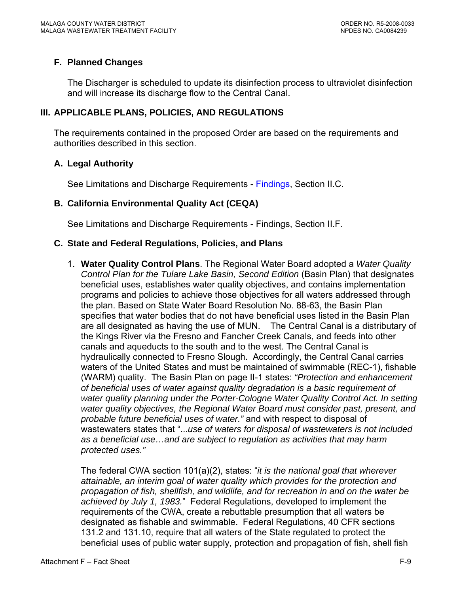# **F. Planned Changes**

The Discharger is scheduled to update its disinfection process to ultraviolet disinfection and will increase its discharge flow to the Central Canal.

# **III. APPLICABLE PLANS, POLICIES, AND REGULATIONS**

The requirements contained in the proposed Order are based on the requirements and authorities described in this section.

### **A. Legal Authority**

See Limitations and Discharge Requirements - [Findings, Section II.C.](#page-3-0)

### **B. California Environmental Quality Act (CEQA)**

See Limitations and Discharge Requirements - Findings, Section II.F.

#### **C. State and Federal Regulations, Policies, and Plans**

1. **Water Quality Control Plans**. The Regional Water Board adopted a *Water Quality Control Plan for the Tulare Lake Basin, Second Edition (Basin Plan) that designates* beneficial uses, establishes water quality objectives, and contains implementation programs and policies to achieve those objectives for all waters addressed through the plan. Based on State Water Board Resolution No. 88-63, the Basin Plan specifies that water bodies that do not have beneficial uses listed in the Basin Plan are all designated as having the use of MUN. The Central Canal is a distributary of the Kings River via the Fresno and Fancher Creek Canals, and feeds into other canals and aqueducts to the south and to the west. The Central Canal is hydraulically connected to Fresno Slough. Accordingly, the Central Canal carries waters of the United States and must be maintained of swimmable (REC-1), fishable (WARM) quality. The Basin Plan on page II-1 states: *"Protection and enhancement of beneficial uses of water against quality degradation is a basic requirement of water quality planning under the Porter-Cologne Water Quality Control Act. In setting water quality objectives, the Regional Water Board must consider past, present, and probable future beneficial uses of water."* and with respect to disposal of wastewaters states that "...*use of waters for disposal of wastewaters is not included as a beneficial use…and are subject to regulation as activities that may harm protected uses."*

The federal CWA section 101(a)(2), states: "*it is the national goal that wherever attainable, an interim goal of water quality which provides for the protection and propagation of fish, shellfish, and wildlife, and for recreation in and on the water be achieved by July 1, 1983.*" Federal Regulations, developed to implement the requirements of the CWA, create a rebuttable presumption that all waters be designated as fishable and swimmable. Federal Regulations, 40 CFR sections 131.2 and 131.10, require that all waters of the State regulated to protect the beneficial uses of public water supply, protection and propagation of fish, shell fish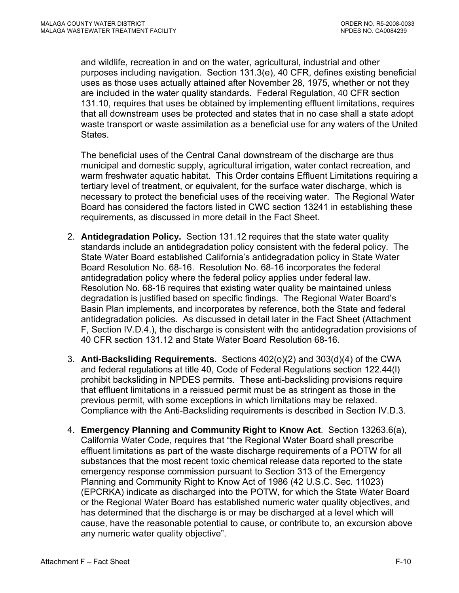and wildlife, recreation in and on the water, agricultural, industrial and other purposes including navigation. Section 131.3(e), 40 CFR, defines existing beneficial uses as those uses actually attained after November 28, 1975, whether or not they are included in the water quality standards. Federal Regulation, 40 CFR section 131.10, requires that uses be obtained by implementing effluent limitations, requires that all downstream uses be protected and states that in no case shall a state adopt waste transport or waste assimilation as a beneficial use for any waters of the United States.

The beneficial uses of the Central Canal downstream of the discharge are thus municipal and domestic supply, agricultural irrigation, water contact recreation, and warm freshwater aquatic habitat. This Order contains Effluent Limitations requiring a tertiary level of treatment, or equivalent, for the surface water discharge, which is necessary to protect the beneficial uses of the receiving water. The Regional Water Board has considered the factors listed in CWC section 13241 in establishing these requirements, as discussed in more detail in the Fact Sheet.

- 2. **Antidegradation Policy.** Section 131.12 requires that the state water quality standards include an antidegradation policy consistent with the federal policy. The State Water Board established California's antidegradation policy in State Water Board Resolution No. 68-16. Resolution No. 68-16 incorporates the federal antidegradation policy where the federal policy applies under federal law. Resolution No. 68-16 requires that existing water quality be maintained unless degradation is justified based on specific findings. The Regional Water Board's Basin Plan implements, and incorporates by reference, both the State and federal antidegradation policies. As discussed in detail later in the Fact Sheet ([Attachment](#page-0-0)  [F, Section IV.D.4.](#page-0-0)), the discharge is consistent with the antidegradation provisions of 40 CFR section 131.12 and State Water Board Resolution 68-16.
- 3. **Anti-Backsliding Requirements.** Sections 402(o)(2) and 303(d)(4) of the CWA and federal regulations at title 40, Code of Federal Regulations section 122.44(l) prohibit backsliding in NPDES permits. These anti-backsliding provisions require that effluent limitations in a reissued permit must be as stringent as those in the previous permit, with some exceptions in which limitations may be relaxed. Compliance with the Anti-Backsliding requirements is described in [Section IV.D.3.](#page-0-0)
- 4. **Emergency Planning and Community Right to Know Act**. Section 13263.6(a), California Water Code, requires that "the Regional Water Board shall prescribe effluent limitations as part of the waste discharge requirements of a POTW for all substances that the most recent toxic chemical release data reported to the state emergency response commission pursuant to Section 313 of the Emergency Planning and Community Right to Know Act of 1986 (42 U.S.C. Sec. 11023) (EPCRKA) indicate as discharged into the POTW, for which the State Water Board or the Regional Water Board has established numeric water quality objectives, and has determined that the discharge is or may be discharged at a level which will cause, have the reasonable potential to cause, or contribute to, an excursion above any numeric water quality objective".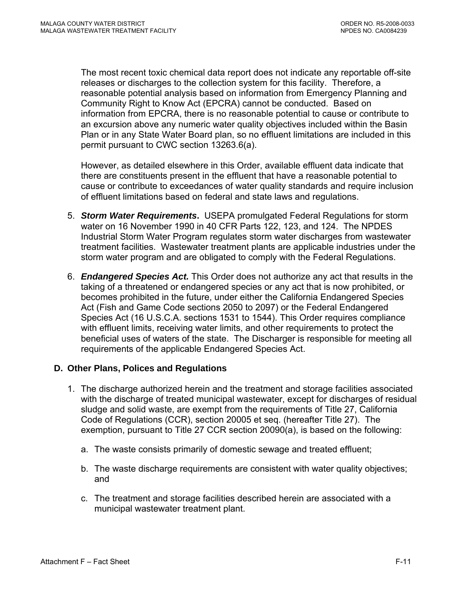The most recent toxic chemical data report does not indicate any reportable off-site releases or discharges to the collection system for this facility. Therefore, a reasonable potential analysis based on information from Emergency Planning and Community Right to Know Act (EPCRA) cannot be conducted. Based on information from EPCRA, there is no reasonable potential to cause or contribute to an excursion above any numeric water quality objectives included within the Basin Plan or in any State Water Board plan, so no effluent limitations are included in this permit pursuant to CWC section 13263.6(a).

However, as detailed elsewhere in this Order, available effluent data indicate that there are constituents present in the effluent that have a reasonable potential to cause or contribute to exceedances of water quality standards and require inclusion of effluent limitations based on federal and state laws and regulations.

- 5. *Storm Water Requirements***.** USEPA promulgated Federal Regulations for storm water on 16 November 1990 in 40 CFR Parts 122, 123, and 124. The NPDES Industrial Storm Water Program regulates storm water discharges from wastewater treatment facilities. Wastewater treatment plants are applicable industries under the storm water program and are obligated to comply with the Federal Regulations.
- 6. *Endangered Species Act.* This Order does not authorize any act that results in the taking of a threatened or endangered species or any act that is now prohibited, or becomes prohibited in the future, under either the California Endangered Species Act (Fish and Game Code sections 2050 to 2097) or the Federal Endangered Species Act (16 U.S.C.A. sections 1531 to 1544). This Order requires compliance with effluent limits, receiving water limits, and other requirements to protect the beneficial uses of waters of the state. The Discharger is responsible for meeting all requirements of the applicable Endangered Species Act.

# **D. Other Plans, Polices and Regulations**

- 1. The discharge authorized herein and the treatment and storage facilities associated with the discharge of treated municipal wastewater, except for discharges of residual sludge and solid waste, are exempt from the requirements of Title 27, California Code of Regulations (CCR), section 20005 et seq. (hereafter Title 27). The exemption, pursuant to Title 27 CCR section 20090(a), is based on the following:
	- a. The waste consists primarily of domestic sewage and treated effluent;
	- b. The waste discharge requirements are consistent with water quality objectives; and
	- c. The treatment and storage facilities described herein are associated with a municipal wastewater treatment plant.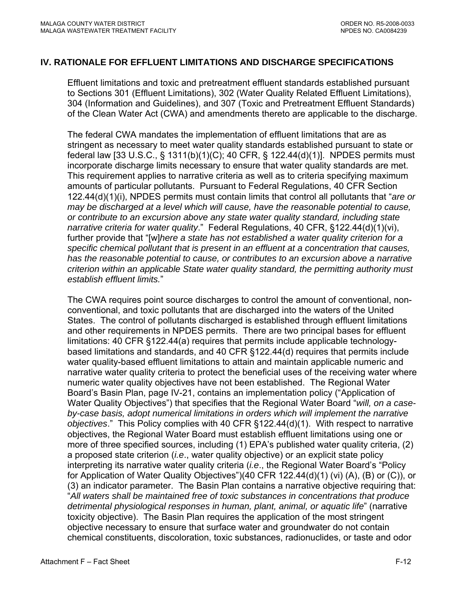# **IV. RATIONALE FOR EFFLUENT LIMITATIONS AND DISCHARGE SPECIFICATIONS**

Effluent limitations and toxic and pretreatment effluent standards established pursuant to Sections 301 (Effluent Limitations), 302 (Water Quality Related Effluent Limitations), 304 (Information and Guidelines), and 307 (Toxic and Pretreatment Effluent Standards) of the Clean Water Act (CWA) and amendments thereto are applicable to the discharge.

The federal CWA mandates the implementation of effluent limitations that are as stringent as necessary to meet water quality standards established pursuant to state or federal law [33 U.S.C., § 1311(b)(1)(C); 40 CFR, § 122.44(d)(1)]. NPDES permits must incorporate discharge limits necessary to ensure that water quality standards are met. This requirement applies to narrative criteria as well as to criteria specifying maximum amounts of particular pollutants. Pursuant to Federal Regulations, 40 CFR Section 122.44(d)(1)(i), NPDES permits must contain limits that control all pollutants that "*are or may be discharged at a level which will cause, have the reasonable potential to cause, or contribute to an excursion above any state water quality standard, including state narrative criteria for water quality*." Federal Regulations, 40 CFR, §122.44(d)(1)(vi), further provide that "[w]*here a state has not established a water quality criterion for a specific chemical pollutant that is present in an effluent at a concentration that causes, has the reasonable potential to cause, or contributes to an excursion above a narrative criterion within an applicable State water quality standard, the permitting authority must establish effluent limits.*"

The CWA requires point source discharges to control the amount of conventional, nonconventional, and toxic pollutants that are discharged into the waters of the United States. The control of pollutants discharged is established through effluent limitations and other requirements in NPDES permits. There are two principal bases for effluent limitations: 40 CFR §122.44(a) requires that permits include applicable technologybased limitations and standards, and 40 CFR §122.44(d) requires that permits include water quality-based effluent limitations to attain and maintain applicable numeric and narrative water quality criteria to protect the beneficial uses of the receiving water where numeric water quality objectives have not been established. The Regional Water Board's Basin Plan, page IV-21, contains an implementation policy ("Application of Water Quality Objectives") that specifies that the Regional Water Board "*will, on a caseby-case basis, adopt numerical limitations in orders which will implement the narrative objectives*." This Policy complies with 40 CFR §122.44(d)(1). With respect to narrative objectives, the Regional Water Board must establish effluent limitations using one or more of three specified sources, including (1) EPA's published water quality criteria, (2) a proposed state criterion (*i.e*., water quality objective) or an explicit state policy interpreting its narrative water quality criteria (*i.e*., the Regional Water Board's "Policy for Application of Water Quality Objectives")(40 CFR 122.44(d)(1) (vi) (A), (B) or (C)), or (3) an indicator parameter. The Basin Plan contains a narrative objective requiring that: "*All waters shall be maintained free of toxic substances in concentrations that produce detrimental physiological responses in human, plant, animal, or aquatic life*" (narrative toxicity objective). The Basin Plan requires the application of the most stringent objective necessary to ensure that surface water and groundwater do not contain chemical constituents, discoloration, toxic substances, radionuclides, or taste and odor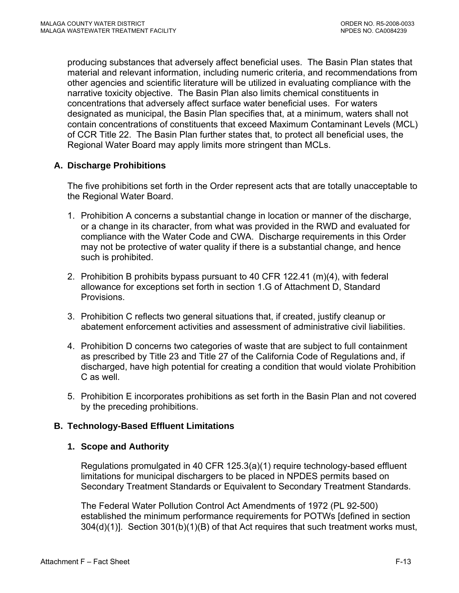producing substances that adversely affect beneficial uses. The Basin Plan states that material and relevant information, including numeric criteria, and recommendations from other agencies and scientific literature will be utilized in evaluating compliance with the narrative toxicity objective. The Basin Plan also limits chemical constituents in concentrations that adversely affect surface water beneficial uses. For waters designated as municipal, the Basin Plan specifies that, at a minimum, waters shall not contain concentrations of constituents that exceed Maximum Contaminant Levels (MCL) of CCR Title 22. The Basin Plan further states that, to protect all beneficial uses, the Regional Water Board may apply limits more stringent than MCLs.

# **A. Discharge Prohibitions**

The five prohibitions set forth in the Order represent acts that are totally unacceptable to the Regional Water Board.

- 1. Prohibition A concerns a substantial change in location or manner of the discharge, or a change in its character, from what was provided in the RWD and evaluated for compliance with the Water Code and CWA. Discharge requirements in this Order may not be protective of water quality if there is a substantial change, and hence such is prohibited.
- 2. Prohibition B prohibits bypass pursuant to 40 CFR 122.41 (m)(4), with federal allowance for exceptions set forth in section 1.G of Attachment D, Standard Provisions.
- 3. Prohibition C reflects two general situations that, if created, justify cleanup or abatement enforcement activities and assessment of administrative civil liabilities.
- 4. Prohibition D concerns two categories of waste that are subject to full containment as prescribed by Title 23 and Title 27 of the California Code of Regulations and, if discharged, have high potential for creating a condition that would violate Prohibition C as well.
- 5. Prohibition E incorporates prohibitions as set forth in the Basin Plan and not covered by the preceding prohibitions.

# **B. Technology-Based Effluent Limitations**

### **1. Scope and Authority**

Regulations promulgated in 40 CFR 125.3(a)(1) require technology-based effluent limitations for municipal dischargers to be placed in NPDES permits based on Secondary Treatment Standards or Equivalent to Secondary Treatment Standards.

The Federal Water Pollution Control Act Amendments of 1972 (PL 92-500) established the minimum performance requirements for POTWs [defined in section 304(d)(1)]. Section 301(b)(1)(B) of that Act requires that such treatment works must,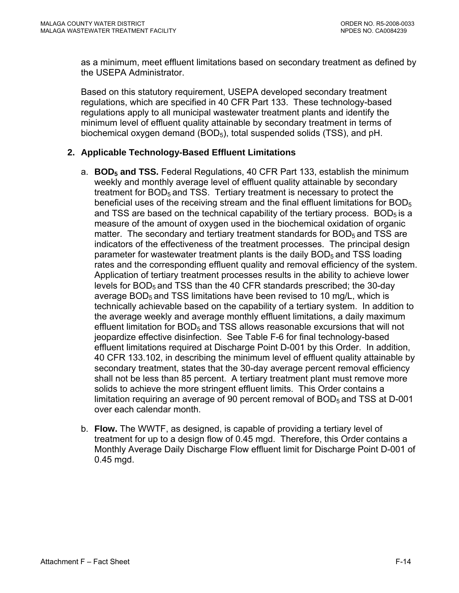as a minimum, meet effluent limitations based on secondary treatment as defined by the USEPA Administrator.

Based on this statutory requirement, USEPA developed secondary treatment regulations, which are specified in 40 CFR Part 133. These technology-based regulations apply to all municipal wastewater treatment plants and identify the minimum level of effluent quality attainable by secondary treatment in terms of biochemical oxygen demand (BOD<sub>5</sub>), total suspended solids (TSS), and pH.

# **2. Applicable Technology-Based Effluent Limitations**

- a. **BOD5 and TSS.** Federal Regulations, 40 CFR Part 133, establish the minimum weekly and monthly average level of effluent quality attainable by secondary treatment for  $BOD<sub>5</sub>$  and TSS. Tertiary treatment is necessary to protect the beneficial uses of the receiving stream and the final effluent limitations for  $BOD<sub>5</sub>$ and TSS are based on the technical capability of the tertiary process.  $BOD<sub>5</sub>$  is a measure of the amount of oxygen used in the biochemical oxidation of organic matter. The secondary and tertiary treatment standards for  $BOD<sub>5</sub>$  and TSS are indicators of the effectiveness of the treatment processes. The principal design parameter for wastewater treatment plants is the daily  $BOD<sub>5</sub>$  and TSS loading rates and the corresponding effluent quality and removal efficiency of the system. Application of tertiary treatment processes results in the ability to achieve lower levels for BOD<sub>5</sub> and TSS than the 40 CFR standards prescribed; the 30-day average  $BOD<sub>5</sub>$  and TSS limitations have been revised to 10 mg/L, which is technically achievable based on the capability of a tertiary system. In addition to the average weekly and average monthly effluent limitations, a daily maximum effluent limitation for  $BOD<sub>5</sub>$  and TSS allows reasonable excursions that will not jeopardize effective disinfection. See Table F-6 for final technology-based effluent limitations required at Discharge Point D-001 by this Order. In addition, 40 CFR 133.102, in describing the minimum level of effluent quality attainable by secondary treatment, states that the 30-day average percent removal efficiency shall not be less than 85 percent. A tertiary treatment plant must remove more solids to achieve the more stringent effluent limits. This Order contains a limitation requiring an average of 90 percent removal of  $BOD<sub>5</sub>$  and TSS at D-001 over each calendar month.
- b. **Flow.** The WWTF, as designed, is capable of providing a tertiary level of treatment for up to a design flow of 0.45 mgd. Therefore, this Order contains a Monthly Average Daily Discharge Flow effluent limit for Discharge Point D-001 of 0.45 mgd.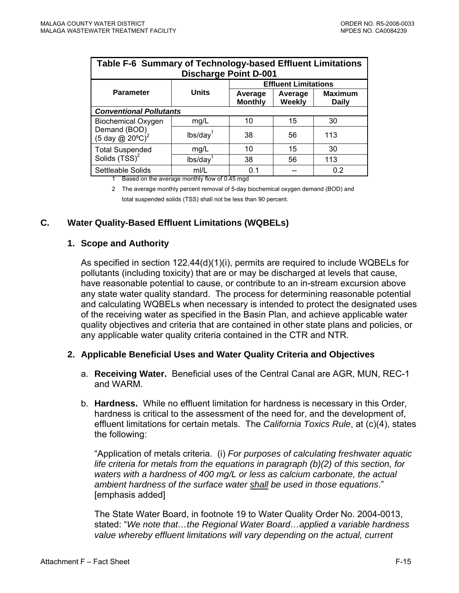| Table F-6 Summary of Technology-based Effluent Limitations<br><b>Discharge Point D-001</b> |                        |                           |                          |                                |  |
|--------------------------------------------------------------------------------------------|------------------------|---------------------------|--------------------------|--------------------------------|--|
| <b>Effluent Limitations</b>                                                                |                        |                           |                          |                                |  |
| <b>Parameter</b>                                                                           | <b>Units</b>           | Average<br><b>Monthly</b> | Average<br><b>Weekly</b> | <b>Maximum</b><br><b>Daily</b> |  |
| <b>Conventional Pollutants</b>                                                             |                        |                           |                          |                                |  |
| <b>Biochemical Oxygen</b>                                                                  | mq/L                   | 10                        | 15                       | 30                             |  |
| Demand (BOD)<br>(5 day @ 20 $^{\circ}$ C) <sup>2</sup>                                     | lbs/day <sup>1</sup>   | 38                        | 56                       | 113                            |  |
| <b>Total Suspended</b>                                                                     | mq/L                   | 10                        | 15                       | 30                             |  |
| Solids (TSS) <sup>2</sup>                                                                  | $lbs/day$ <sup>1</sup> | 38                        | 56                       | 113                            |  |
| Settleable Solids                                                                          | m/L                    | 0.1                       |                          | 0.2                            |  |

1 Based on the average monthly flow of 0.45 mgd

2 The average monthly percent removal of 5-day biochemical oxygen demand (BOD) and total suspended solids (TSS) shall not be less than 90 percent.

# **C. Water Quality-Based Effluent Limitations (WQBELs)**

### **1. Scope and Authority**

As specified in section 122.44(d)(1)(i), permits are required to include WQBELs for pollutants (including toxicity) that are or may be discharged at levels that cause, have reasonable potential to cause, or contribute to an in-stream excursion above any state water quality standard. The process for determining reasonable potential and calculating WQBELs when necessary is intended to protect the designated uses of the receiving water as specified in the Basin Plan, and achieve applicable water quality objectives and criteria that are contained in other state plans and policies, or any applicable water quality criteria contained in the CTR and NTR.

### **2. Applicable Beneficial Uses and Water Quality Criteria and Objectives**

- a. **Receiving Water.** Beneficial uses of the Central Canal are AGR, MUN, REC-1 and WARM.
- b. **Hardness.** While no effluent limitation for hardness is necessary in this Order, hardness is critical to the assessment of the need for, and the development of, effluent limitations for certain metals. The *California Toxics Rule*, at (c)(4), states the following:

"Application of metals criteria. (i) *For purposes of calculating freshwater aquatic life criteria for metals from the equations in paragraph (b)(2) of this section, for waters with a hardness of 400 mg/L or less as calcium carbonate, the actual ambient hardness of the surface water shall be used in those equations*." [emphasis added]

The State Water Board, in footnote 19 to Water Quality Order No. 2004-0013, stated: "*We note that…the Regional Water Board…applied a variable hardness value whereby effluent limitations will vary depending on the actual, current*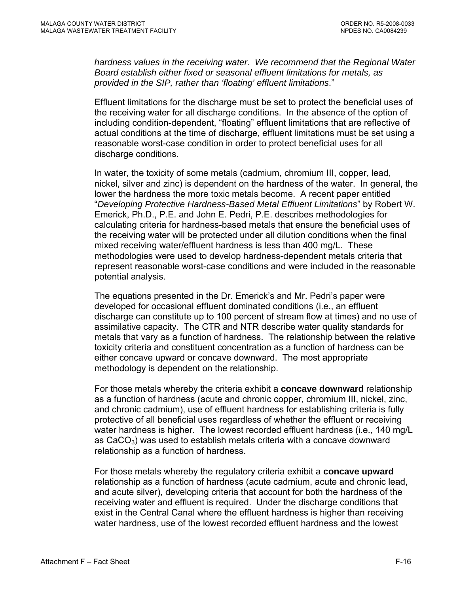*hardness values in the receiving water. We recommend that the Regional Water Board establish either fixed or seasonal effluent limitations for metals, as provided in the SIP, rather than 'floating' effluent limitations*."

Effluent limitations for the discharge must be set to protect the beneficial uses of the receiving water for all discharge conditions. In the absence of the option of including condition-dependent, "floating" effluent limitations that are reflective of actual conditions at the time of discharge, effluent limitations must be set using a reasonable worst-case condition in order to protect beneficial uses for all discharge conditions.

In water, the toxicity of some metals (cadmium, chromium III, copper, lead, nickel, silver and zinc) is dependent on the hardness of the water. In general, the lower the hardness the more toxic metals become. A recent paper entitled "*Developing Protective Hardness-Based Metal Effluent Limitations*" by Robert W. Emerick, Ph.D., P.E. and John E. Pedri, P.E. describes methodologies for calculating criteria for hardness-based metals that ensure the beneficial uses of the receiving water will be protected under all dilution conditions when the final mixed receiving water/effluent hardness is less than 400 mg/L. These methodologies were used to develop hardness-dependent metals criteria that represent reasonable worst-case conditions and were included in the reasonable potential analysis.

The equations presented in the Dr. Emerick's and Mr. Pedri's paper were developed for occasional effluent dominated conditions (i.e., an effluent discharge can constitute up to 100 percent of stream flow at times) and no use of assimilative capacity. The CTR and NTR describe water quality standards for metals that vary as a function of hardness. The relationship between the relative toxicity criteria and constituent concentration as a function of hardness can be either concave upward or concave downward. The most appropriate methodology is dependent on the relationship.

For those metals whereby the criteria exhibit a **concave downward** relationship as a function of hardness (acute and chronic copper, chromium III, nickel, zinc, and chronic cadmium), use of effluent hardness for establishing criteria is fully protective of all beneficial uses regardless of whether the effluent or receiving water hardness is higher. The lowest recorded effluent hardness (i.e., 140 mg/L as  $CaCO<sub>3</sub>$ ) was used to establish metals criteria with a concave downward relationship as a function of hardness.

For those metals whereby the regulatory criteria exhibit a **concave upward**  relationship as a function of hardness (acute cadmium, acute and chronic lead, and acute silver), developing criteria that account for both the hardness of the receiving water and effluent is required. Under the discharge conditions that exist in the Central Canal where the effluent hardness is higher than receiving water hardness, use of the lowest recorded effluent hardness and the lowest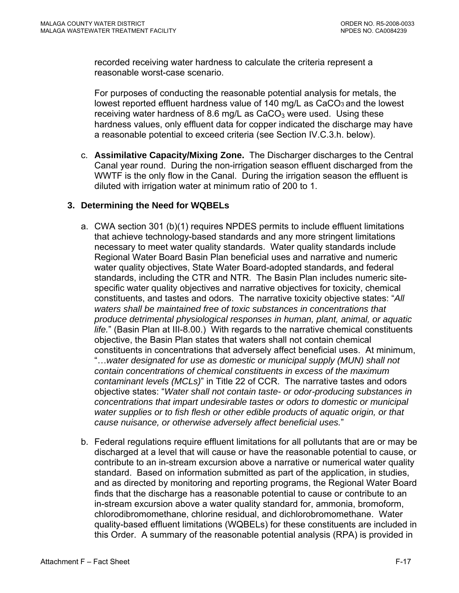recorded receiving water hardness to calculate the criteria represent a reasonable worst-case scenario.

For purposes of conducting the reasonable potential analysis for metals, the lowest reported effluent hardness value of 140 mg/L as CaCO<sub>3</sub> and the lowest receiving water hardness of 8.6 mg/L as  $CaCO<sub>3</sub>$  were used. Using these hardness values, only effluent data for copper indicated the discharge may have a reasonable potential to exceed criteria (see Section IV.C.3.h. below).

c. **Assimilative Capacity/Mixing Zone.** The Discharger discharges to the Central Canal year round. During the non-irrigation season effluent discharged from the WWTF is the only flow in the Canal. During the irrigation season the effluent is diluted with irrigation water at minimum ratio of 200 to 1.

# **3. Determining the Need for WQBELs**

- a. CWA section 301 (b)(1) requires NPDES permits to include effluent limitations that achieve technology-based standards and any more stringent limitations necessary to meet water quality standards. Water quality standards include Regional Water Board Basin Plan beneficial uses and narrative and numeric water quality objectives, State Water Board-adopted standards, and federal standards, including the CTR and NTR. The Basin Plan includes numeric sitespecific water quality objectives and narrative objectives for toxicity, chemical constituents, and tastes and odors. The narrative toxicity objective states: "*All waters shall be maintained free of toxic substances in concentrations that produce detrimental physiological responses in human, plant, animal, or aquatic life.*" (Basin Plan at III-8.00.) With regards to the narrative chemical constituents objective, the Basin Plan states that waters shall not contain chemical constituents in concentrations that adversely affect beneficial uses. At minimum, "…*water designated for use as domestic or municipal supply (MUN) shall not contain concentrations of chemical constituents in excess of the maximum contaminant levels (MCLs)*" in Title 22 of CCR. The narrative tastes and odors objective states: "*Water shall not contain taste- or odor-producing substances in concentrations that impart undesirable tastes or odors to domestic or municipal water supplies or to fish flesh or other edible products of aquatic origin, or that cause nuisance, or otherwise adversely affect beneficial uses.*"
- b. Federal regulations require effluent limitations for all pollutants that are or may be discharged at a level that will cause or have the reasonable potential to cause, or contribute to an in-stream excursion above a narrative or numerical water quality standard. Based on information submitted as part of the application, in studies, and as directed by monitoring and reporting programs, the Regional Water Board finds that the discharge has a reasonable potential to cause or contribute to an in-stream excursion above a water quality standard for, ammonia, bromoform, chlorodibromomethane, chlorine residual, and dichlorobromomethane. Water quality-based effluent limitations (WQBELs) for these constituents are included in this Order. A summary of the reasonable potential analysis (RPA) is provided in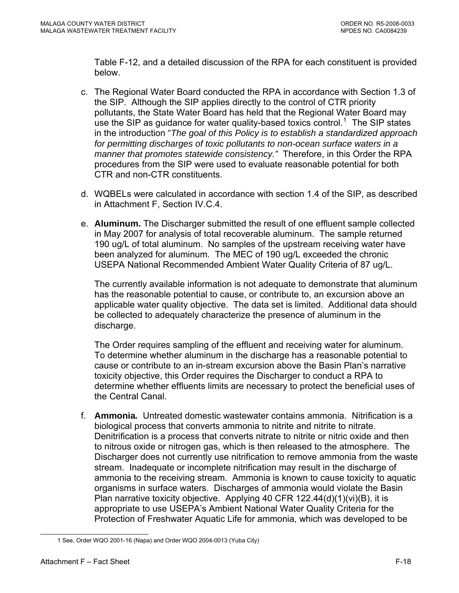Table F-12, and a detailed discussion of the RPA for each constituent is provided below.

- c. The Regional Water Board conducted the RPA in accordance with Section 1.3 of the SIP. Although the SIP applies directly to the control of CTR priority pollutants, the State Water Board has held that the Regional Water Board may use the SIP as guidance for water quality-based toxics control.<sup>[1](#page-85-0)</sup> The SIP states in the introduction "*The goal of this Policy is to establish a standardized approach*  for permitting discharges of toxic pollutants to non-ocean surface waters in a *manner that promotes statewide consistency."* Therefore, in this Order the RPA procedures from the SIP were used to evaluate reasonable potential for both CTR and non-CTR constituents.
- d. WQBELs were calculated in accordance with section 1.4 of the SIP, as described in [Attachment F, Section IV.C.4.](#page-93-0)
- e. **Aluminum.** The Discharger submitted the result of one effluent sample collected in May 2007 for analysis of total recoverable aluminum. The sample returned 190 ug/L of total aluminum. No samples of the upstream receiving water have been analyzed for aluminum. The MEC of 190 ug/L exceeded the chronic USEPA National Recommended Ambient Water Quality Criteria of 87 ug/L.

The currently available information is not adequate to demonstrate that aluminum has the reasonable potential to cause, or contribute to, an excursion above an applicable water quality objective. The data set is limited. Additional data should be collected to adequately characterize the presence of aluminum in the discharge.

The Order requires sampling of the effluent and receiving water for aluminum. To determine whether aluminum in the discharge has a reasonable potential to cause or contribute to an in-stream excursion above the Basin Plan's narrative toxicity objective, this Order requires the Discharger to conduct a RPA to determine whether effluents limits are necessary to protect the beneficial uses of the Central Canal.

f. **Ammonia***.* Untreated domestic wastewater contains ammonia. Nitrification is a biological process that converts ammonia to nitrite and nitrite to nitrate. Denitrification is a process that converts nitrate to nitrite or nitric oxide and then to nitrous oxide or nitrogen gas, which is then released to the atmosphere. The Discharger does not currently use nitrification to remove ammonia from the waste stream. Inadequate or incomplete nitrification may result in the discharge of ammonia to the receiving stream. Ammonia is known to cause toxicity to aquatic organisms in surface waters. Discharges of ammonia would violate the Basin Plan narrative toxicity objective. Applying 40 CFR 122.44(d)(1)(vi)(B), it is appropriate to use USEPA's Ambient National Water Quality Criteria for the Protection of Freshwater Aquatic Life for ammonia, which was developed to be

<span id="page-85-0"></span> $\overline{a}$ 

<sup>1</sup> See, Order WQO 2001-16 (Napa) and Order WQO 2004-0013 (Yuba City)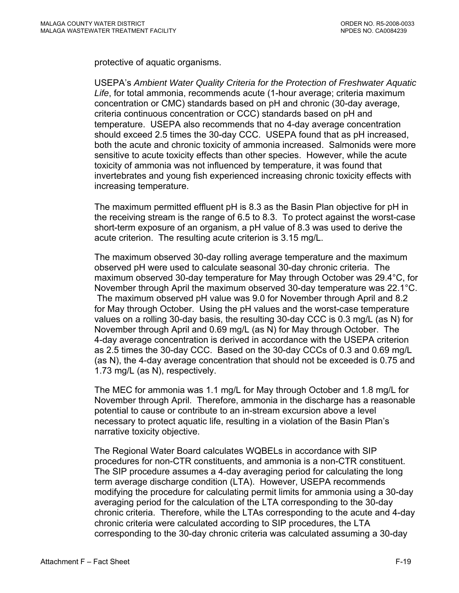protective of aquatic organisms.

USEPA's *Ambient Water Quality Criteria for the Protection of Freshwater Aquatic Life*, for total ammonia, recommends acute (1-hour average; criteria maximum concentration or CMC) standards based on pH and chronic (30-day average, criteria continuous concentration or CCC) standards based on pH and temperature. USEPA also recommends that no 4-day average concentration should exceed 2.5 times the 30-day CCC. USEPA found that as pH increased, both the acute and chronic toxicity of ammonia increased. Salmonids were more sensitive to acute toxicity effects than other species. However, while the acute toxicity of ammonia was not influenced by temperature, it was found that invertebrates and young fish experienced increasing chronic toxicity effects with increasing temperature.

The maximum permitted effluent pH is 8.3 as the Basin Plan objective for pH in the receiving stream is the range of 6.5 to 8.3. To protect against the worst-case short-term exposure of an organism, a pH value of 8.3 was used to derive the acute criterion. The resulting acute criterion is 3.15 mg/L.

The maximum observed 30-day rolling average temperature and the maximum observed pH were used to calculate seasonal 30-day chronic criteria. The maximum observed 30-day temperature for May through October was 29.4°C, for November through April the maximum observed 30-day temperature was 22.1°C. The maximum observed pH value was 9.0 for November through April and 8.2 for May through October. Using the pH values and the worst-case temperature values on a rolling 30-day basis, the resulting 30-day CCC is 0.3 mg/L (as N) for November through April and 0.69 mg/L (as N) for May through October. The 4-day average concentration is derived in accordance with the USEPA criterion as 2.5 times the 30-day CCC. Based on the 30-day CCCs of 0.3 and 0.69 mg/L (as N), the 4-day average concentration that should not be exceeded is 0.75 and 1.73 mg/L (as N), respectively.

The MEC for ammonia was 1.1 mg/L for May through October and 1.8 mg/L for November through April. Therefore, ammonia in the discharge has a reasonable potential to cause or contribute to an in-stream excursion above a level necessary to protect aquatic life, resulting in a violation of the Basin Plan's narrative toxicity objective.

The Regional Water Board calculates WQBELs in accordance with SIP procedures for non-CTR constituents, and ammonia is a non-CTR constituent. The SIP procedure assumes a 4-day averaging period for calculating the long term average discharge condition (LTA). However, USEPA recommends modifying the procedure for calculating permit limits for ammonia using a 30-day averaging period for the calculation of the LTA corresponding to the 30-day chronic criteria. Therefore, while the LTAs corresponding to the acute and 4-day chronic criteria were calculated according to SIP procedures, the LTA corresponding to the 30-day chronic criteria was calculated assuming a 30-day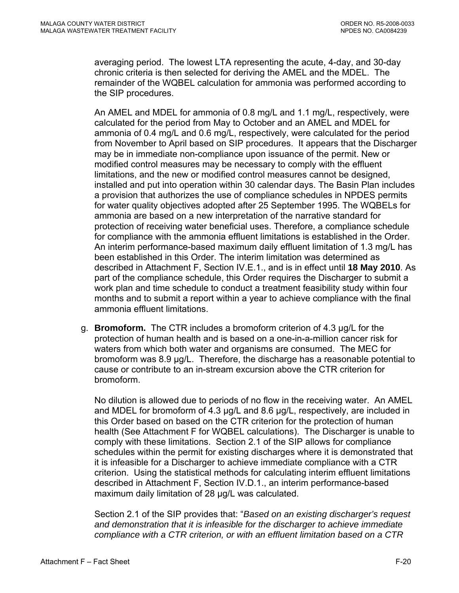averaging period. The lowest LTA representing the acute, 4-day, and 30-day chronic criteria is then selected for deriving the AMEL and the MDEL. The remainder of the WQBEL calculation for ammonia was performed according to the SIP procedures.

An AMEL and MDEL for ammonia of 0.8 mg/L and 1.1 mg/L, respectively, were calculated for the period from May to October and an AMEL and MDEL for ammonia of 0.4 mg/L and 0.6 mg/L, respectively, were calculated for the period from November to April based on SIP procedures. It appears that the Discharger may be in immediate non-compliance upon issuance of the permit. New or modified control measures may be necessary to comply with the effluent limitations, and the new or modified control measures cannot be designed, installed and put into operation within 30 calendar days. The Basin Plan includes a provision that authorizes the use of compliance schedules in NPDES permits for water quality objectives adopted after 25 September 1995. The WQBELs for ammonia are based on a new interpretation of the narrative standard for protection of receiving water beneficial uses. Therefore, a compliance schedule for compliance with the ammonia effluent limitations is established in the Order. An interim performance-based maximum daily effluent limitation of 1.3 mg/L has been established in this Order. The interim limitation was determined as described in Attachment F, Section IV.E.1., and is in effect until **18 May 2010**. As part of the compliance schedule, this Order requires the Discharger to submit a work plan and time schedule to conduct a treatment feasibility study within four months and to submit a report within a year to achieve compliance with the final ammonia effluent limitations.

g. **Bromoform.** The CTR includes a bromoform criterion of 4.3 µg/L for the protection of human health and is based on a one-in-a-million cancer risk for waters from which both water and organisms are consumed. The MEC for bromoform was 8.9 µg/L. Therefore, the discharge has a reasonable potential to cause or contribute to an in-stream excursion above the CTR criterion for bromoform.

No dilution is allowed due to periods of no flow in the receiving water. An AMEL and MDEL for bromoform of 4.3 µg/L and 8.6 µg/L, respectively, are included in this Order based on based on the CTR criterion for the protection of human health (See Attachment F for WQBEL calculations). The Discharger is unable to comply with these limitations. Section 2.1 of the SIP allows for compliance schedules within the permit for existing discharges where it is demonstrated that it is infeasible for a Discharger to achieve immediate compliance with a CTR criterion. Using the statistical methods for calculating interim effluent limitations described in [Attachment F, Section IV.D.1.](#page-0-0), an interim performance-based maximum daily limitation of 28 µg/L was calculated.

Section 2.1 of the SIP provides that: "*Based on an existing discharger's request and demonstration that it is infeasible for the discharger to achieve immediate compliance with a CTR criterion, or with an effluent limitation based on a CTR*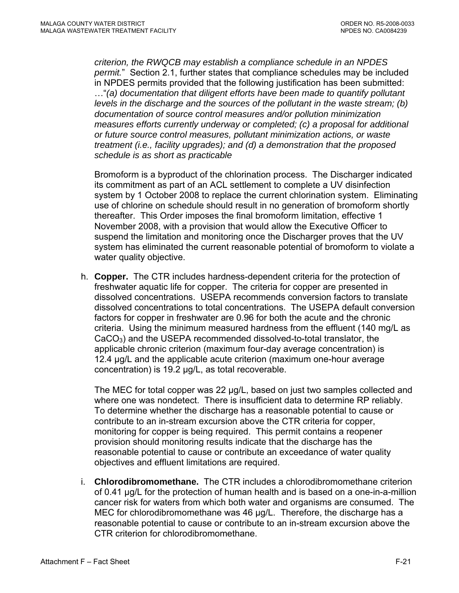*criterion, the RWQCB may establish a compliance schedule in an NPDES permit.*" Section 2.1, further states that compliance schedules may be included in NPDES permits provided that the following justification has been submitted: …"*(a) documentation that diligent efforts have been made to quantify pollutant levels in the discharge and the sources of the pollutant in the waste stream; (b) documentation of source control measures and/or pollution minimization measures efforts currently underway or completed; (c) a proposal for additional or future source control measures, pollutant minimization actions, or waste treatment (i.e., facility upgrades); and (d) a demonstration that the proposed schedule is as short as practicable*

Bromoform is a byproduct of the chlorination process. The Discharger indicated its commitment as part of an ACL settlement to complete a UV disinfection system by 1 October 2008 to replace the current chlorination system. Eliminating use of chlorine on schedule should result in no generation of bromoform shortly thereafter. This Order imposes the final bromoform limitation, effective 1 November 2008, with a provision that would allow the Executive Officer to suspend the limitation and monitoring once the Discharger proves that the UV system has eliminated the current reasonable potential of bromoform to violate a water quality objective.

h. **Copper.** The CTR includes hardness-dependent criteria for the protection of freshwater aquatic life for copper. The criteria for copper are presented in dissolved concentrations. USEPA recommends conversion factors to translate dissolved concentrations to total concentrations. The USEPA default conversion factors for copper in freshwater are 0.96 for both the acute and the chronic criteria. Using the minimum measured hardness from the effluent (140 mg/L as  $CaCO<sub>3</sub>$ ) and the USEPA recommended dissolved-to-total translator, the applicable chronic criterion (maximum four-day average concentration) is 12.4 µg/L and the applicable acute criterion (maximum one-hour average concentration) is 19.2 µg/L, as total recoverable.

The MEC for total copper was 22 µg/L, based on just two samples collected and where one was nondetect. There is insufficient data to determine RP reliably. To determine whether the discharge has a reasonable potential to cause or contribute to an in-stream excursion above the CTR criteria for copper, monitoring for copper is being required. This permit contains a reopener provision should monitoring results indicate that the discharge has the reasonable potential to cause or contribute an exceedance of water quality objectives and effluent limitations are required.

i. **Chlorodibromomethane.** The CTR includes a chlorodibromomethane criterion of 0.41 µg/L for the protection of human health and is based on a one-in-a-million cancer risk for waters from which both water and organisms are consumed. The MEC for chlorodibromomethane was 46 µg/L. Therefore, the discharge has a reasonable potential to cause or contribute to an in-stream excursion above the CTR criterion for chlorodibromomethane.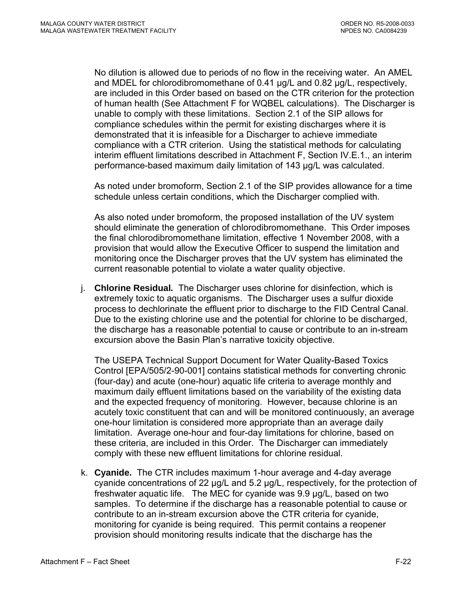No dilution is allowed due to periods of no flow in the receiving water. An AMEL and MDEL for chlorodibromomethane of 0.41 µg/L and 0.82 µg/L, respectively, are included in this Order based on based on the CTR criterion for the protection of human health (See Attachment F for WQBEL calculations). The Discharger is unable to comply with these limitations. Section 2.1 of the SIP allows for compliance schedules within the permit for existing discharges where it is demonstrated that it is infeasible for a Discharger to achieve immediate compliance with a CTR criterion. Using the statistical methods for calculating interim effluent limitations described in Attachment F, Section IV.E.1., an interim performance-based maximum daily limitation of 143 µg/L was calculated.

As noted under bromoform, Section 2.1 of the SIP provides allowance for a time schedule unless certain conditions, which the Discharger complied with.

As also noted under bromoform, the proposed installation of the UV system should eliminate the generation of chlorodibromomethane. This Order imposes the final chlorodibromomethane limitation, effective 1 November 2008, with a provision that would allow the Executive Officer to suspend the limitation and monitoring once the Discharger proves that the UV system has eliminated the current reasonable potential to violate a water quality objective.

j. **Chlorine Residual***.* The Discharger uses chlorine for disinfection, which is extremely toxic to aquatic organisms. The Discharger uses a sulfur dioxide process to dechlorinate the effluent prior to discharge to the FID Central Canal. Due to the existing chlorine use and the potential for chlorine to be discharged, the discharge has a reasonable potential to cause or contribute to an in-stream excursion above the Basin Plan's narrative toxicity objective.

The USEPA Technical Support Document for Water Quality-Based Toxics Control [EPA/505/2-90-001] contains statistical methods for converting chronic (four-day) and acute (one-hour) aquatic life criteria to average monthly and maximum daily effluent limitations based on the variability of the existing data and the expected frequency of monitoring. However, because chlorine is an acutely toxic constituent that can and will be monitored continuously, an average one-hour limitation is considered more appropriate than an average daily limitation. Average one-hour and four-day limitations for chlorine, based on these criteria, are included in this Order. The Discharger can immediately comply with these new effluent limitations for chlorine residual.

k. **Cyanide.** The CTR includes maximum 1-hour average and 4-day average cyanide concentrations of 22 µg/L and 5.2 µg/L, respectively, for the protection of freshwater aquatic life. The MEC for cyanide was 9.9 µg/L, based on two samples. To determine if the discharge has a reasonable potential to cause or contribute to an in-stream excursion above the CTR criteria for cyanide, monitoring for cyanide is being required. This permit contains a reopener provision should monitoring results indicate that the discharge has the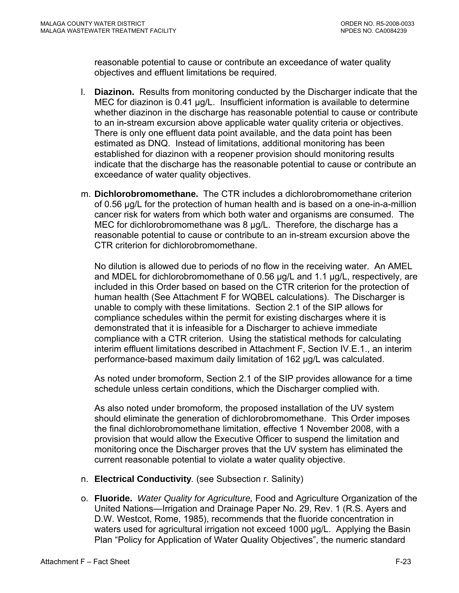reasonable potential to cause or contribute an exceedance of water quality objectives and effluent limitations be required.

- l. **Diazinon.** Results from monitoring conducted by the Discharger indicate that the MEC for diazinon is 0.41 µg/L. Insufficient information is available to determine whether diazinon in the discharge has reasonable potential to cause or contribute to an in-stream excursion above applicable water quality criteria or objectives. There is only one effluent data point available, and the data point has been estimated as DNQ. Instead of limitations, additional monitoring has been established for diazinon with a reopener provision should monitoring results indicate that the discharge has the reasonable potential to cause or contribute an exceedance of water quality objectives.
- m. **Dichlorobromomethane.** The CTR includes a dichlorobromomethane criterion of 0.56 µg/L for the protection of human health and is based on a one-in-a-million cancer risk for waters from which both water and organisms are consumed. The MEC for dichlorobromomethane was 8 µg/L. Therefore, the discharge has a reasonable potential to cause or contribute to an in-stream excursion above the CTR criterion for dichlorobromomethane.

No dilution is allowed due to periods of no flow in the receiving water. An AMEL and MDEL for dichlorobromomethane of 0.56 µg/L and 1.1 µg/L, respectively, are included in this Order based on based on the CTR criterion for the protection of human health (See Attachment F for WQBEL calculations). The Discharger is unable to comply with these limitations. Section 2.1 of the SIP allows for compliance schedules within the permit for existing discharges where it is demonstrated that it is infeasible for a Discharger to achieve immediate compliance with a CTR criterion. Using the statistical methods for calculating interim effluent limitations described in Attachment F, Section IV.E.1., an interim performance-based maximum daily limitation of 162 µg/L was calculated.

As noted under bromoform, Section 2.1 of the SIP provides allowance for a time schedule unless certain conditions, which the Discharger complied with.

As also noted under bromoform, the proposed installation of the UV system should eliminate the generation of dichlorobromomethane. This Order imposes the final dichlorobromomethane limitation, effective 1 November 2008, with a provision that would allow the Executive Officer to suspend the limitation and monitoring once the Discharger proves that the UV system has eliminated the current reasonable potential to violate a water quality objective.

- n. **Electrical Conductivity***.* (see Subsection r. Salinity)
- o. **Fluoride.** *Water Quality for Agriculture,* Food and Agriculture Organization of the United Nations—Irrigation and Drainage Paper No. 29, Rev. 1 (R.S. Ayers and D.W. Westcot, Rome, 1985), recommends that the fluoride concentration in waters used for agricultural irrigation not exceed 1000 µg/L. Applying the Basin Plan "Policy for Application of Water Quality Objectives", the numeric standard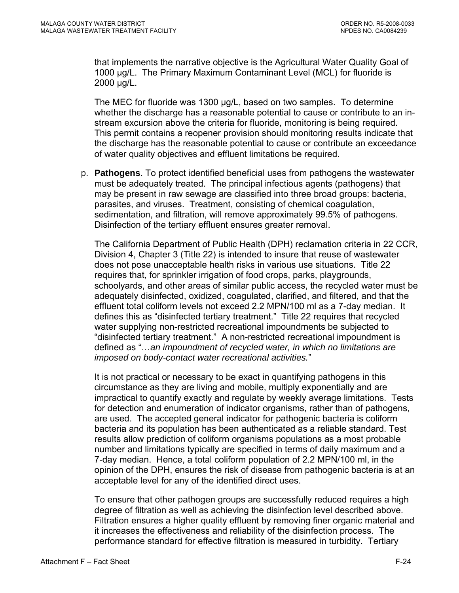that implements the narrative objective is the Agricultural Water Quality Goal of 1000 µg/L. The Primary Maximum Contaminant Level (MCL) for fluoride is 2000 µg/L.

The MEC for fluoride was 1300 µg/L, based on two samples. To determine whether the discharge has a reasonable potential to cause or contribute to an instream excursion above the criteria for fluoride, monitoring is being required. This permit contains a reopener provision should monitoring results indicate that the discharge has the reasonable potential to cause or contribute an exceedance of water quality objectives and effluent limitations be required.

p. **Pathogens**. To protect identified beneficial uses from pathogens the wastewater must be adequately treated. The principal infectious agents (pathogens) that may be present in raw sewage are classified into three broad groups: bacteria, parasites, and viruses. Treatment, consisting of chemical coagulation, sedimentation, and filtration, will remove approximately 99.5% of pathogens. Disinfection of the tertiary effluent ensures greater removal.

The California Department of Public Health (DPH) reclamation criteria in 22 CCR, Division 4, Chapter 3 (Title 22) is intended to insure that reuse of wastewater does not pose unacceptable health risks in various use situations. Title 22 requires that, for sprinkler irrigation of food crops, parks, playgrounds, schoolyards, and other areas of similar public access, the recycled water must be adequately disinfected, oxidized, coagulated, clarified, and filtered, and that the effluent total coliform levels not exceed 2.2 MPN/100 ml as a 7-day median. It defines this as "disinfected tertiary treatment." Title 22 requires that recycled water supplying non-restricted recreational impoundments be subjected to "disinfected tertiary treatment." A non-restricted recreational impoundment is defined as "*…an impoundment of recycled water, in which no limitations are imposed on body-contact water recreational activities.*"

It is not practical or necessary to be exact in quantifying pathogens in this circumstance as they are living and mobile, multiply exponentially and are impractical to quantify exactly and regulate by weekly average limitations. Tests for detection and enumeration of indicator organisms, rather than of pathogens, are used. The accepted general indicator for pathogenic bacteria is coliform bacteria and its population has been authenticated as a reliable standard. Test results allow prediction of coliform organisms populations as a most probable number and limitations typically are specified in terms of daily maximum and a 7-day median. Hence, a total coliform population of 2.2 MPN/100 ml, in the opinion of the DPH, ensures the risk of disease from pathogenic bacteria is at an acceptable level for any of the identified direct uses.

To ensure that other pathogen groups are successfully reduced requires a high degree of filtration as well as achieving the disinfection level described above. Filtration ensures a higher quality effluent by removing finer organic material and it increases the effectiveness and reliability of the disinfection process. The performance standard for effective filtration is measured in turbidity. Tertiary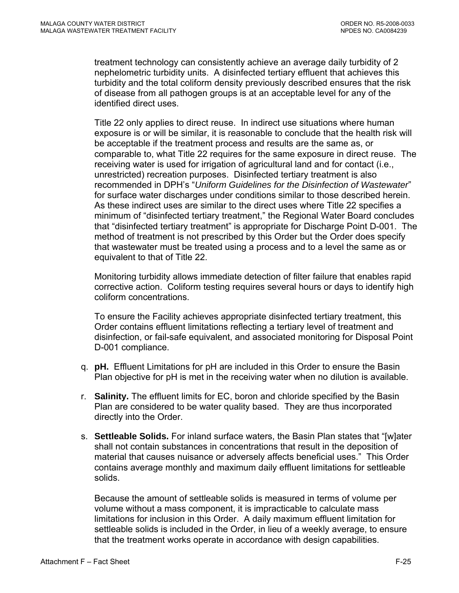treatment technology can consistently achieve an average daily turbidity of 2 nephelometric turbidity units. A disinfected tertiary effluent that achieves this turbidity and the total coliform density previously described ensures that the risk of disease from all pathogen groups is at an acceptable level for any of the identified direct uses.

Title 22 only applies to direct reuse. In indirect use situations where human exposure is or will be similar, it is reasonable to conclude that the health risk will be acceptable if the treatment process and results are the same as, or comparable to, what Title 22 requires for the same exposure in direct reuse. The receiving water is used for irrigation of agricultural land and for contact (i.e., unrestricted) recreation purposes. Disinfected tertiary treatment is also recommended in DPH's "*Uniform Guidelines for the Disinfection of Wastewater*" for surface water discharges under conditions similar to those described herein. As these indirect uses are similar to the direct uses where Title 22 specifies a minimum of "disinfected tertiary treatment," the Regional Water Board concludes that "disinfected tertiary treatment" is appropriate for Discharge Point D-001. The method of treatment is not prescribed by this Order but the Order does specify that wastewater must be treated using a process and to a level the same as or equivalent to that of Title 22.

Monitoring turbidity allows immediate detection of filter failure that enables rapid corrective action. Coliform testing requires several hours or days to identify high coliform concentrations.

To ensure the Facility achieves appropriate disinfected tertiary treatment, this Order contains effluent limitations reflecting a tertiary level of treatment and disinfection, or fail-safe equivalent, and associated monitoring for Disposal Point D-001 compliance.

- q. **pH.** Effluent Limitations for pH are included in this Order to ensure the Basin Plan objective for pH is met in the receiving water when no dilution is available.
- r. **Salinity.** The effluent limits for EC, boron and chloride specified by the Basin Plan are considered to be water quality based. They are thus incorporated directly into the Order.
- s. **Settleable Solids.** For inland surface waters, the Basin Plan states that "[w]ater shall not contain substances in concentrations that result in the deposition of material that causes nuisance or adversely affects beneficial uses." This Order contains average monthly and maximum daily effluent limitations for settleable solids.

Because the amount of settleable solids is measured in terms of volume per volume without a mass component, it is impracticable to calculate mass limitations for inclusion in this Order. A daily maximum effluent limitation for settleable solids is included in the Order, in lieu of a weekly average, to ensure that the treatment works operate in accordance with design capabilities.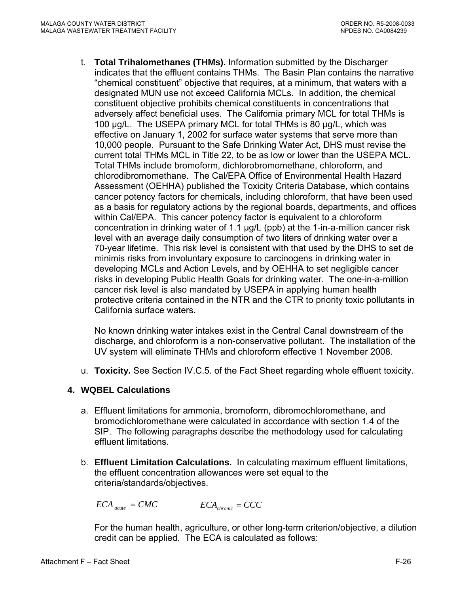<span id="page-93-0"></span>t. **Total Trihalomethanes (THMs).** Information submitted by the Discharger indicates that the effluent contains THMs. The Basin Plan contains the narrative "chemical constituent" objective that requires, at a minimum, that waters with a designated MUN use not exceed California MCLs. In addition, the chemical constituent objective prohibits chemical constituents in concentrations that adversely affect beneficial uses. The California primary MCL for total THMs is 100 µg/L. The USEPA primary MCL for total THMs is 80 µg/L, which was effective on January 1, 2002 for surface water systems that serve more than 10,000 people. Pursuant to the Safe Drinking Water Act, DHS must revise the current total THMs MCL in Title 22, to be as low or lower than the USEPA MCL. Total THMs include bromoform, dichlorobromomethane, chloroform, and chlorodibromomethane. The Cal/EPA Office of Environmental Health Hazard Assessment (OEHHA) published the Toxicity Criteria Database, which contains cancer potency factors for chemicals, including chloroform, that have been used as a basis for regulatory actions by the regional boards, departments, and offices within Cal/EPA. This cancer potency factor is equivalent to a chloroform concentration in drinking water of 1.1 µg/L (ppb) at the 1-in-a-million cancer risk level with an average daily consumption of two liters of drinking water over a 70-year lifetime. This risk level is consistent with that used by the DHS to set de minimis risks from involuntary exposure to carcinogens in drinking water in developing MCLs and Action Levels, and by OEHHA to set negligible cancer risks in developing Public Health Goals for drinking water. The one-in-a-million cancer risk level is also mandated by USEPA in applying human health protective criteria contained in the NTR and the CTR to priority toxic pollutants in California surface waters.

No known drinking water intakes exist in the Central Canal downstream of the discharge, and chloroform is a non-conservative pollutant. The installation of the UV system will eliminate THMs and chloroform effective 1 November 2008.

u. **Toxicity.** See Section IV.C.5. of the Fact Sheet regarding whole effluent toxicity.

# **4. WQBEL Calculations**

- a. Effluent limitations for ammonia, bromoform, dibromochloromethane, and bromodichloromethane were calculated in accordance with section 1.4 of the SIP. The following paragraphs describe the methodology used for calculating effluent limitations.
- b. **Effluent Limitation Calculations.** In calculating maximum effluent limitations, the effluent concentration allowances were set equal to the criteria/standards/objectives.

$$
ECA_{\textit{acute}} = CMC \qquad \qquad ECA_{\textit{chronic}} = CCC
$$

For the human health, agriculture, or other long-term criterion/objective, a dilution credit can be applied. The ECA is calculated as follows: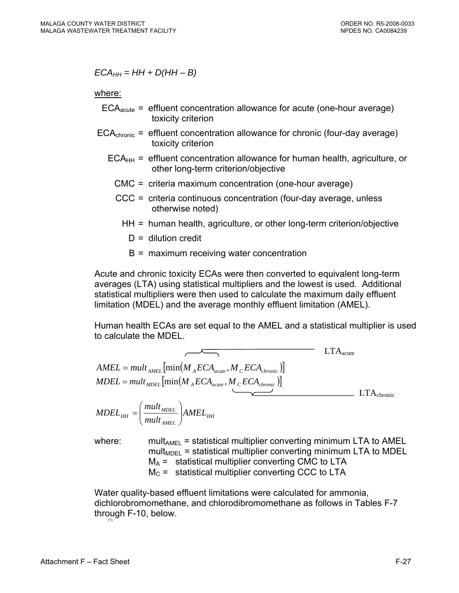$ECA_{HH} = HH + D(HH - B)$ 

where:

- $ECA<sub>acute</sub>$  = effluent concentration allowance for acute (one-hour average) toxicity criterion
- $ECA<sub>chronic</sub>$  = effluent concentration allowance for chronic (four-day average) toxicity criterion
	- $ECA<sub>HH</sub>$  = effluent concentration allowance for human health, agriculture, or other long-term criterion/objective
		- CMC = criteria maximum concentration (one-hour average)
		- CCC = criteria continuous concentration (four-day average, unless otherwise noted)
			- HH = human health, agriculture, or other long-term criterion/objective
				- $D =$  dilution credit
				- B = maximum receiving water concentration

Acute and chronic toxicity ECAs were then converted to equivalent long-term averages (LTA) using statistical multipliers and the lowest is used. Additional statistical multipliers were then used to calculate the maximum daily effluent limitation (MDEL) and the average monthly effluent limitation (AMEL).

Human health ECAs are set equal to the AMEL and a statistical multiplier is used to calculate the MDEL.

$$
AMEL = mult_{AMEL} \left[ min(M_{A}ECA_{acute}, M_{C}ECA_{chronic}) \right]
$$
  
\n
$$
MDEL = mult_{MDEL} \left[ min(M_{A}ECA_{acute}, M_{C}ECA_{chronic}) \right]
$$
  
\n
$$
MDEL_{HH} = \left( \frac{mult_{MDEL}}{mult_{AMEL}} \right) AMEL_{HH}
$$
  
\n
$$
LTA_{chronic}
$$

where: mult<sub>AMEL</sub> = statistical multiplier converting minimum LTA to AMEL mult<sub>MDEL</sub> = statistical multiplier converting minimum LTA to MDEL  $M_A$  = statistical multiplier converting CMC to LTA  $M<sub>C</sub>$  = statistical multiplier converting CCC to LTA

Water quality-based effluent limitations were calculated for ammonia, dichlorobromomethane, and chlorodibromomethane as follows in Tables F-7 through  $F-10$ , below.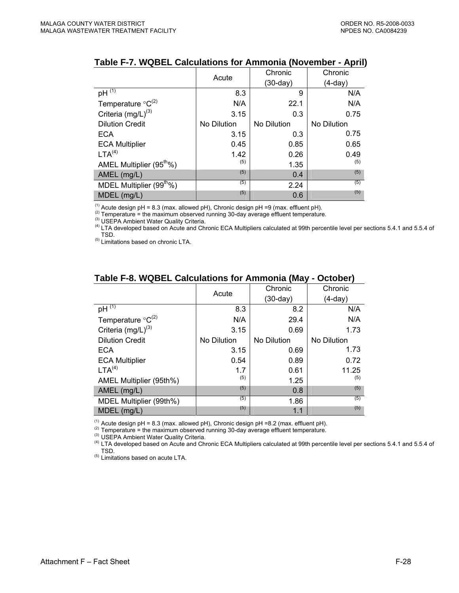|                                      | Acute       | Chronic     | Chronic     |
|--------------------------------------|-------------|-------------|-------------|
|                                      |             | $(30-day)$  | $(4-day)$   |
| $pH^{\overline{(1)}}$                | 8.3         | 9           | N/A         |
| Temperature ${}^{\circ}C^{(2)}$      | N/A         | 22.1        | N/A         |
| Criteria (mg/L) <sup>(3)</sup>       | 3.15        | 0.3         | 0.75        |
| <b>Dilution Credit</b>               | No Dilution | No Dilution | No Dilution |
| <b>ECA</b>                           | 3.15        | 0.3         | 0.75        |
| <b>ECA Multiplier</b>                | 0.45        | 0.85        | 0.65        |
| LTA <sup>(4)</sup>                   | 1.42        | 0.26        | 0.49        |
| AMEL Multiplier (95 <sup>th</sup> %) | (5)         | 1.35        | (5)         |
| AMEL (mg/L)                          | (5)         | 0.4         | (5)         |
| MDEL Multiplier (99 <sup>th</sup> %) | (5)         | 2.24        | (5)         |
| MDEL (mg/L)                          | (5)         | 0.6         | (5)         |

#### **Table F-7. WQBEL Calculations for Ammonia (November - April)**

<sup>(1)</sup> Acute design pH = 8.3 (max. allowed pH), Chronic design pH =9 (max. effluent pH).<br><sup>(2)</sup> Temperature = the maximum observed running 30-day average effluent temperature.<br><sup>(3)</sup> USEPA Ambient Water Quality Criteria.<br><sup>(4</sup>

TSD. (5) Limitations based on chronic LTA.

|                                 |             | Chronic     | Chronic     |
|---------------------------------|-------------|-------------|-------------|
|                                 | Acute       | $(30-day)$  | (4-day)     |
| $pH^{(1)}$                      | 8.3         | 8.2         | N/A         |
| Temperature ${}^{\circ}C^{(2)}$ | N/A         | 29.4        | N/A         |
| Criteria $(mg/L)^{(3)}$         | 3.15        | 0.69        | 1.73        |
| <b>Dilution Credit</b>          | No Dilution | No Dilution | No Dilution |
| ECA                             | 3.15        | 0.69        | 1.73        |
| <b>ECA Multiplier</b>           | 0.54        | 0.89        | 0.72        |
| LTA <sup>(4)</sup>              | 1.7         | 0.61        | 11.25       |
| AMEL Multiplier (95th%)         | (5)         | 1.25        | (5)         |
| AMEL (mg/L)                     | (5)         | 0.8         | (5)         |
| MDEL Multiplier (99th%)         | (5)         | 1.86        | (5)         |
| $MDEL$ (mg/L)                   | (5)         | 1.1         | (5)         |

#### **Table F-8. WQBEL Calculations for Ammonia (May - October)**

<sup>(1)</sup> Acute design pH = 8.3 (max. allowed pH), Chronic design pH =8.2 (max. effluent pH).<br><sup>(2)</sup> Temperature = the maximum observed running 30-day average effluent temperature.<br><sup>(3)</sup> USEPA Ambient Water Quality Criteria.<br><sup></sup> TSD.

(5) Limitations based on acute LTA.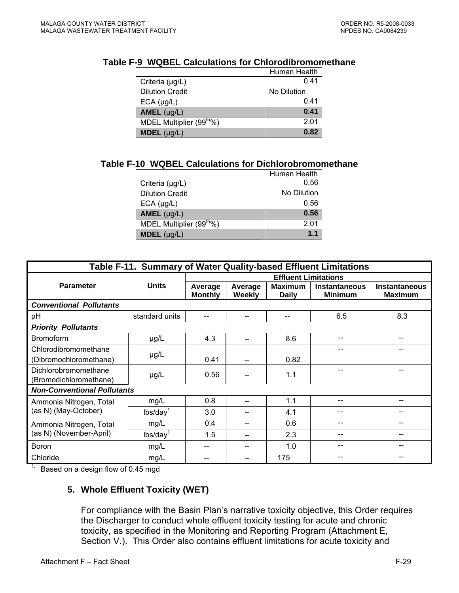|                                      | Human Health |
|--------------------------------------|--------------|
| Criteria $(\mu g/L)$                 | 0.41         |
| <b>Dilution Credit</b>               | No Dilution  |
| $ECA$ ( $\mu$ g/L)                   | 0.41         |
| AMEL $(\mu g/L)$                     | 0.41         |
| MDEL Multiplier (99 <sup>th</sup> %) | 2.01         |
| <b>MDEL</b> $(\mu g/L)$              | 0.82         |

#### **Table F-9 WQBEL Calculations for Chlorodibromomethane**

### **Table F-10 WQBEL Calculations for Dichlorobromomethane**

|                                      | Human Health |
|--------------------------------------|--------------|
| Criteria $(\mu g/L)$                 | 0.56         |
| <b>Dilution Credit</b>               | No Dilution  |
| $ECA$ ( $\mu$ g/L)                   | 0.56         |
| AMEL $(\mu g/L)$                     | 0.56         |
| MDEL Multiplier (99 <sup>th</sup> %) | 201          |
| $MDEL$ (µg/L)                        | 1.1          |

| Table F-11. Summary of Water Quality-based Effluent Limitations |                      |                             |                   |                                |                                        |                                        |  |
|-----------------------------------------------------------------|----------------------|-----------------------------|-------------------|--------------------------------|----------------------------------------|----------------------------------------|--|
|                                                                 |                      | <b>Effluent Limitations</b> |                   |                                |                                        |                                        |  |
| <b>Parameter</b>                                                | <b>Units</b>         | Average<br><b>Monthly</b>   | Average<br>Weekly | <b>Maximum</b><br><b>Daily</b> | <b>Instantaneous</b><br><b>Minimum</b> | <b>Instantaneous</b><br><b>Maximum</b> |  |
| <b>Conventional Pollutants</b>                                  |                      |                             |                   |                                |                                        |                                        |  |
| pH                                                              | standard units       | --                          | $-$               | --                             | 6.5                                    | 8.3                                    |  |
| <b>Priority Pollutants</b>                                      |                      |                             |                   |                                |                                        |                                        |  |
| <b>Bromoform</b>                                                | $\mu$ g/L            | 4.3                         | --                | 8.6                            | --                                     | --                                     |  |
| Chlorodibromomethane                                            | $\mu$ g/L            |                             |                   |                                |                                        |                                        |  |
| (Dibromochloromethane)                                          |                      | 0.41                        |                   | 0.82                           |                                        |                                        |  |
| Dichlorobromomethane<br>(Bromodichloromethane)                  | $\mu$ g/L            | 0.56                        |                   | 1.1                            |                                        |                                        |  |
| <b>Non-Conventional Pollutants</b>                              |                      |                             |                   |                                |                                        |                                        |  |
| Ammonia Nitrogen, Total<br>(as N) (May-October)                 | mg/L                 | 0.8                         |                   | 1.1                            |                                        |                                        |  |
|                                                                 | lbs/day <sup>1</sup> | 3.0                         |                   | 4.1                            |                                        |                                        |  |
| Ammonia Nitrogen, Total<br>(as N) (November-April)              | mg/L                 | 0.4                         | --                | 0.6                            |                                        | --                                     |  |
|                                                                 | lbs/day <sup>1</sup> | 1.5                         | --                | 2.3                            |                                        |                                        |  |
| <b>Boron</b>                                                    | mg/L                 | --                          |                   | 1.0                            |                                        |                                        |  |
| Chloride                                                        | mg/L                 |                             |                   | 175                            |                                        |                                        |  |

<sup>1</sup> Based on a design flow of 0.45 mgd

# **5. Whole Effluent Toxicity (WET)**

For compliance with the Basin Plan's narrative toxicity objective, this Order requires the Discharger to conduct whole effluent toxicity testing for acute and chronic toxicity, as specified in the Monitoring and Reporting Program (Attachment E, Section V.). This Order also contains effluent limitations for acute toxicity and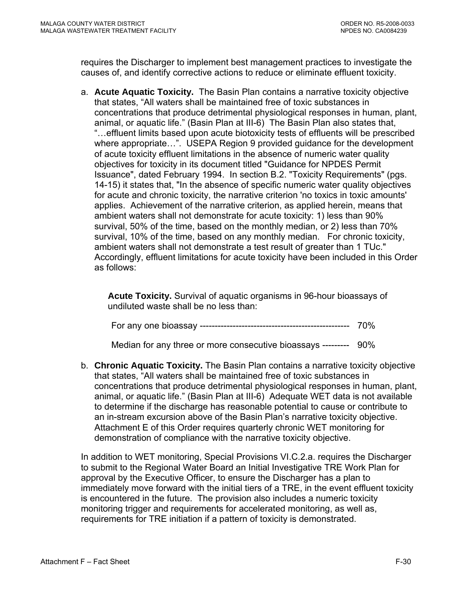requires the Discharger to implement best management practices to investigate the causes of, and identify corrective actions to reduce or eliminate effluent toxicity.

a. **Acute Aquatic Toxicity.** The Basin Plan contains a narrative toxicity objective that states, "All waters shall be maintained free of toxic substances in concentrations that produce detrimental physiological responses in human, plant, animal, or aquatic life." (Basin Plan at III-6) The Basin Plan also states that, "…effluent limits based upon acute biotoxicity tests of effluents will be prescribed where appropriate…". USEPA Region 9 provided guidance for the development of acute toxicity effluent limitations in the absence of numeric water quality objectives for toxicity in its document titled "Guidance for NPDES Permit Issuance", dated February 1994. In section B.2. "Toxicity Requirements" (pgs. 14-15) it states that, "In the absence of specific numeric water quality objectives for acute and chronic toxicity, the narrative criterion 'no toxics in toxic amounts' applies. Achievement of the narrative criterion, as applied herein, means that ambient waters shall not demonstrate for acute toxicity: 1) less than 90% survival, 50% of the time, based on the monthly median, or 2) less than 70% survival, 10% of the time, based on any monthly median. For chronic toxicity, ambient waters shall not demonstrate a test result of greater than 1 TUc." Accordingly, effluent limitations for acute toxicity have been included in this Order as follows:

**Acute Toxicity.** Survival of aquatic organisms in 96-hour bioassays of undiluted waste shall be no less than:

|--|--|

Median for any three or more consecutive bioassays --------- 90%

b. **Chronic Aquatic Toxicity.** The Basin Plan contains a narrative toxicity objective that states, "All waters shall be maintained free of toxic substances in concentrations that produce detrimental physiological responses in human, plant, animal, or aquatic life." (Basin Plan at III-6) Adequate WET data is not available to determine if the discharge has reasonable potential to cause or contribute to an in-stream excursion above of the Basin Plan's narrative toxicity objective. Attachment E of this Order requires quarterly chronic WET monitoring for demonstration of compliance with the narrative toxicity objective.

In addition to WET monitoring, Special Provisions VI.C.2.a. requires the Discharger to submit to the Regional Water Board an Initial Investigative TRE Work Plan for approval by the Executive Officer, to ensure the Discharger has a plan to immediately move forward with the initial tiers of a TRE, in the event effluent toxicity is encountered in the future. The provision also includes a numeric toxicity monitoring trigger and requirements for accelerated monitoring, as well as, requirements for TRE initiation if a pattern of toxicity is demonstrated.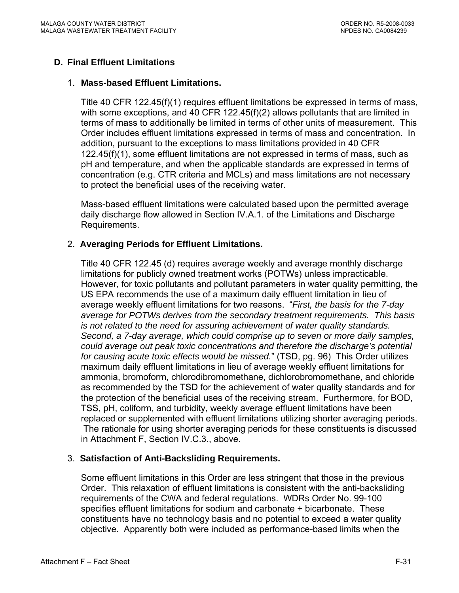# **D. Final Effluent Limitations**

#### 1. **Mass-based Effluent Limitations.**

Title 40 CFR 122.45(f)(1) requires effluent limitations be expressed in terms of mass, with some exceptions, and 40 CFR 122.45(f)(2) allows pollutants that are limited in terms of mass to additionally be limited in terms of other units of measurement. This Order includes effluent limitations expressed in terms of mass and concentration. In addition, pursuant to the exceptions to mass limitations provided in 40 CFR 122.45(f)(1), some effluent limitations are not expressed in terms of mass, such as pH and temperature, and when the applicable standards are expressed in terms of concentration (e.g. CTR criteria and MCLs) and mass limitations are not necessary to protect the beneficial uses of the receiving water.

Mass-based effluent limitations were calculated based upon the permitted average daily discharge flow allowed in Section IV.A.1. of the Limitations and Discharge Requirements.

# 2. **Averaging Periods for Effluent Limitations.**

Title 40 CFR 122.45 (d) requires average weekly and average monthly discharge limitations for publicly owned treatment works (POTWs) unless impracticable. However, for toxic pollutants and pollutant parameters in water quality permitting, the US EPA recommends the use of a maximum daily effluent limitation in lieu of average weekly effluent limitations for two reasons. "*First, the basis for the 7-day average for POTWs derives from the secondary treatment requirements. This basis is not related to the need for assuring achievement of water quality standards. Second, a 7-day average, which could comprise up to seven or more daily samples, could average out peak toxic concentrations and therefore the discharge's potential for causing acute toxic effects would be missed.*" (TSD, pg. 96) This Order utilizes maximum daily effluent limitations in lieu of average weekly effluent limitations for ammonia, bromoform, chlorodibromomethane, dichlorobromomethane, and chloride as recommended by the TSD for the achievement of water quality standards and for the protection of the beneficial uses of the receiving stream. Furthermore, for BOD, TSS, pH, coliform, and turbidity, weekly average effluent limitations have been replaced or supplemented with effluent limitations utilizing shorter averaging periods. The rationale for using shorter averaging periods for these constituents is discussed in Attachment F, Section IV.C.3., above.

### 3. **Satisfaction of Anti-Backsliding Requirements.**

Some effluent limitations in this Order are less stringent that those in the previous Order. This relaxation of effluent limitations is consistent with the anti-backsliding requirements of the CWA and federal regulations. WDRs Order No. 99-100 specifies effluent limitations for sodium and carbonate + bicarbonate. These constituents have no technology basis and no potential to exceed a water quality objective. Apparently both were included as performance-based limits when the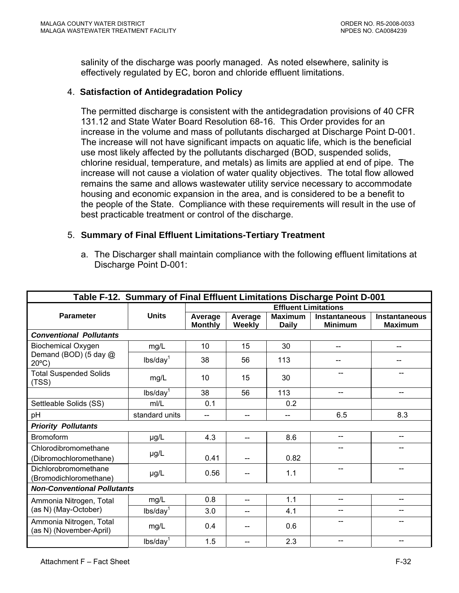salinity of the discharge was poorly managed. As noted elsewhere, salinity is effectively regulated by EC, boron and chloride effluent limitations.

### 4. **Satisfaction of Antidegradation Policy**

The permitted discharge is consistent with the antidegradation provisions of 40 CFR 131.12 and State Water Board Resolution 68-16. This Order provides for an increase in the volume and mass of pollutants discharged at Discharge Point D-001. The increase will not have significant impacts on aquatic life, which is the beneficial use most likely affected by the pollutants discharged (BOD, suspended solids, chlorine residual, temperature, and metals) as limits are applied at end of pipe. The increase will not cause a violation of water quality objectives. The total flow allowed remains the same and allows wastewater utility service necessary to accommodate housing and economic expansion in the area, and is considered to be a benefit to the people of the State. Compliance with these requirements will result in the use of best practicable treatment or control of the discharge.

### 5. **Summary of Final Effluent Limitations-Tertiary Treatment**

a. The Discharger shall maintain compliance with the following effluent limitations at Discharge Point D-001:

| Table F-12. Summary of Final Effluent Limitations Discharge Point D-001 |                      |                             |                   |                                |                                        |                                        |  |
|-------------------------------------------------------------------------|----------------------|-----------------------------|-------------------|--------------------------------|----------------------------------------|----------------------------------------|--|
|                                                                         |                      | <b>Effluent Limitations</b> |                   |                                |                                        |                                        |  |
| <b>Parameter</b>                                                        | <b>Units</b>         | Average<br><b>Monthly</b>   | Average<br>Weekly | <b>Maximum</b><br><b>Daily</b> | <b>Instantaneous</b><br><b>Minimum</b> | <b>Instantaneous</b><br><b>Maximum</b> |  |
| <b>Conventional Pollutants</b>                                          |                      |                             |                   |                                |                                        |                                        |  |
| <b>Biochemical Oxygen</b>                                               | mg/L                 | 10                          | 15                | 30                             | --                                     |                                        |  |
| Demand (BOD) (5 day @<br>$20^{\circ}$ C)                                | lbs/day <sup>1</sup> | 38                          | 56                | 113                            | --                                     |                                        |  |
| <b>Total Suspended Solids</b><br>(TSS)                                  | mg/L                 | 10                          | 15                | 30                             | --                                     | --                                     |  |
|                                                                         | lbs/day <sup>1</sup> | 38                          | 56                | 113                            | $-$                                    | --                                     |  |
| Settleable Solids (SS)                                                  | mI/L                 | 0.1                         |                   | 0.2                            |                                        |                                        |  |
| рH                                                                      | standard units       | $-$                         | --                | --                             | 6.5                                    | 8.3                                    |  |
| <b>Priority Pollutants</b>                                              |                      |                             |                   |                                |                                        |                                        |  |
| <b>Bromoform</b>                                                        | µg/L                 | 4.3                         | $\qquad \qquad -$ | 8.6                            | $-$                                    | --                                     |  |
| Chlorodibromomethane<br>(Dibromochloromethane)                          | µg/L                 | 0.41                        |                   | 0.82                           |                                        |                                        |  |
| Dichlorobromomethane<br>(Bromodichloromethane)                          | µg/L                 | 0.56                        |                   | 1.1                            | --                                     | --                                     |  |
| <b>Non-Conventional Pollutants</b>                                      |                      |                             |                   |                                |                                        |                                        |  |
| Ammonia Nitrogen, Total<br>(as N) (May-October)                         | mg/L                 | 0.8                         |                   | 1.1                            | $-$                                    | $-$                                    |  |
|                                                                         | lbs/day <sup>1</sup> | 3.0                         | --                | 4.1                            | --                                     | --                                     |  |
| Ammonia Nitrogen, Total<br>(as N) (November-April)                      | mg/L                 | 0.4                         |                   | 0.6                            |                                        |                                        |  |
|                                                                         | lbs/day <sup>1</sup> | 1.5                         |                   | 2.3                            | --                                     | $-$                                    |  |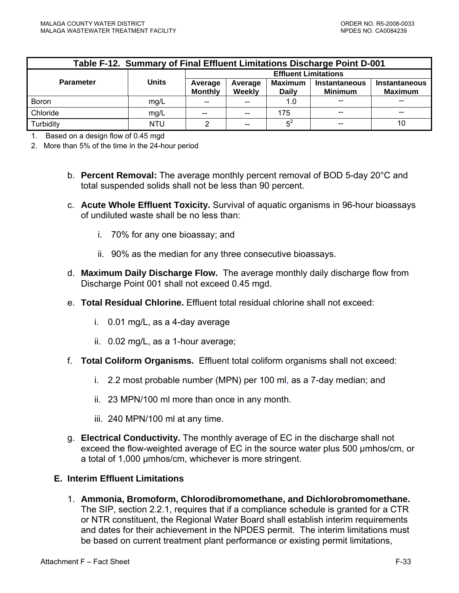| Table F-12. Summary of Final Effluent Limitations Discharge Point D-001 |            |                             |                   |                                |                                 |                                        |
|-------------------------------------------------------------------------|------------|-----------------------------|-------------------|--------------------------------|---------------------------------|----------------------------------------|
|                                                                         |            | <b>Effluent Limitations</b> |                   |                                |                                 |                                        |
| <b>Parameter</b>                                                        | Units      | Average<br><b>Monthly</b>   | Average<br>Weekly | <b>Maximum</b><br><b>Daily</b> | Instantaneous<br><b>Minimum</b> | <b>Instantaneous</b><br><b>Maximum</b> |
| <b>Boron</b>                                                            | mg/L       | --                          | $-$               | 1.0                            |                                 |                                        |
| Chloride                                                                | mg/L       | $- -$                       | $\sim$            | 175                            |                                 |                                        |
| Turbidity                                                               | <b>NTU</b> |                             | $-$               | $5^2$                          |                                 | 10                                     |

1. Based on a design flow of 0.45 mgd

2. More than 5% of the time in the 24-hour period

- b. **Percent Removal:** The average monthly percent removal of BOD 5-day 20°C and total suspended solids shall not be less than 90 percent.
- c. **Acute Whole Effluent Toxicity.** Survival of aquatic organisms in 96-hour bioassays of undiluted waste shall be no less than:
	- i. 70% for any one bioassay; and
	- ii. 90% as the median for any three consecutive bioassays.
- d. **Maximum Daily Discharge Flow.** The average monthly daily discharge flow from Discharge Point 001 shall not exceed 0.45 mgd.
- e. **Total Residual Chlorine.** Effluent total residual chlorine shall not exceed:
	- i. 0.01 mg/L, as a 4-day average
	- ii. 0.02 mg/L, as a 1-hour average;
- f. **Total Coliform Organisms.** Effluent total coliform organisms shall not exceed:
	- i. 2.2 most probable number (MPN) per 100 ml, as a 7-day median; and
	- ii. 23 MPN/100 ml more than once in any month.
	- iii. 240 MPN/100 ml at any time.
- g. **Electrical Conductivity.** The monthly average of EC in the discharge shall not exceed the flow-weighted average of EC in the source water plus 500 µmhos/cm, or a total of 1,000 µmhos/cm, whichever is more stringent.

### **E. Interim Effluent Limitations**

1. **Ammonia, Bromoform, Chlorodibromomethane, and Dichlorobromomethane.** The SIP, section 2.2.1, requires that if a compliance schedule is granted for a CTR or NTR constituent, the Regional Water Board shall establish interim requirements and dates for their achievement in the NPDES permit. The interim limitations must be based on current treatment plant performance or existing permit limitations,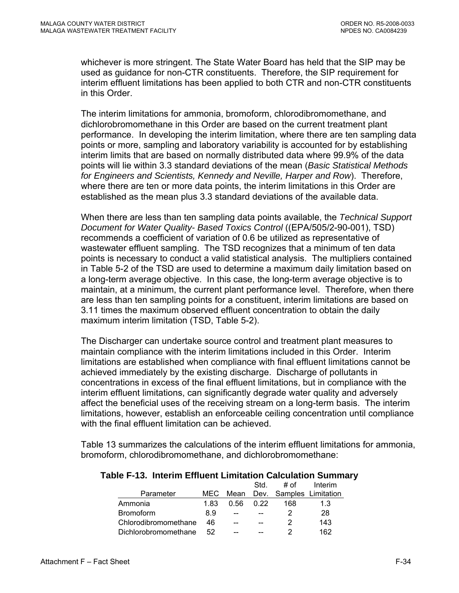whichever is more stringent. The State Water Board has held that the SIP may be used as guidance for non-CTR constituents. Therefore, the SIP requirement for interim effluent limitations has been applied to both CTR and non-CTR constituents in this Order.

The interim limitations for ammonia, bromoform, chlorodibromomethane, and dichlorobromomethane in this Order are based on the current treatment plant performance. In developing the interim limitation, where there are ten sampling data points or more, sampling and laboratory variability is accounted for by establishing interim limits that are based on normally distributed data where 99.9% of the data points will lie within 3.3 standard deviations of the mean (*Basic Statistical Methods for Engineers and Scientists, Kennedy and Neville, Harper and Row*). Therefore, where there are ten or more data points, the interim limitations in this Order are established as the mean plus 3.3 standard deviations of the available data.

When there are less than ten sampling data points available, the *Technical Support Document for Water Quality- Based Toxics Control* ((EPA/505/2-90-001), TSD) recommends a coefficient of variation of 0.6 be utilized as representative of wastewater effluent sampling. The TSD recognizes that a minimum of ten data points is necessary to conduct a valid statistical analysis. The multipliers contained in Table 5-2 of the TSD are used to determine a maximum daily limitation based on a long-term average objective. In this case, the long-term average objective is to maintain, at a minimum, the current plant performance level. Therefore, when there are less than ten sampling points for a constituent, interim limitations are based on 3.11 times the maximum observed effluent concentration to obtain the daily maximum interim limitation (TSD, Table 5-2).

The Discharger can undertake source control and treatment plant measures to maintain compliance with the interim limitations included in this Order. Interim limitations are established when compliance with final effluent limitations cannot be achieved immediately by the existing discharge. Discharge of pollutants in concentrations in excess of the final effluent limitations, but in compliance with the interim effluent limitations, can significantly degrade water quality and adversely affect the beneficial uses of the receiving stream on a long-term basis. The interim limitations, however, establish an enforceable ceiling concentration until compliance with the final effluent limitation can be achieved.

Table 13 summarizes the calculations of the interim effluent limitations for ammonia, bromoform, chlorodibromomethane, and dichlorobromomethane:

#### **Table F-13. Interim Effluent Limitation Calculation Summary**

|                      |      |       | Std. | # of | Interim                 |
|----------------------|------|-------|------|------|-------------------------|
| Parameter            | MEC. | Mean  |      |      | Dev. Samples Limitation |
| Ammonia              | 1 83 | 0.56  | 0.22 | 168  | 1.3                     |
| <b>Bromoform</b>     | 8.9  | $-$   |      |      | 28                      |
| Chlorodibromomethane | 46.  | $- -$ |      | 2    | 143                     |
| Dichlorobromomethane | 52.  | --    |      |      | 162                     |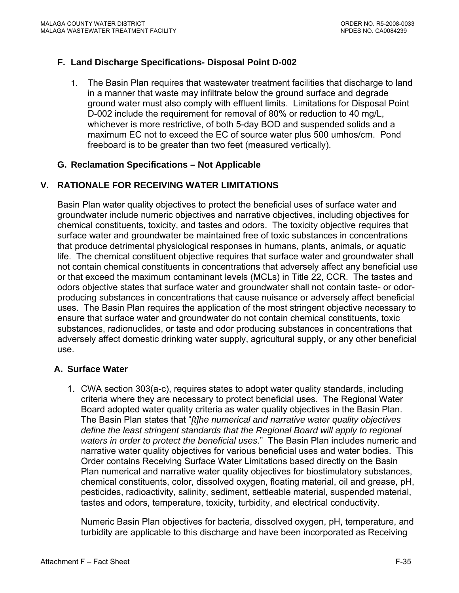# **F. Land Discharge Specifications- Disposal Point D-002**

1. The Basin Plan requires that wastewater treatment facilities that discharge to land in a manner that waste may infiltrate below the ground surface and degrade ground water must also comply with effluent limits. Limitations for Disposal Point D-002 include the requirement for removal of 80% or reduction to 40 mg/L, whichever is more restrictive, of both 5-day BOD and suspended solids and a maximum EC not to exceed the EC of source water plus 500 umhos/cm. Pond freeboard is to be greater than two feet (measured vertically).

### **G. Reclamation Specifications – Not Applicable**

# **V. RATIONALE FOR RECEIVING WATER LIMITATIONS**

Basin Plan water quality objectives to protect the beneficial uses of surface water and groundwater include numeric objectives and narrative objectives, including objectives for chemical constituents, toxicity, and tastes and odors. The toxicity objective requires that surface water and groundwater be maintained free of toxic substances in concentrations that produce detrimental physiological responses in humans, plants, animals, or aquatic life. The chemical constituent objective requires that surface water and groundwater shall not contain chemical constituents in concentrations that adversely affect any beneficial use or that exceed the maximum contaminant levels (MCLs) in Title 22, CCR. The tastes and odors objective states that surface water and groundwater shall not contain taste- or odorproducing substances in concentrations that cause nuisance or adversely affect beneficial uses. The Basin Plan requires the application of the most stringent objective necessary to ensure that surface water and groundwater do not contain chemical constituents, toxic substances, radionuclides, or taste and odor producing substances in concentrations that adversely affect domestic drinking water supply, agricultural supply, or any other beneficial use.

### **A. Surface Water**

1. CWA section 303(a-c), requires states to adopt water quality standards, including criteria where they are necessary to protect beneficial uses. The Regional Water Board adopted water quality criteria as water quality objectives in the Basin Plan. The Basin Plan states that "*[t]he numerical and narrative water quality objectives define the least stringent standards that the Regional Board will apply to regional waters in order to protect the beneficial uses*." The Basin Plan includes numeric and narrative water quality objectives for various beneficial uses and water bodies. This Order contains Receiving Surface Water Limitations based directly on the Basin Plan numerical and narrative water quality objectives for biostimulatory substances, chemical constituents, color, dissolved oxygen, floating material, oil and grease, pH, pesticides, radioactivity, salinity, sediment, settleable material, suspended material, tastes and odors, temperature, toxicity, turbidity, and electrical conductivity.

Numeric Basin Plan objectives for bacteria, dissolved oxygen, pH, temperature, and turbidity are applicable to this discharge and have been incorporated as Receiving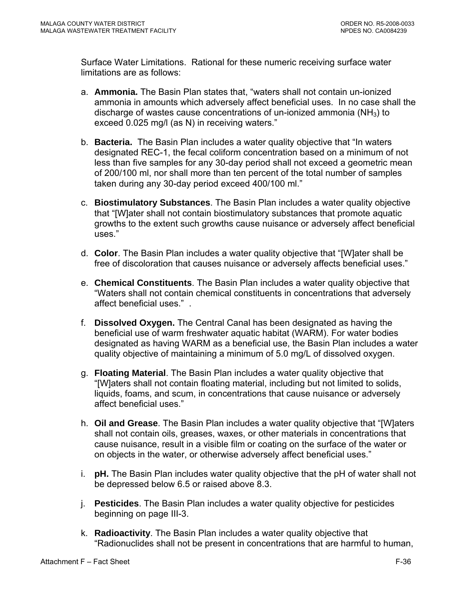Surface Water Limitations. Rational for these numeric receiving surface water limitations are as follows:

- a. **Ammonia.** The Basin Plan states that, "waters shall not contain un-ionized ammonia in amounts which adversely affect beneficial uses. In no case shall the discharge of wastes cause concentrations of un-ionized ammonia ( $NH<sub>3</sub>$ ) to exceed 0.025 mg/l (as N) in receiving waters."
- b. **Bacteria.** The Basin Plan includes a water quality objective that "In waters designated REC-1, the fecal coliform concentration based on a minimum of not less than five samples for any 30-day period shall not exceed a geometric mean of 200/100 ml, nor shall more than ten percent of the total number of samples taken during any 30-day period exceed 400/100 ml."
- c. **Biostimulatory Substances**. The Basin Plan includes a water quality objective that "[W]ater shall not contain biostimulatory substances that promote aquatic growths to the extent such growths cause nuisance or adversely affect beneficial uses."
- d. **Color**. The Basin Plan includes a water quality objective that "[W]ater shall be free of discoloration that causes nuisance or adversely affects beneficial uses."
- e. **Chemical Constituents**. The Basin Plan includes a water quality objective that "Waters shall not contain chemical constituents in concentrations that adversely affect beneficial uses." .
- f. **Dissolved Oxygen.** The Central Canal has been designated as having the beneficial use of warm freshwater aquatic habitat (WARM). For water bodies designated as having WARM as a beneficial use, the Basin Plan includes a water quality objective of maintaining a minimum of 5.0 mg/L of dissolved oxygen.
- g. **Floating Material**. The Basin Plan includes a water quality objective that "[W]aters shall not contain floating material, including but not limited to solids, liquids, foams, and scum, in concentrations that cause nuisance or adversely affect beneficial uses."
- h. **Oil and Grease**. The Basin Plan includes a water quality objective that "[W]aters shall not contain oils, greases, waxes, or other materials in concentrations that cause nuisance, result in a visible film or coating on the surface of the water or on objects in the water, or otherwise adversely affect beneficial uses."
- i. **pH.** The Basin Plan includes water quality objective that the pH of water shall not be depressed below 6.5 or raised above 8.3.
- j. **Pesticides**. The Basin Plan includes a water quality objective for pesticides beginning on page III-3.
- k. **Radioactivity**. The Basin Plan includes a water quality objective that "Radionuclides shall not be present in concentrations that are harmful to human,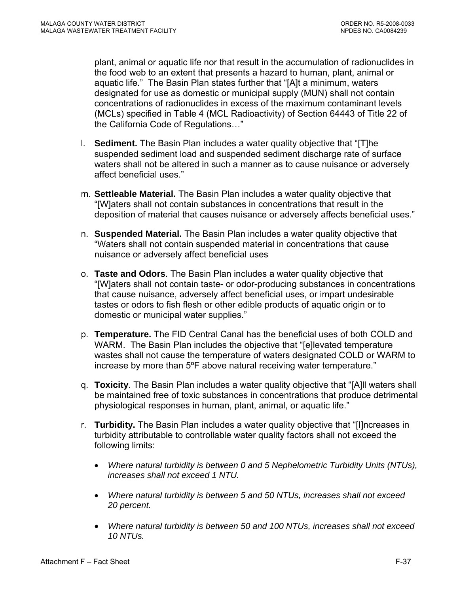plant, animal or aquatic life nor that result in the accumulation of radionuclides in the food web to an extent that presents a hazard to human, plant, animal or aquatic life." The Basin Plan states further that "[A]t a minimum, waters designated for use as domestic or municipal supply (MUN) shall not contain concentrations of radionuclides in excess of the maximum contaminant levels (MCLs) specified in Table 4 (MCL Radioactivity) of Section 64443 of Title 22 of the California Code of Regulations…"

- l. **Sediment.** The Basin Plan includes a water quality objective that "[T]he suspended sediment load and suspended sediment discharge rate of surface waters shall not be altered in such a manner as to cause nuisance or adversely affect beneficial uses."
- m. **Settleable Material.** The Basin Plan includes a water quality objective that "[W]aters shall not contain substances in concentrations that result in the deposition of material that causes nuisance or adversely affects beneficial uses."
- n. **Suspended Material.** The Basin Plan includes a water quality objective that "Waters shall not contain suspended material in concentrations that cause nuisance or adversely affect beneficial uses
- o. **Taste and Odors**. The Basin Plan includes a water quality objective that "[W]aters shall not contain taste- or odor-producing substances in concentrations that cause nuisance, adversely affect beneficial uses, or impart undesirable tastes or odors to fish flesh or other edible products of aquatic origin or to domestic or municipal water supplies."
- p. **Temperature.** The FID Central Canal has the beneficial uses of both COLD and WARM. The Basin Plan includes the objective that "[e]levated temperature wastes shall not cause the temperature of waters designated COLD or WARM to increase by more than 5ºF above natural receiving water temperature."
- q. **Toxicity**. The Basin Plan includes a water quality objective that "[A]ll waters shall be maintained free of toxic substances in concentrations that produce detrimental physiological responses in human, plant, animal, or aquatic life."
- r. **Turbidity.** The Basin Plan includes a water quality objective that "[I]ncreases in turbidity attributable to controllable water quality factors shall not exceed the following limits:
	- *Where natural turbidity is between 0 and 5 Nephelometric Turbidity Units (NTUs), increases shall not exceed 1 NTU.*
	- *Where natural turbidity is between 5 and 50 NTUs, increases shall not exceed 20 percent.*
	- *Where natural turbidity is between 50 and 100 NTUs, increases shall not exceed 10 NTUs.*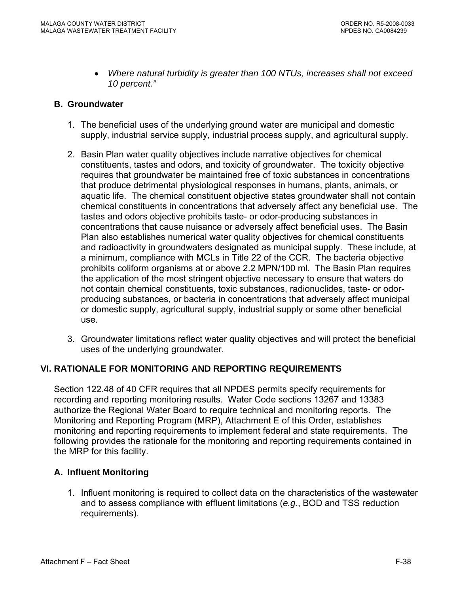• *Where natural turbidity is greater than 100 NTUs, increases shall not exceed 10 percent."* 

# **B. Groundwater**

- 1. The beneficial uses of the underlying ground water are municipal and domestic supply, industrial service supply, industrial process supply, and agricultural supply.
- 2. Basin Plan water quality objectives include narrative objectives for chemical constituents, tastes and odors, and toxicity of groundwater. The toxicity objective requires that groundwater be maintained free of toxic substances in concentrations that produce detrimental physiological responses in humans, plants, animals, or aquatic life. The chemical constituent objective states groundwater shall not contain chemical constituents in concentrations that adversely affect any beneficial use. The tastes and odors objective prohibits taste- or odor-producing substances in concentrations that cause nuisance or adversely affect beneficial uses. The Basin Plan also establishes numerical water quality objectives for chemical constituents and radioactivity in groundwaters designated as municipal supply. These include, at a minimum, compliance with MCLs in Title 22 of the CCR. The bacteria objective prohibits coliform organisms at or above 2.2 MPN/100 ml. The Basin Plan requires the application of the most stringent objective necessary to ensure that waters do not contain chemical constituents, toxic substances, radionuclides, taste- or odorproducing substances, or bacteria in concentrations that adversely affect municipal or domestic supply, agricultural supply, industrial supply or some other beneficial use.
- 3. Groundwater limitations reflect water quality objectives and will protect the beneficial uses of the underlying groundwater.

# **VI. RATIONALE FOR MONITORING AND REPORTING REQUIREMENTS**

Section 122.48 of 40 CFR requires that all NPDES permits specify requirements for recording and reporting monitoring results. Water Code sections 13267 and 13383 authorize the Regional Water Board to require technical and monitoring reports. The Monitoring and Reporting Program (MRP), Attachment E of this Order, establishes monitoring and reporting requirements to implement federal and state requirements. The following provides the rationale for the monitoring and reporting requirements contained in the MRP for this facility.

### **A. Influent Monitoring**

1. Influent monitoring is required to collect data on the characteristics of the wastewater and to assess compliance with effluent limitations (*e.g.*, BOD and TSS reduction requirements).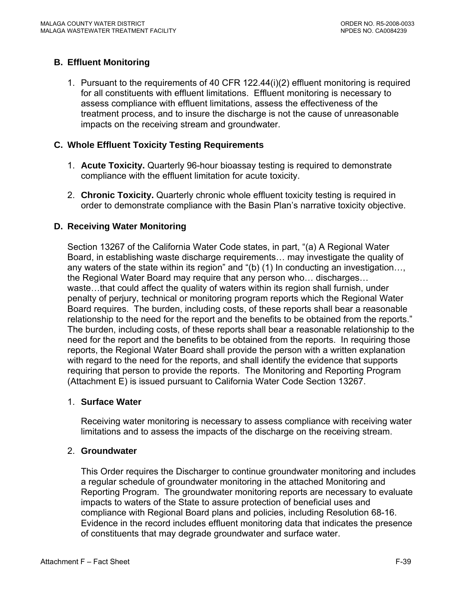# **B. Effluent Monitoring**

1. Pursuant to the requirements of 40 CFR 122.44(i)(2) effluent monitoring is required for all constituents with effluent limitations. Effluent monitoring is necessary to assess compliance with effluent limitations, assess the effectiveness of the treatment process, and to insure the discharge is not the cause of unreasonable impacts on the receiving stream and groundwater.

# **C. Whole Effluent Toxicity Testing Requirements**

- 1. **Acute Toxicity.** Quarterly 96-hour bioassay testing is required to demonstrate compliance with the effluent limitation for acute toxicity.
- 2. **Chronic Toxicity.** Quarterly chronic whole effluent toxicity testing is required in order to demonstrate compliance with the Basin Plan's narrative toxicity objective.

# **D. Receiving Water Monitoring**

Section 13267 of the California Water Code states, in part, "(a) A Regional Water Board, in establishing waste discharge requirements… may investigate the quality of any waters of the state within its region" and "(b) (1) In conducting an investigation…, the Regional Water Board may require that any person who… discharges… waste…that could affect the quality of waters within its region shall furnish, under penalty of perjury, technical or monitoring program reports which the Regional Water Board requires. The burden, including costs, of these reports shall bear a reasonable relationship to the need for the report and the benefits to be obtained from the reports." The burden, including costs, of these reports shall bear a reasonable relationship to the need for the report and the benefits to be obtained from the reports. In requiring those reports, the Regional Water Board shall provide the person with a written explanation with regard to the need for the reports, and shall identify the evidence that supports requiring that person to provide the reports. The Monitoring and Reporting Program (Attachment E) is issued pursuant to California Water Code Section 13267.

### 1. **Surface Water**

Receiving water monitoring is necessary to assess compliance with receiving water limitations and to assess the impacts of the discharge on the receiving stream.

### 2. **Groundwater**

This Order requires the Discharger to continue groundwater monitoring and includes a regular schedule of groundwater monitoring in the attached Monitoring and Reporting Program. The groundwater monitoring reports are necessary to evaluate impacts to waters of the State to assure protection of beneficial uses and compliance with Regional Board plans and policies, including Resolution 68-16. Evidence in the record includes effluent monitoring data that indicates the presence of constituents that may degrade groundwater and surface water.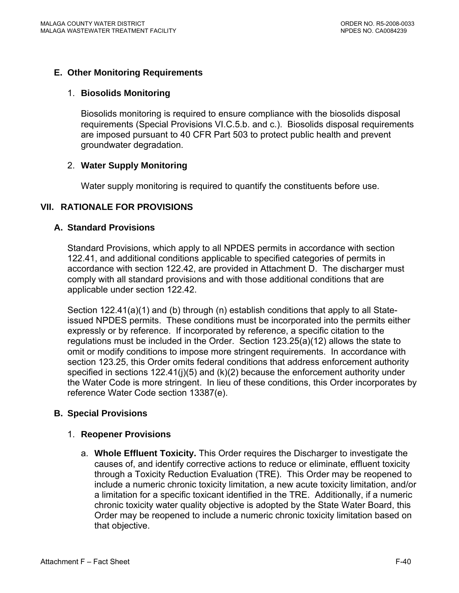# **E. Other Monitoring Requirements**

#### 1. **Biosolids Monitoring**

Biosolids monitoring is required to ensure compliance with the biosolids disposal requirements (Special Provisions VI.C.5.b. and c.). Biosolids disposal requirements are imposed pursuant to 40 CFR Part 503 to protect public health and prevent groundwater degradation.

# 2. **Water Supply Monitoring**

Water supply monitoring is required to quantify the constituents before use.

# **VII. RATIONALE FOR PROVISIONS**

### **A. Standard Provisions**

Standard Provisions, which apply to all NPDES permits in accordance with section 122.41, and additional conditions applicable to specified categories of permits in accordance with section 122.42, are provided in Attachment D. The discharger must comply with all standard provisions and with those additional conditions that are applicable under section 122.42.

Section 122.41(a)(1) and (b) through (n) establish conditions that apply to all Stateissued NPDES permits. These conditions must be incorporated into the permits either expressly or by reference. If incorporated by reference, a specific citation to the regulations must be included in the Order. Section 123.25(a)(12) allows the state to omit or modify conditions to impose more stringent requirements. In accordance with section 123.25, this Order omits federal conditions that address enforcement authority specified in sections 122.41(j)(5) and (k)(2) because the enforcement authority under the Water Code is more stringent. In lieu of these conditions, this Order incorporates by reference Water Code section 13387(e).

### **B. Special Provisions**

### 1. **Reopener Provisions**

a. **Whole Effluent Toxicity.** This Order requires the Discharger to investigate the causes of, and identify corrective actions to reduce or eliminate, effluent toxicity through a Toxicity Reduction Evaluation (TRE). This Order may be reopened to include a numeric chronic toxicity limitation, a new acute toxicity limitation, and/or a limitation for a specific toxicant identified in the TRE. Additionally, if a numeric chronic toxicity water quality objective is adopted by the State Water Board, this Order may be reopened to include a numeric chronic toxicity limitation based on that objective.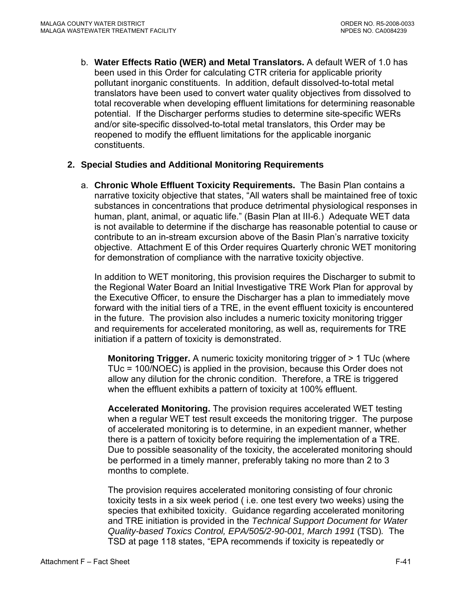b. **Water Effects Ratio (WER) and Metal Translators.** A default WER of 1.0 has been used in this Order for calculating CTR criteria for applicable priority pollutant inorganic constituents.In addition, default dissolved-to-total metal translators have been used to convert water quality objectives from dissolved to total recoverable when developing effluent limitations for determining reasonable potential. If the Discharger performs studies to determine site-specific WERs and/or site-specific dissolved-to-total metal translators, this Order may be reopened to modify the effluent limitations for the applicable inorganic constituents.

### **2. Special Studies and Additional Monitoring Requirements**

a. **Chronic Whole Effluent Toxicity Requirements.** The Basin Plan contains a narrative toxicity objective that states, "All waters shall be maintained free of toxic substances in concentrations that produce detrimental physiological responses in human, plant, animal, or aquatic life." (Basin Plan at III-6.) Adequate WET data is not available to determine if the discharge has reasonable potential to cause or contribute to an in-stream excursion above of the Basin Plan's narrative toxicity objective. Attachment E of this Order requires Quarterly chronic WET monitoring for demonstration of compliance with the narrative toxicity objective.

In addition to WET monitoring, this provision requires the Discharger to submit to the Regional Water Board an Initial Investigative TRE Work Plan for approval by the Executive Officer, to ensure the Discharger has a plan to immediately move forward with the initial tiers of a TRE, in the event effluent toxicity is encountered in the future. The provision also includes a numeric toxicity monitoring trigger and requirements for accelerated monitoring, as well as, requirements for TRE initiation if a pattern of toxicity is demonstrated.

**Monitoring Trigger.** A numeric toxicity monitoring trigger of > 1 TUc (where TUc = 100/NOEC) is applied in the provision, because this Order does not allow any dilution for the chronic condition. Therefore, a TRE is triggered when the effluent exhibits a pattern of toxicity at 100% effluent.

**Accelerated Monitoring.** The provision requires accelerated WET testing when a regular WET test result exceeds the monitoring trigger. The purpose of accelerated monitoring is to determine, in an expedient manner, whether there is a pattern of toxicity before requiring the implementation of a TRE. Due to possible seasonality of the toxicity, the accelerated monitoring should be performed in a timely manner, preferably taking no more than 2 to 3 months to complete.

The provision requires accelerated monitoring consisting of four chronic toxicity tests in a six week period ( i.e. one test every two weeks) using the species that exhibited toxicity. Guidance regarding accelerated monitoring and TRE initiation is provided in the *Technical Support Document for Water Quality-based Toxics Control, EPA/505/2-90-001, March 1991* (TSD)*.* The TSD at page 118 states, "EPA recommends if toxicity is repeatedly or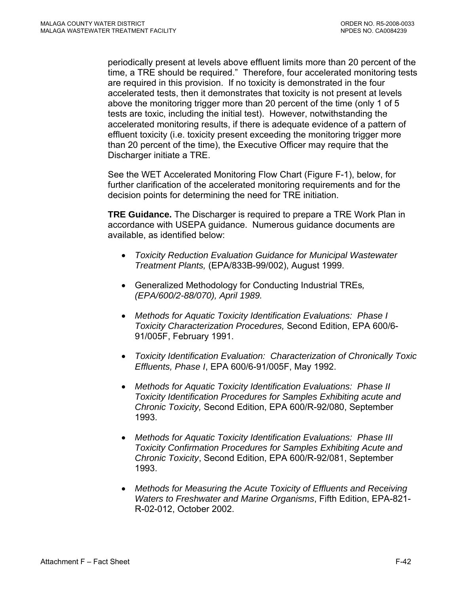periodically present at levels above effluent limits more than 20 percent of the time, a TRE should be required." Therefore, four accelerated monitoring tests are required in this provision. If no toxicity is demonstrated in the four accelerated tests, then it demonstrates that toxicity is not present at levels above the monitoring trigger more than 20 percent of the time (only 1 of 5 tests are toxic, including the initial test). However, notwithstanding the accelerated monitoring results, if there is adequate evidence of a pattern of effluent toxicity (i.e. toxicity present exceeding the monitoring trigger more than 20 percent of the time), the Executive Officer may require that the Discharger initiate a TRE.

See the WET Accelerated Monitoring Flow Chart (Figure F-1), below, for further clarification of the accelerated monitoring requirements and for the decision points for determining the need for TRE initiation.

**TRE Guidance.** The Discharger is required to prepare a TRE Work Plan in accordance with USEPA guidance. Numerous guidance documents are available, as identified below:

- *Toxicity Reduction Evaluation Guidance for Municipal Wastewater Treatment Plants,* (EPA/833B-99/002), August 1999.
- Generalized Methodology for Conducting Industrial TREs*, (EPA/600/2-88/070), April 1989.*
- *Methods for Aquatic Toxicity Identification Evaluations: Phase I Toxicity Characterization Procedures,* Second Edition, EPA 600/6- 91/005F, February 1991.
- *Toxicity Identification Evaluation: Characterization of Chronically Toxic Effluents, Phase I*, EPA 600/6-91/005F, May 1992.
- *Methods for Aquatic Toxicity Identification Evaluations: Phase II Toxicity Identification Procedures for Samples Exhibiting acute and Chronic Toxicity,* Second Edition, EPA 600/R-92/080, September 1993.
- *Methods for Aquatic Toxicity Identification Evaluations: Phase III Toxicity Confirmation Procedures for Samples Exhibiting Acute and Chronic Toxicity*, Second Edition, EPA 600/R-92/081, September 1993.
- *Methods for Measuring the Acute Toxicity of Effluents and Receiving Waters to Freshwater and Marine Organisms*, Fifth Edition, EPA-821- R-02-012, October 2002.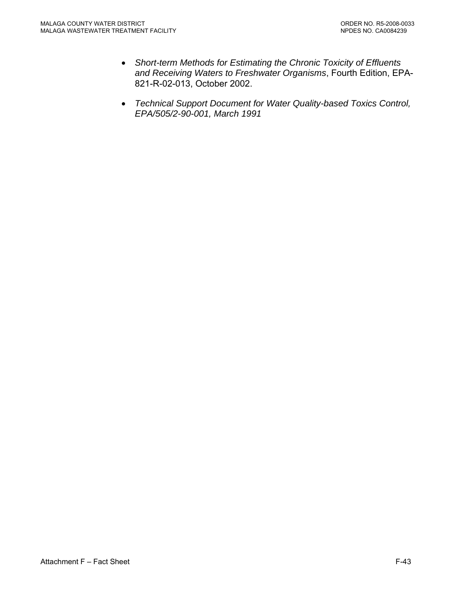- *Short-term Methods for Estimating the Chronic Toxicity of Effluents and Receiving Waters to Freshwater Organisms*, Fourth Edition, EPA-821-R-02-013, October 2002.
- *Technical Support Document for Water Quality-based Toxics Control, EPA/505/2-90-001, March 1991*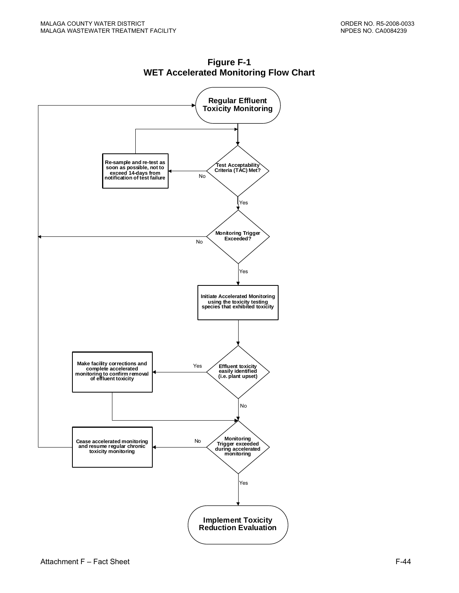

**Figure F-1 WET Accelerated Monitoring Flow Chart**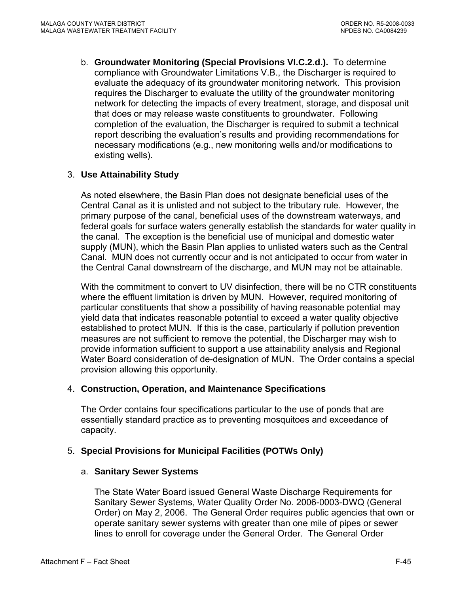b. **Groundwater Monitoring (Special Provisions VI.C.2.d.).** To determine compliance with Groundwater Limitations V.B., the Discharger is required to evaluate the adequacy of its groundwater monitoring network. This provision requires the Discharger to evaluate the utility of the groundwater monitoring network for detecting the impacts of every treatment, storage, and disposal unit that does or may release waste constituents to groundwater. Following completion of the evaluation, the Discharger is required to submit a technical report describing the evaluation's results and providing recommendations for necessary modifications (e.g., new monitoring wells and/or modifications to existing wells).

# 3. **Use Attainability Study**

As noted elsewhere, the Basin Plan does not designate beneficial uses of the Central Canal as it is unlisted and not subject to the tributary rule. However, the primary purpose of the canal, beneficial uses of the downstream waterways, and federal goals for surface waters generally establish the standards for water quality in the canal. The exception is the beneficial use of municipal and domestic water supply (MUN), which the Basin Plan applies to unlisted waters such as the Central Canal. MUN does not currently occur and is not anticipated to occur from water in the Central Canal downstream of the discharge, and MUN may not be attainable.

With the commitment to convert to UV disinfection, there will be no CTR constituents where the effluent limitation is driven by MUN. However, required monitoring of particular constituents that show a possibility of having reasonable potential may yield data that indicates reasonable potential to exceed a water quality objective established to protect MUN. If this is the case, particularly if pollution prevention measures are not sufficient to remove the potential, the Discharger may wish to provide information sufficient to support a use attainability analysis and Regional Water Board consideration of de-designation of MUN. The Order contains a special provision allowing this opportunity.

### 4. **Construction, Operation, and Maintenance Specifications**

The Order contains four specifications particular to the use of ponds that are essentially standard practice as to preventing mosquitoes and exceedance of capacity.

### 5. **Special Provisions for Municipal Facilities (POTWs Only)**

### a. **Sanitary Sewer Systems**

The State Water Board issued General Waste Discharge Requirements for Sanitary Sewer Systems, Water Quality Order No. 2006-0003-DWQ (General Order) on May 2, 2006. The General Order requires public agencies that own or operate sanitary sewer systems with greater than one mile of pipes or sewer lines to enroll for coverage under the General Order. The General Order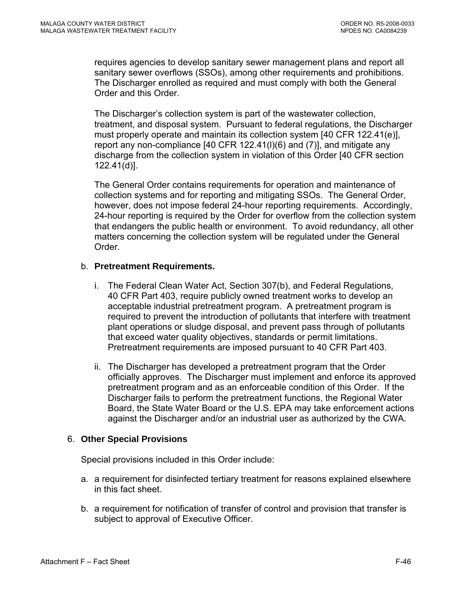requires agencies to develop sanitary sewer management plans and report all sanitary sewer overflows (SSOs), among other requirements and prohibitions. The Discharger enrolled as required and must comply with both the General Order and this Order.

The Discharger's collection system is part of the wastewater collection, treatment, and disposal system. Pursuant to federal regulations, the Discharger must properly operate and maintain its collection system [40 CFR 122.41(e)], report any non-compliance [40 CFR 122.41(l)(6) and (7)], and mitigate any discharge from the collection system in violation of this Order [40 CFR section 122.41(d)].

The General Order contains requirements for operation and maintenance of collection systems and for reporting and mitigating SSOs. The General Order, however, does not impose federal 24-hour reporting requirements. Accordingly, 24-hour reporting is required by the Order for overflow from the collection system that endangers the public health or environment. To avoid redundancy, all other matters concerning the collection system will be regulated under the General Order.

# b. **Pretreatment Requirements.**

- i. The Federal Clean Water Act, Section 307(b), and Federal Regulations, 40 CFR Part 403, require publicly owned treatment works to develop an acceptable industrial pretreatment program. A pretreatment program is required to prevent the introduction of pollutants that interfere with treatment plant operations or sludge disposal, and prevent pass through of pollutants that exceed water quality objectives, standards or permit limitations. Pretreatment requirements are imposed pursuant to 40 CFR Part 403.
- ii. The Discharger has developed a pretreatment program that the Order officially approves. The Discharger must implement and enforce its approved pretreatment program and as an enforceable condition of this Order. If the Discharger fails to perform the pretreatment functions, the Regional Water Board, the State Water Board or the U.S. EPA may take enforcement actions against the Discharger and/or an industrial user as authorized by the CWA.

# 6. **Other Special Provisions**

Special provisions included in this Order include:

- a. a requirement for disinfected tertiary treatment for reasons explained elsewhere in this fact sheet.
- b. a requirement for notification of transfer of control and provision that transfer is subject to approval of Executive Officer.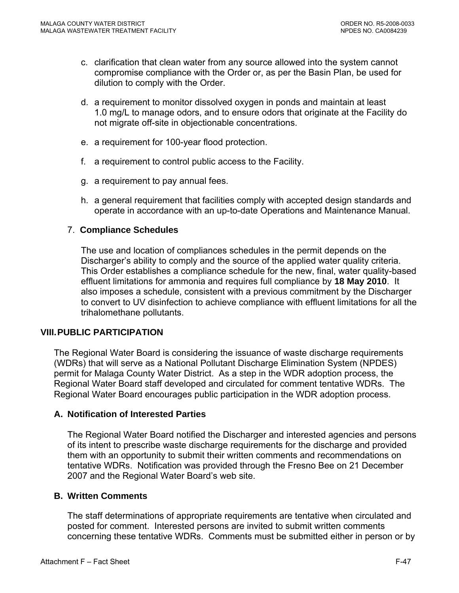- c. clarification that clean water from any source allowed into the system cannot compromise compliance with the Order or, as per the Basin Plan, be used for dilution to comply with the Order.
- d. a requirement to monitor dissolved oxygen in ponds and maintain at least 1.0 mg/L to manage odors, and to ensure odors that originate at the Facility do not migrate off-site in objectionable concentrations.
- e. a requirement for 100-year flood protection.
- f. a requirement to control public access to the Facility.
- g. a requirement to pay annual fees.
- h. a general requirement that facilities comply with accepted design standards and operate in accordance with an up-to-date Operations and Maintenance Manual.

### 7. **Compliance Schedules**

The use and location of compliances schedules in the permit depends on the Discharger's ability to comply and the source of the applied water quality criteria. This Order establishes a compliance schedule for the new, final, water quality-based effluent limitations for ammonia and requires full compliance by **18 May 2010**. It also imposes a schedule, consistent with a previous commitment by the Discharger to convert to UV disinfection to achieve compliance with effluent limitations for all the trihalomethane pollutants.

### **VIII. PUBLIC PARTICIPATION**

The Regional Water Board is considering the issuance of waste discharge requirements (WDRs) that will serve as a National Pollutant Discharge Elimination System (NPDES) permit for Malaga County Water District. As a step in the WDR adoption process, the Regional Water Board staff developed and circulated for comment tentative WDRs. The Regional Water Board encourages public participation in the WDR adoption process.

#### **A. Notification of Interested Parties**

The Regional Water Board notified the Discharger and interested agencies and persons of its intent to prescribe waste discharge requirements for the discharge and provided them with an opportunity to submit their written comments and recommendations on tentative WDRs. Notification was provided through the Fresno Bee on 21 December 2007 and the Regional Water Board's web site.

#### **B. Written Comments**

The staff determinations of appropriate requirements are tentative when circulated and posted for comment. Interested persons are invited to submit written comments concerning these tentative WDRs. Comments must be submitted either in person or by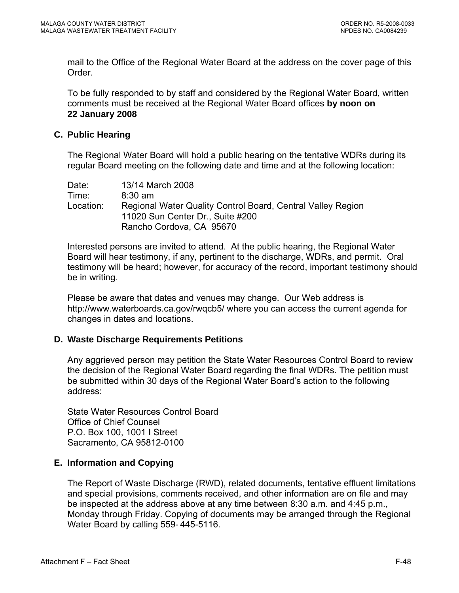mail to the Office of the Regional Water Board at the address on the cover page of this Order.

To be fully responded to by staff and considered by the Regional Water Board, written comments must be received at the Regional Water Board offices **by noon on 22 January 2008** 

## **C. Public Hearing**

The Regional Water Board will hold a public hearing on the tentative WDRs during its regular Board meeting on the following date and time and at the following location:

| Date:     | 13/14 March 2008                                            |
|-----------|-------------------------------------------------------------|
| Time:     | $8:30 \text{ am}$                                           |
| Location: | Regional Water Quality Control Board, Central Valley Region |
|           | 11020 Sun Center Dr., Suite #200                            |
|           | Rancho Cordova, CA 95670                                    |

Interested persons are invited to attend. At the public hearing, the Regional Water Board will hear testimony, if any, pertinent to the discharge, WDRs, and permit. Oral testimony will be heard; however, for accuracy of the record, important testimony should be in writing.

Please be aware that dates and venues may change. Our Web address is <http://www.waterboards.ca.gov/rwqcb5/> where you can access the current agenda for changes in dates and locations.

# **D. Waste Discharge Requirements Petitions**

Any aggrieved person may petition the State Water Resources Control Board to review the decision of the Regional Water Board regarding the final WDRs. The petition must be submitted within 30 days of the Regional Water Board's action to the following address:

State Water Resources Control Board Office of Chief Counsel P.O. Box 100, 1001 I Street Sacramento, CA 95812-0100

# **E. Information and Copying**

The Report of Waste Discharge (RWD), related documents, tentative effluent limitations and special provisions, comments received, and other information are on file and may be inspected at the address above at any time between 8:30 a.m. and 4:45 p.m., Monday through Friday. Copying of documents may be arranged through the Regional Water Board by calling 559- 445-5116.